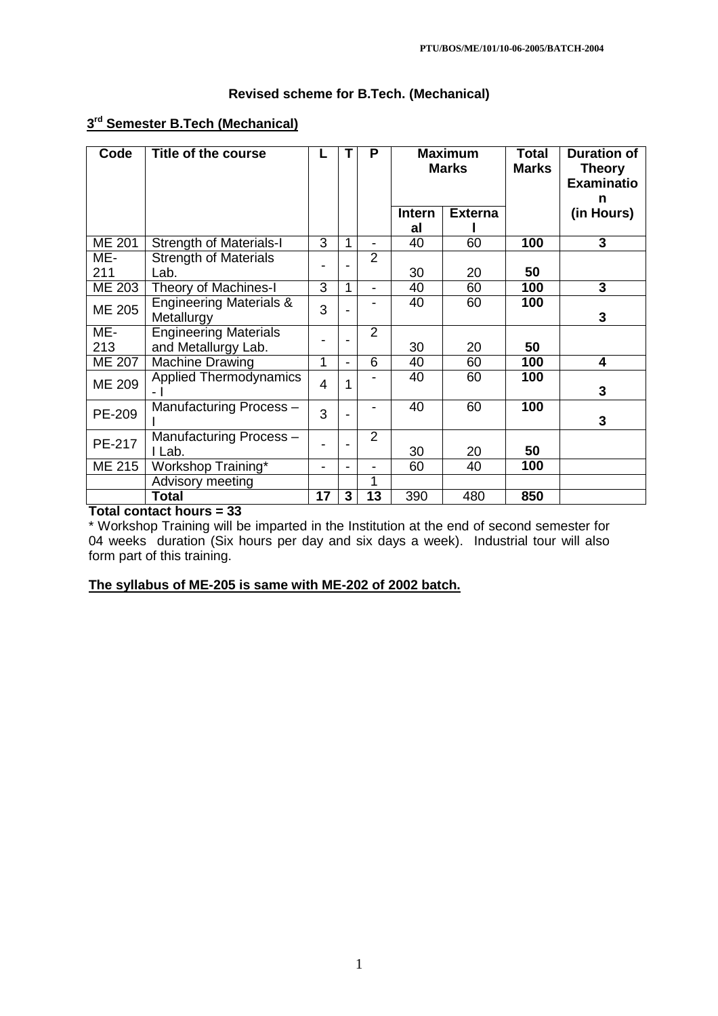# **Revised scheme for B.Tech. (Mechanical)**

# **3 rd Semester B.Tech (Mechanical)**

| Code          | Title of the course                              | L  | т | P              | <b>Maximum</b><br><b>Marks</b> |                | <b>Total</b><br><b>Marks</b> | <b>Duration of</b><br><b>Theory</b><br><b>Examinatio</b><br>n |
|---------------|--------------------------------------------------|----|---|----------------|--------------------------------|----------------|------------------------------|---------------------------------------------------------------|
|               |                                                  |    |   |                | <b>Intern</b><br>al            | <b>Externa</b> |                              | (in Hours)                                                    |
| <b>ME 201</b> | Strength of Materials-I                          | 3  | 1 | $\blacksquare$ | 40                             | 60             | 100                          | 3                                                             |
| ME-           | <b>Strength of Materials</b>                     |    |   | $\overline{2}$ |                                |                |                              |                                                               |
| 211           | Lab.                                             |    |   |                | 30                             | 20             | 50                           |                                                               |
| ME 203        | Theory of Machines-I                             | 3  |   | $\blacksquare$ | 40                             | 60             | 100                          | 3                                                             |
| <b>ME 205</b> | <b>Engineering Materials &amp;</b><br>Metallurgy | 3  |   |                | 40                             | 60             | 100                          | 3                                                             |
| ME-           | <b>Engineering Materials</b>                     |    |   | $\overline{2}$ |                                |                |                              |                                                               |
| 213           | and Metallurgy Lab.                              |    |   |                | 30                             | 20             | 50                           |                                                               |
| <b>ME 207</b> | <b>Machine Drawing</b>                           | 1  |   | 6              | 40                             | 60             | 100                          | 4                                                             |
| <b>ME 209</b> | <b>Applied Thermodynamics</b><br>- 1             | 4  |   |                | 40                             | 60             | 100                          | 3                                                             |
| PE-209        | Manufacturing Process-                           | 3  |   |                | 40                             | 60             | 100                          | 3                                                             |
| <b>PE-217</b> | Manufacturing Process -<br>I Lab.                |    |   | $\overline{2}$ | 30                             | 20             | 50                           |                                                               |
| ME 215        | Workshop Training*                               |    |   | $\blacksquare$ | 60                             | 40             | 100                          |                                                               |
|               | Advisory meeting                                 |    |   | 1              |                                |                |                              |                                                               |
|               | <b>Total</b>                                     | 17 | 3 | 13             | 390                            | 480            | 850                          |                                                               |

# **Total contact hours = 33**

\* Workshop Training will be imparted in the Institution at the end of second semester for 04 weeks duration (Six hours per day and six days a week). Industrial tour will also form part of this training.

# **The syllabus of ME-205 is same with ME-202 of 2002 batch.**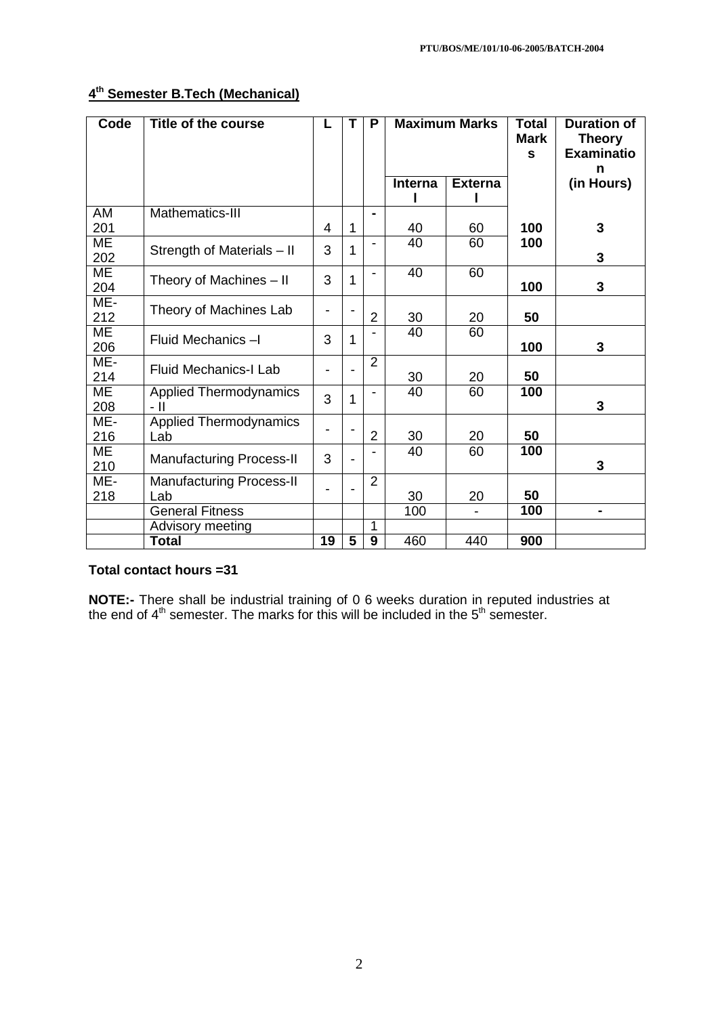# **4 th Semester B.Tech (Mechanical)**

| Code             | Title of the course                    | L              | т | P                        | <b>Maximum Marks</b> |                | <b>Total</b><br><b>Mark</b><br>S | <b>Duration of</b><br><b>Theory</b><br><b>Examinatio</b><br>n |
|------------------|----------------------------------------|----------------|---|--------------------------|----------------------|----------------|----------------------------------|---------------------------------------------------------------|
|                  |                                        |                |   |                          | Interna              | <b>Externa</b> |                                  | (in Hours)                                                    |
| AM<br>201        | Mathematics-III                        | 4              | 1 | ۰                        | 40                   | 60             | 100                              | 3                                                             |
| <b>ME</b><br>202 | Strength of Materials - II             | 3              | 1 |                          | 40                   | 60             | 100                              | 3                                                             |
| ME<br>204        | Theory of Machines - II                | 3              | 1 | $\overline{\phantom{a}}$ | 40                   | 60             | 100                              | $\mathbf{3}$                                                  |
| ME-<br>212       | Theory of Machines Lab                 | -              |   | $\overline{2}$           | 30                   | 20             | 50                               |                                                               |
| ME<br>206        | Fluid Mechanics -I                     | 3              | 1 |                          | 40                   | 60             | 100                              | 3                                                             |
| ME-<br>214       | <b>Fluid Mechanics-I Lab</b>           | $\blacksquare$ |   | $\overline{2}$           | 30                   | 20             | 50                               |                                                               |
| <b>ME</b><br>208 | <b>Applied Thermodynamics</b><br>- 11  | 3              | 1 |                          | 40                   | 60             | 100                              | 3                                                             |
| ME-<br>216       | <b>Applied Thermodynamics</b><br>Lab   |                |   | $\overline{2}$           | 30                   | 20             | 50                               |                                                               |
| ME<br>210        | <b>Manufacturing Process-II</b>        | 3              |   |                          | 40                   | 60             | 100                              | 3                                                             |
| ME-<br>218       | <b>Manufacturing Process-II</b><br>Lab | $\blacksquare$ |   | $\overline{2}$           | 30                   | 20             | 50                               |                                                               |
|                  | <b>General Fitness</b>                 |                |   |                          | 100                  |                | 100                              |                                                               |
|                  | Advisory meeting                       |                |   | 1                        |                      |                |                                  |                                                               |
|                  | Total                                  | 19             | 5 | 9                        | 460                  | 440            | 900                              |                                                               |

# **Total contact hours =31**

**NOTE:-** There shall be industrial training of 0 6 weeks duration in reputed industries at the end of  $4^{\text{th}}$  semester. The marks for this will be included in the  $5^{\text{th}}$  semester.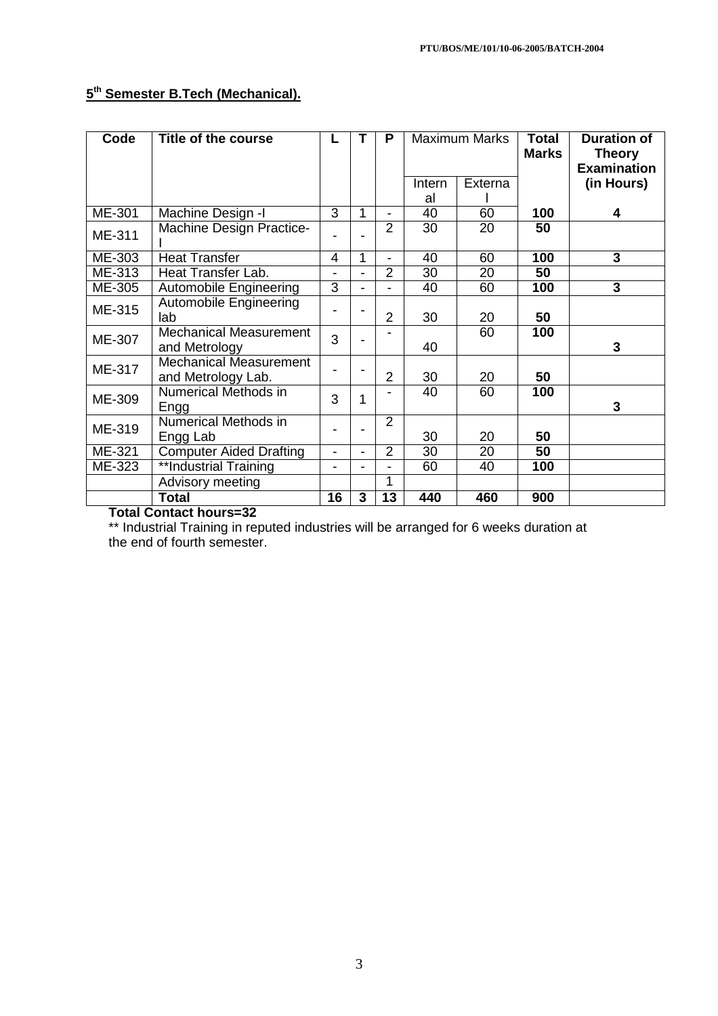# **5 th Semester B.Tech (Mechanical).**

| Code   | Title of the course                                 | L                        |                          | P                        | <b>Maximum Marks</b> |         | <b>Total</b><br><b>Marks</b> | <b>Duration of</b><br><b>Theory</b><br><b>Examination</b> |
|--------|-----------------------------------------------------|--------------------------|--------------------------|--------------------------|----------------------|---------|------------------------------|-----------------------------------------------------------|
|        |                                                     |                          |                          |                          | Intern<br>al         | Externa |                              | (in Hours)                                                |
| ME-301 | Machine Design -I                                   | 3                        | 1                        | $\overline{\phantom{a}}$ | 40                   | 60      | 100                          | 4                                                         |
| ME-311 | Machine Design Practice-                            | ۰                        |                          | $\overline{2}$           | 30                   | 20      | 50                           |                                                           |
| ME-303 | <b>Heat Transfer</b>                                | $\overline{4}$           | 1                        | $\blacksquare$           | 40                   | 60      | 100                          | 3                                                         |
| ME-313 | Heat Transfer Lab.                                  | $\overline{\phantom{0}}$ | $\blacksquare$           | $\overline{2}$           | 30                   | 20      | 50                           |                                                           |
| ME-305 | <b>Automobile Engineering</b>                       | 3                        |                          |                          | 40                   | 60      | 100                          | 3                                                         |
| ME-315 | <b>Automobile Engineering</b><br>lab                |                          |                          | $\overline{2}$           | 30                   | 20      | 50                           |                                                           |
| ME-307 | <b>Mechanical Measurement</b><br>and Metrology      | 3                        |                          |                          | 40                   | 60      | 100                          | 3                                                         |
| ME-317 | <b>Mechanical Measurement</b><br>and Metrology Lab. |                          |                          | $\overline{2}$           | 30                   | 20      | 50                           |                                                           |
| ME-309 | <b>Numerical Methods in</b><br>Engg                 | 3                        | 1                        |                          | 40                   | 60      | 100                          | 3                                                         |
| ME-319 | Numerical Methods in<br>Engg Lab                    | ٠                        |                          | $\overline{2}$           | 30                   | 20      | 50                           |                                                           |
| ME-321 | <b>Computer Aided Drafting</b>                      | $\overline{a}$           | $\overline{\phantom{0}}$ | 2                        | 30                   | 20      | 50                           |                                                           |
| ME-323 | **Industrial Training                               | $\overline{\phantom{0}}$ |                          |                          | 60                   | 40      | 100                          |                                                           |
|        | Advisory meeting                                    |                          |                          |                          |                      |         |                              |                                                           |
|        | Total                                               | 16                       | 3                        | 13                       | 440                  | 460     | 900                          |                                                           |

**Total Contact hours=32** 

\*\* Industrial Training in reputed industries will be arranged for 6 weeks duration at the end of fourth semester.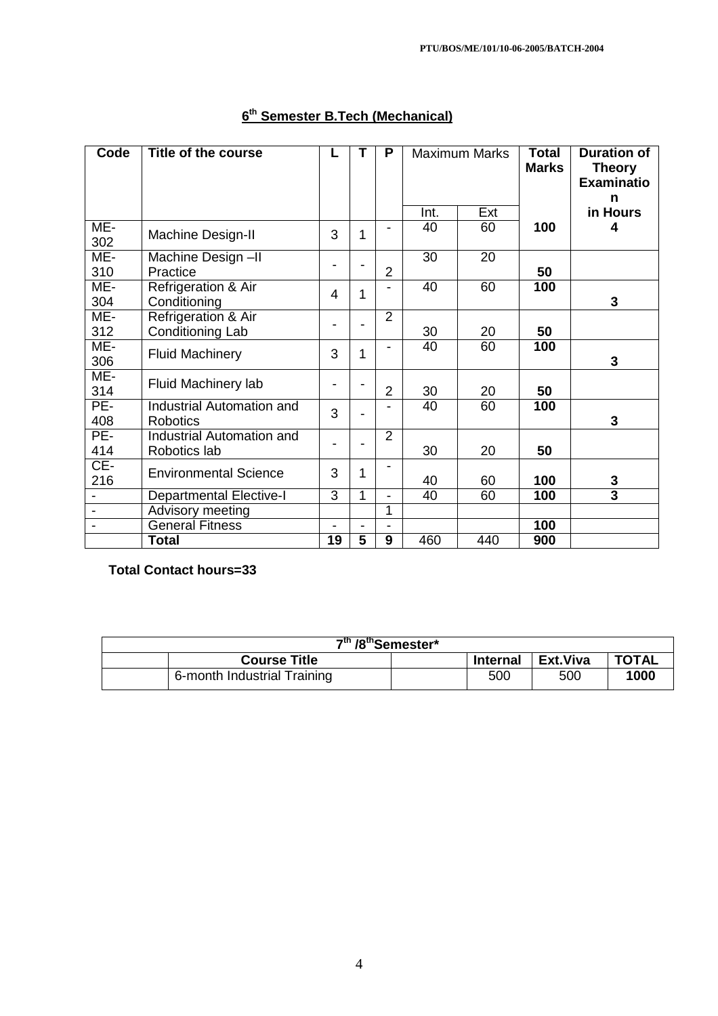| Code       | <b>Title of the course</b>                          | L                        | Т              | P              | <b>Maximum Marks</b> |     | <b>Total</b><br><b>Marks</b> | <b>Duration of</b><br><b>Theory</b><br><b>Examinatio</b><br>n |
|------------|-----------------------------------------------------|--------------------------|----------------|----------------|----------------------|-----|------------------------------|---------------------------------------------------------------|
|            |                                                     |                          |                |                | Int.                 | Ext |                              | in Hours                                                      |
| ME-<br>302 | Machine Design-II                                   | 3                        | 1              |                | 40                   | 60  | 100                          | 4                                                             |
| ME-<br>310 | Machine Design-II<br>Practice                       | $\blacksquare$           |                | $\overline{2}$ | 30                   | 20  | 50                           |                                                               |
| ME-<br>304 | Refrigeration & Air<br>Conditioning                 | 4                        | 1              |                | 40                   | 60  | 100                          | 3                                                             |
| ME-<br>312 | Refrigeration & Air<br>Conditioning Lab             | $\overline{\phantom{a}}$ |                | $\overline{2}$ | 30                   | 20  | 50                           |                                                               |
| ME-<br>306 | <b>Fluid Machinery</b>                              | 3                        | 1              | ۰              | 40                   | 60  | 100                          | $\overline{3}$                                                |
| ME-<br>314 | Fluid Machinery lab                                 |                          |                | $\overline{2}$ | 30                   | 20  | 50                           |                                                               |
| PE-<br>408 | <b>Industrial Automation and</b><br><b>Robotics</b> | 3                        | $\blacksquare$ |                | 40                   | 60  | 100                          | 3                                                             |
| PE-<br>414 | Industrial Automation and<br>Robotics lab           |                          |                | $\overline{2}$ | 30                   | 20  | 50                           |                                                               |
| CE-<br>216 | <b>Environmental Science</b>                        | 3                        | 1              | Ē,             | 40                   | 60  | 100                          | 3                                                             |
|            | <b>Departmental Elective-I</b>                      | 3                        | 1              |                | 40                   | 60  | 100                          | $\overline{3}$                                                |
|            | Advisory meeting                                    |                          |                | 1              |                      |     |                              |                                                               |
|            | <b>General Fitness</b>                              | $\overline{\phantom{a}}$ | $\overline{a}$ |                |                      |     | 100                          |                                                               |
|            | Total                                               | 19                       | 5              | 9              | 460                  | 440 | 900                          |                                                               |

# **6 th Semester B.Tech (Mechanical)**

**Total Contact hours=33** 

| 7 <sup>th</sup> /8 <sup>th</sup> Semester* |                             |                 |          |              |  |  |  |  |  |
|--------------------------------------------|-----------------------------|-----------------|----------|--------------|--|--|--|--|--|
|                                            | <b>Course Title</b>         | <b>Internal</b> | Ext.Viva | <b>TOTAL</b> |  |  |  |  |  |
|                                            | 6-month Industrial Training | 500             | 500      | 1000         |  |  |  |  |  |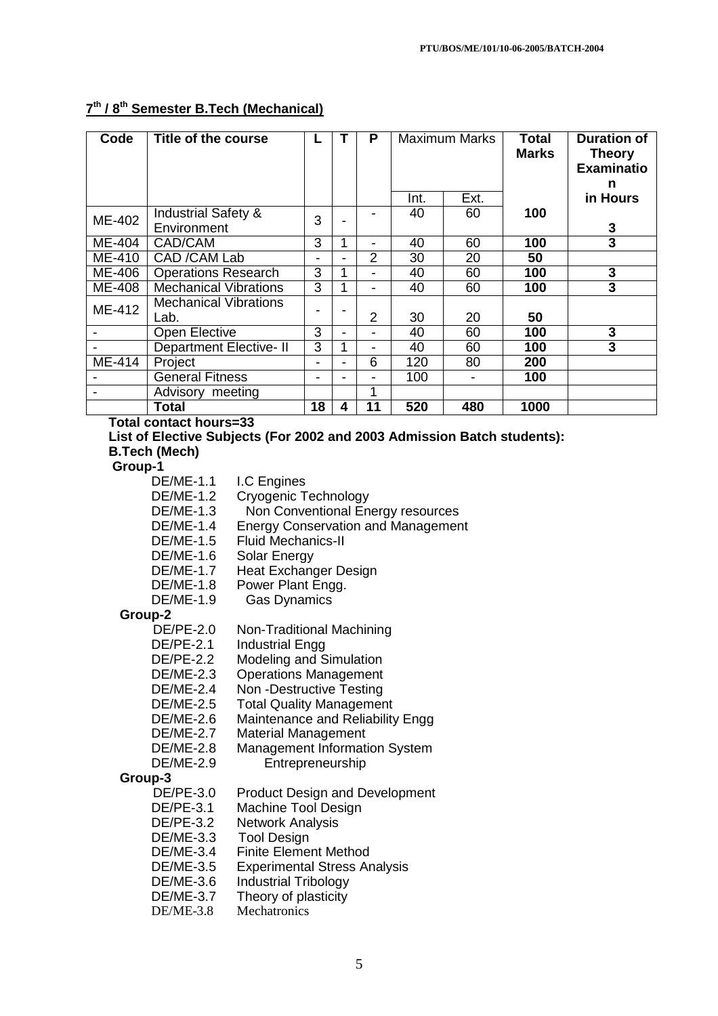# **7 th / 8th Semester B.Tech (Mechanical)**

| Code   | Title of the course                  | L  |   | P  | Maximum Marks |      | <b>Total</b><br><b>Marks</b> | <b>Duration of</b><br><b>Theory</b><br><b>Examinatio</b><br>n |
|--------|--------------------------------------|----|---|----|---------------|------|------------------------------|---------------------------------------------------------------|
|        |                                      |    |   |    | Int.          | Ext. |                              | in Hours                                                      |
| ME-402 | <b>Industrial Safety &amp;</b>       | 3  |   |    | 40            | 60   | 100                          |                                                               |
|        | Environment                          |    |   |    |               |      |                              | 3                                                             |
| ME-404 | CAD/CAM                              | 3  |   |    | 40            | 60   | 100                          | 3                                                             |
| ME-410 | CAD / CAM Lab                        | -  |   | 2  | 30            | 20   | 50                           |                                                               |
| ME-406 | <b>Operations Research</b>           | 3  | 4 | -  | 40            | 60   | 100                          | 3                                                             |
| ME-408 | <b>Mechanical Vibrations</b>         | 3  |   |    | 40            | 60   | 100                          | 3                                                             |
| ME-412 | <b>Mechanical Vibrations</b><br>Lab. | -  |   | 2  | 30            | 20   | 50                           |                                                               |
|        | <b>Open Elective</b>                 | 3  |   |    | 40            | 60   | 100                          | 3                                                             |
|        | <b>Department Elective-II</b>        | 3  |   |    | 40            | 60   | 100                          | 3                                                             |
| ME-414 | Project                              | -  |   | 6  | 120           | 80   | 200                          |                                                               |
|        | <b>General Fitness</b>               | -  |   |    | 100           |      | 100                          |                                                               |
|        | Advisory meeting                     |    |   | 1  |               |      |                              |                                                               |
|        | Total                                | 18 | 4 | 11 | 520           | 480  | 1000                         |                                                               |

# **Total contact hours=33**

**List of Elective Subjects (For 2002 and 2003 Admission Batch students): B.Tech (Mech)** 

 **Group-1** 

DE/ME-1.1 I.C Engines

DE/ME-1.2 Cryogenic Technology

DE/ME-1.3 Non Conventional Energy resources

DE/ME-1.4 Energy Conservation and Management

DE/ME-1.5 Fluid Mechanics-II

DE/ME-1.6 Solar Energy

DE/ME-1.7 Heat Exchanger Design

DE/ME-1.8 Power Plant Engg.

DE/ME-1.9 Gas Dynamics

#### **Group-2**

DE/PE-2.0 Non-Traditional Machining

DE/PE-2.1 Industrial Engg

DE/PE-2.2 Modeling and Simulation

DE/ME-2.3 Operations Management

DE/ME-2.4 Non -Destructive Testing

DE/ME-2.5 Total Quality Management

DE/ME-2.6 Maintenance and Reliability Engg

DE/ME-2.7 Material Management

- DE/ME-2.8 Management Information System
- DE/ME-2.9 Entrepreneurship

### **Group-3**

- DE/PE-3.0 Product Design and Development
- DE/PE-3.1 Machine Tool Design
- DE/PE-3.2 Network Analysis
- DE/ME-3.3 Tool Design<br>DE/ME-3.4 Finite Eleme
- **Finite Element Method**
- DE/ME-3.5 Experimental Stress Analysis
- DE/ME-3.6 Industrial Tribology
- DE/ME-3.7 Theory of plasticity
- DE/ME-3.8 Mechatronics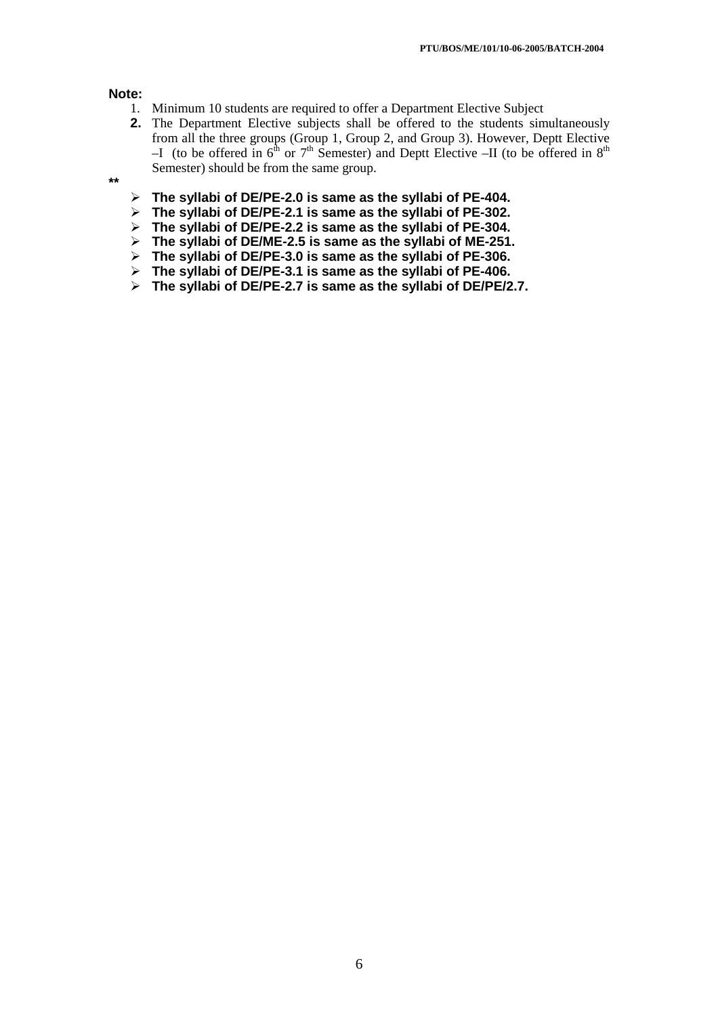#### **Note:**

- 1. Minimum 10 students are required to offer a Department Elective Subject
- **2.** The Department Elective subjects shall be offered to the students simultaneously from all the three groups (Group 1, Group 2, and Group 3). However, Deptt Elective –I (to be offered in  $6<sup>th</sup>$  or  $7<sup>th</sup>$  Semester) and Deptt Elective –II (to be offered in  $8<sup>th</sup>$ Semester) should be from the same group.
- **\*\***
- **The syllabi of DE/PE-2.0 is same as the syllabi of PE-404.**
- **The syllabi of DE/PE-2.1 is same as the syllabi of PE-302.**
- **The syllabi of DE/PE-2.2 is same as the syllabi of PE-304.**
- **The syllabi of DE/ME-2.5 is same as the syllabi of ME-251.**
- **The syllabi of DE/PE-3.0 is same as the syllabi of PE-306.**
- **The syllabi of DE/PE-3.1 is same as the syllabi of PE-406.**
- **The syllabi of DE/PE-2.7 is same as the syllabi of DE/PE/2.7.**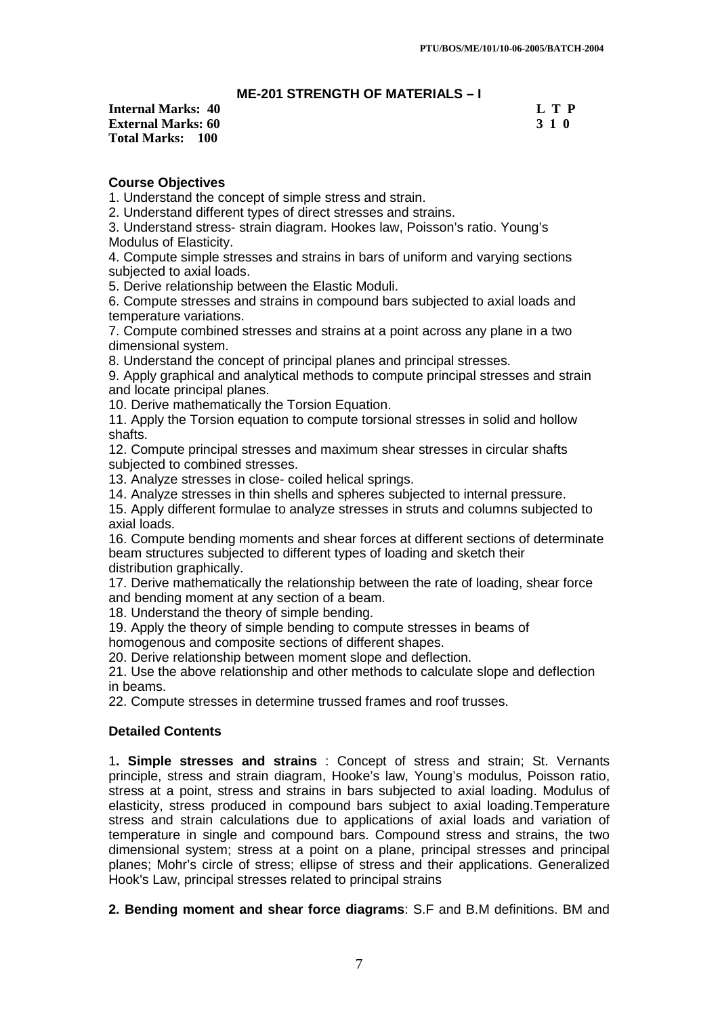# **ME-201 STRENGTH OF MATERIALS – I**

**Internal Marks: 40 L T P L T P External Marks: 60 3 1 0 Total Marks: 100**

# **Course Objectives**

1. Understand the concept of simple stress and strain.

2. Understand different types of direct stresses and strains.

3. Understand stress- strain diagram. Hookes law, Poisson's ratio. Young's Modulus of Elasticity.

4. Compute simple stresses and strains in bars of uniform and varying sections subjected to axial loads.

5. Derive relationship between the Elastic Moduli.

6. Compute stresses and strains in compound bars subjected to axial loads and temperature variations.

7. Compute combined stresses and strains at a point across any plane in a two dimensional system.

8. Understand the concept of principal planes and principal stresses.

9. Apply graphical and analytical methods to compute principal stresses and strain and locate principal planes.

10. Derive mathematically the Torsion Equation.

11. Apply the Torsion equation to compute torsional stresses in solid and hollow shafts.

12. Compute principal stresses and maximum shear stresses in circular shafts subjected to combined stresses.

13. Analyze stresses in close- coiled helical springs.

14. Analyze stresses in thin shells and spheres subjected to internal pressure.

15. Apply different formulae to analyze stresses in struts and columns subjected to axial loads.

16. Compute bending moments and shear forces at different sections of determinate beam structures subjected to different types of loading and sketch their distribution graphically.

17. Derive mathematically the relationship between the rate of loading, shear force and bending moment at any section of a beam.

18. Understand the theory of simple bending.

19. Apply the theory of simple bending to compute stresses in beams of homogenous and composite sections of different shapes.

20. Derive relationship between moment slope and deflection.

21. Use the above relationship and other methods to calculate slope and deflection in beams.

22. Compute stresses in determine trussed frames and roof trusses.

## **Detailed Contents**

1**. Simple stresses and strains** : Concept of stress and strain; St. Vernants principle, stress and strain diagram, Hooke's law, Young's modulus, Poisson ratio, stress at a point, stress and strains in bars subjected to axial loading. Modulus of elasticity, stress produced in compound bars subject to axial loading.Temperature stress and strain calculations due to applications of axial loads and variation of temperature in single and compound bars. Compound stress and strains, the two dimensional system; stress at a point on a plane, principal stresses and principal planes; Mohr's circle of stress; ellipse of stress and their applications. Generalized Hook's Law, principal stresses related to principal strains

**2. Bending moment and shear force diagrams**: S.F and B.M definitions. BM and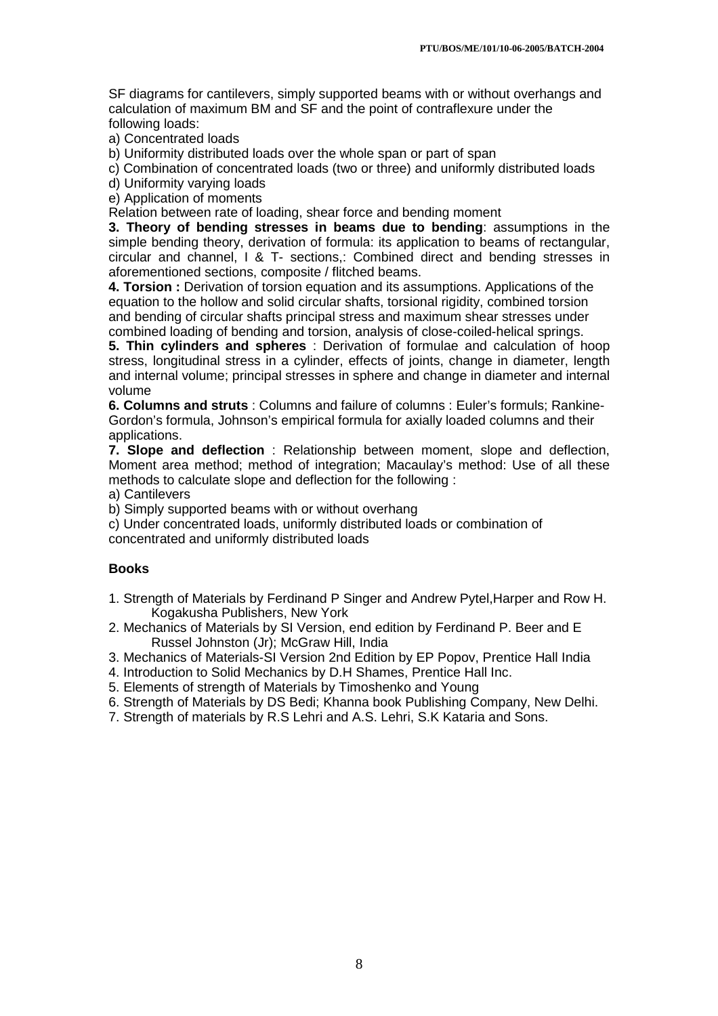SF diagrams for cantilevers, simply supported beams with or without overhangs and calculation of maximum BM and SF and the point of contraflexure under the following loads:

a) Concentrated loads

b) Uniformity distributed loads over the whole span or part of span

c) Combination of concentrated loads (two or three) and uniformly distributed loads

d) Uniformity varying loads

e) Application of moments

Relation between rate of loading, shear force and bending moment

**3. Theory of bending stresses in beams due to bending**: assumptions in the simple bending theory, derivation of formula: its application to beams of rectangular, circular and channel, I & T- sections,: Combined direct and bending stresses in aforementioned sections, composite / flitched beams.

**4. Torsion :** Derivation of torsion equation and its assumptions. Applications of the equation to the hollow and solid circular shafts, torsional rigidity, combined torsion and bending of circular shafts principal stress and maximum shear stresses under combined loading of bending and torsion, analysis of close-coiled-helical springs.

**5. Thin cylinders and spheres** : Derivation of formulae and calculation of hoop stress, longitudinal stress in a cylinder, effects of joints, change in diameter, length and internal volume; principal stresses in sphere and change in diameter and internal volume

**6. Columns and struts** : Columns and failure of columns : Euler's formuls; Rankine-Gordon's formula, Johnson's empirical formula for axially loaded columns and their applications.

**7. Slope and deflection** : Relationship between moment, slope and deflection, Moment area method; method of integration; Macaulay's method: Use of all these methods to calculate slope and deflection for the following :

a) Cantilevers

b) Simply supported beams with or without overhang

c) Under concentrated loads, uniformly distributed loads or combination of concentrated and uniformly distributed loads

## **Books**

- 1. Strength of Materials by Ferdinand P Singer and Andrew Pytel,Harper and Row H. Kogakusha Publishers, New York
- 2. Mechanics of Materials by SI Version, end edition by Ferdinand P. Beer and E Russel Johnston (Jr); McGraw Hill, India
- 3. Mechanics of Materials-SI Version 2nd Edition by EP Popov, Prentice Hall India
- 4. Introduction to Solid Mechanics by D.H Shames, Prentice Hall Inc.
- 5. Elements of strength of Materials by Timoshenko and Young
- 6. Strength of Materials by DS Bedi; Khanna book Publishing Company, New Delhi.
- 7. Strength of materials by R.S Lehri and A.S. Lehri, S.K Kataria and Sons.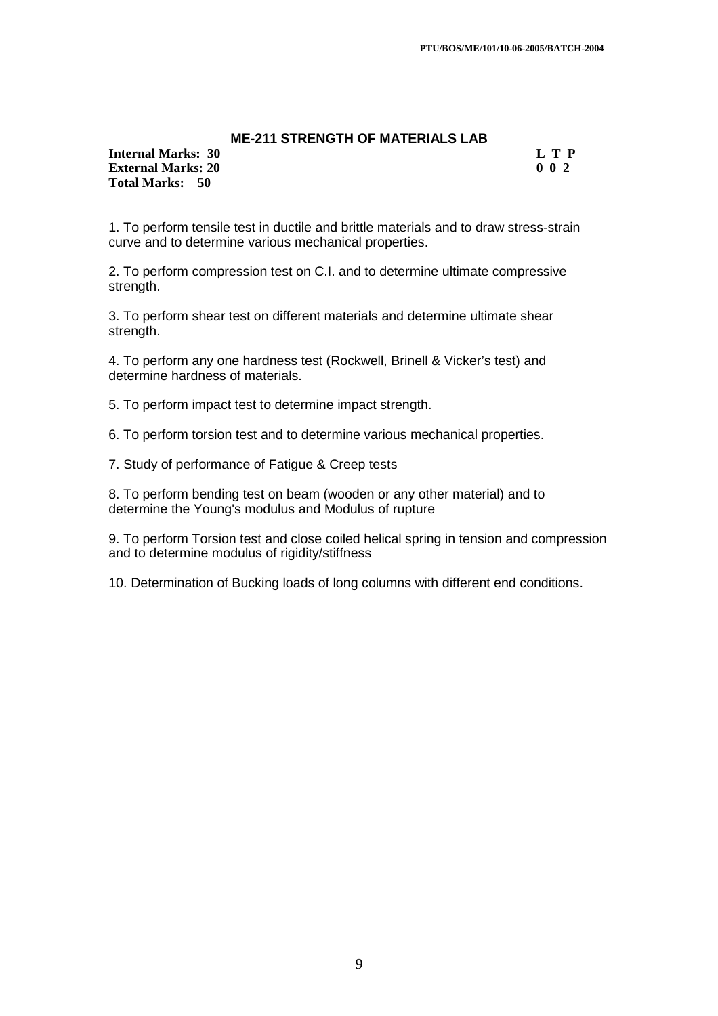## **ME-211 STRENGTH OF MATERIALS LAB**

**Internal Marks: 30 L T P**<br> **External Marks: 20** 0 0 2 **External Marks: 20 Total Marks: 50**

1. To perform tensile test in ductile and brittle materials and to draw stress-strain curve and to determine various mechanical properties.

2. To perform compression test on C.I. and to determine ultimate compressive strength.

3. To perform shear test on different materials and determine ultimate shear strength.

4. To perform any one hardness test (Rockwell, Brinell & Vicker's test) and determine hardness of materials.

5. To perform impact test to determine impact strength.

6. To perform torsion test and to determine various mechanical properties.

7. Study of performance of Fatigue & Creep tests

8. To perform bending test on beam (wooden or any other material) and to determine the Young's modulus and Modulus of rupture

9. To perform Torsion test and close coiled helical spring in tension and compression and to determine modulus of rigidity/stiffness

10. Determination of Bucking loads of long columns with different end conditions.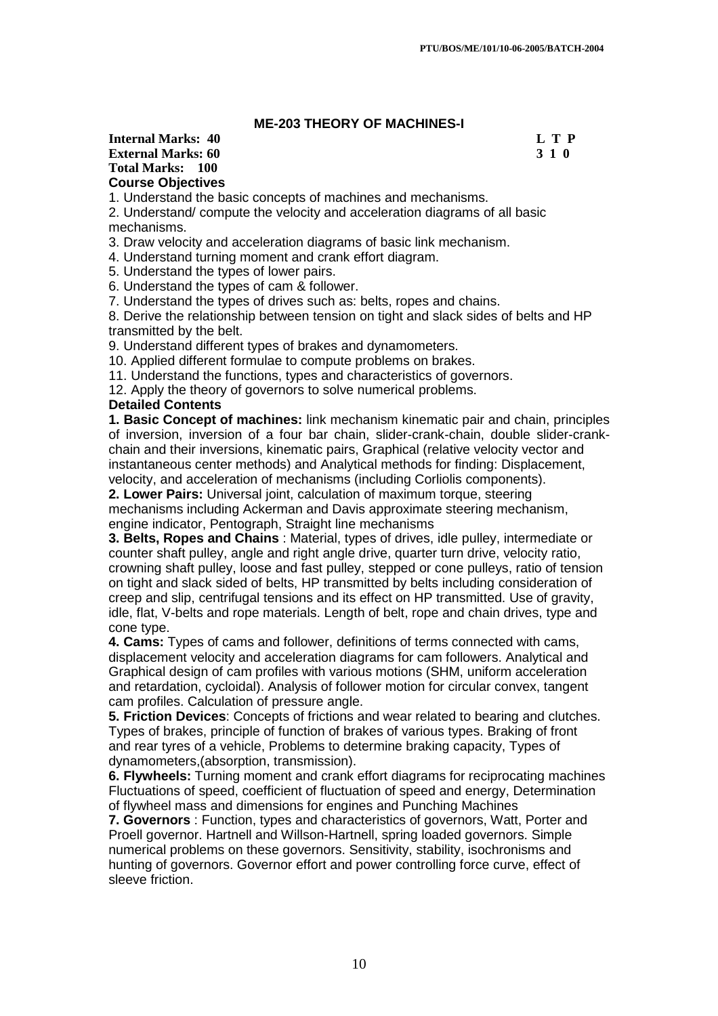# **ME-203 THEORY OF MACHINES-I**

#### **Internal Marks: 40 L T P External Marks: 60 Total Marks: 100 Course Objectives**

1. Understand the basic concepts of machines and mechanisms.

2. Understand/ compute the velocity and acceleration diagrams of all basic mechanisms.

3. Draw velocity and acceleration diagrams of basic link mechanism.

4. Understand turning moment and crank effort diagram.

5. Understand the types of lower pairs.

6. Understand the types of cam & follower.

7. Understand the types of drives such as: belts, ropes and chains.

8. Derive the relationship between tension on tight and slack sides of belts and HP transmitted by the belt.

9. Understand different types of brakes and dynamometers.

10. Applied different formulae to compute problems on brakes.

11. Understand the functions, types and characteristics of governors.

12. Apply the theory of governors to solve numerical problems.

#### **Detailed Contents**

**1. Basic Concept of machines:** link mechanism kinematic pair and chain, principles of inversion, inversion of a four bar chain, slider-crank-chain, double slider-crankchain and their inversions, kinematic pairs, Graphical (relative velocity vector and instantaneous center methods) and Analytical methods for finding: Displacement, velocity, and acceleration of mechanisms (including Corliolis components).

**2. Lower Pairs:** Universal joint, calculation of maximum torque, steering mechanisms including Ackerman and Davis approximate steering mechanism, engine indicator, Pentograph, Straight line mechanisms

**3. Belts, Ropes and Chains** : Material, types of drives, idle pulley, intermediate or counter shaft pulley, angle and right angle drive, quarter turn drive, velocity ratio, crowning shaft pulley, loose and fast pulley, stepped or cone pulleys, ratio of tension on tight and slack sided of belts, HP transmitted by belts including consideration of creep and slip, centrifugal tensions and its effect on HP transmitted. Use of gravity, idle, flat, V-belts and rope materials. Length of belt, rope and chain drives, type and cone type.

**4. Cams:** Types of cams and follower, definitions of terms connected with cams, displacement velocity and acceleration diagrams for cam followers. Analytical and Graphical design of cam profiles with various motions (SHM, uniform acceleration and retardation, cycloidal). Analysis of follower motion for circular convex, tangent cam profiles. Calculation of pressure angle.

**5. Friction Devices**: Concepts of frictions and wear related to bearing and clutches. Types of brakes, principle of function of brakes of various types. Braking of front and rear tyres of a vehicle, Problems to determine braking capacity, Types of dynamometers,(absorption, transmission).

**6. Flywheels:** Turning moment and crank effort diagrams for reciprocating machines Fluctuations of speed, coefficient of fluctuation of speed and energy, Determination of flywheel mass and dimensions for engines and Punching Machines

**7. Governors** : Function, types and characteristics of governors, Watt, Porter and Proell governor. Hartnell and Willson-Hartnell, spring loaded governors. Simple numerical problems on these governors. Sensitivity, stability, isochronisms and hunting of governors. Governor effort and power controlling force curve, effect of sleeve friction.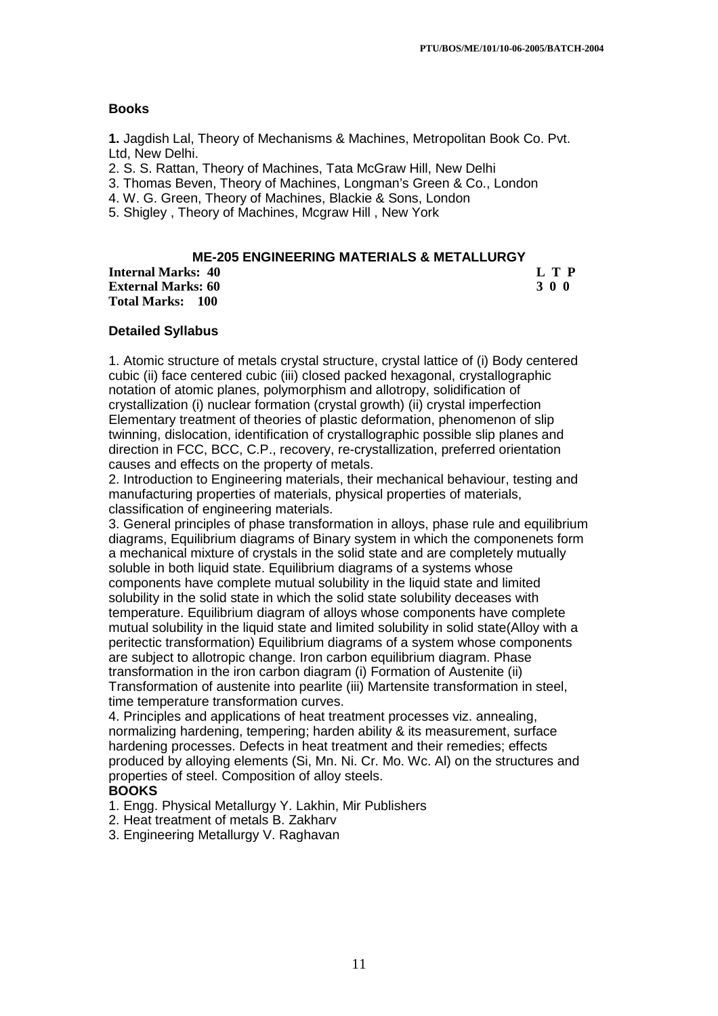## **Books**

**1.** Jagdish Lal, Theory of Mechanisms & Machines, Metropolitan Book Co. Pvt. Ltd, New Delhi.

2. S. S. Rattan, Theory of Machines, Tata McGraw Hill, New Delhi

3. Thomas Beven, Theory of Machines, Longman's Green & Co., London

4. W. G. Green, Theory of Machines, Blackie & Sons, London

5. Shigley , Theory of Machines, Mcgraw Hill , New York

## **ME-205 ENGINEERING MATERIALS & METALLURGY**

**Internal Marks: 40 L T P L T P External Marks: 60 3 0 0 Total Marks: 100**

## **Detailed Syllabus**

1. Atomic structure of metals crystal structure, crystal lattice of (i) Body centered cubic (ii) face centered cubic (iii) closed packed hexagonal, crystallographic notation of atomic planes, polymorphism and allotropy, solidification of crystallization (i) nuclear formation (crystal growth) (ii) crystal imperfection Elementary treatment of theories of plastic deformation, phenomenon of slip twinning, dislocation, identification of crystallographic possible slip planes and direction in FCC, BCC, C.P., recovery, re-crystallization, preferred orientation causes and effects on the property of metals.

2. Introduction to Engineering materials, their mechanical behaviour, testing and manufacturing properties of materials, physical properties of materials, classification of engineering materials.

3. General principles of phase transformation in alloys, phase rule and equilibrium diagrams, Equilibrium diagrams of Binary system in which the componenets form a mechanical mixture of crystals in the solid state and are completely mutually soluble in both liquid state. Equilibrium diagrams of a systems whose components have complete mutual solubility in the liquid state and limited solubility in the solid state in which the solid state solubility deceases with temperature. Equilibrium diagram of alloys whose components have complete mutual solubility in the liquid state and limited solubility in solid state(Alloy with a peritectic transformation) Equilibrium diagrams of a system whose components are subject to allotropic change. Iron carbon equilibrium diagram. Phase transformation in the iron carbon diagram (i) Formation of Austenite (ii) Transformation of austenite into pearlite (iii) Martensite transformation in steel, time temperature transformation curves.

4. Principles and applications of heat treatment processes viz. annealing, normalizing hardening, tempering; harden ability & its measurement, surface hardening processes. Defects in heat treatment and their remedies; effects produced by alloying elements (Si, Mn. Ni. Cr. Mo. Wc. Al) on the structures and properties of steel. Composition of alloy steels.

### **BOOKS**

1. Engg. Physical Metallurgy Y. Lakhin, Mir Publishers

2. Heat treatment of metals B. Zakharv

3. Engineering Metallurgy V. Raghavan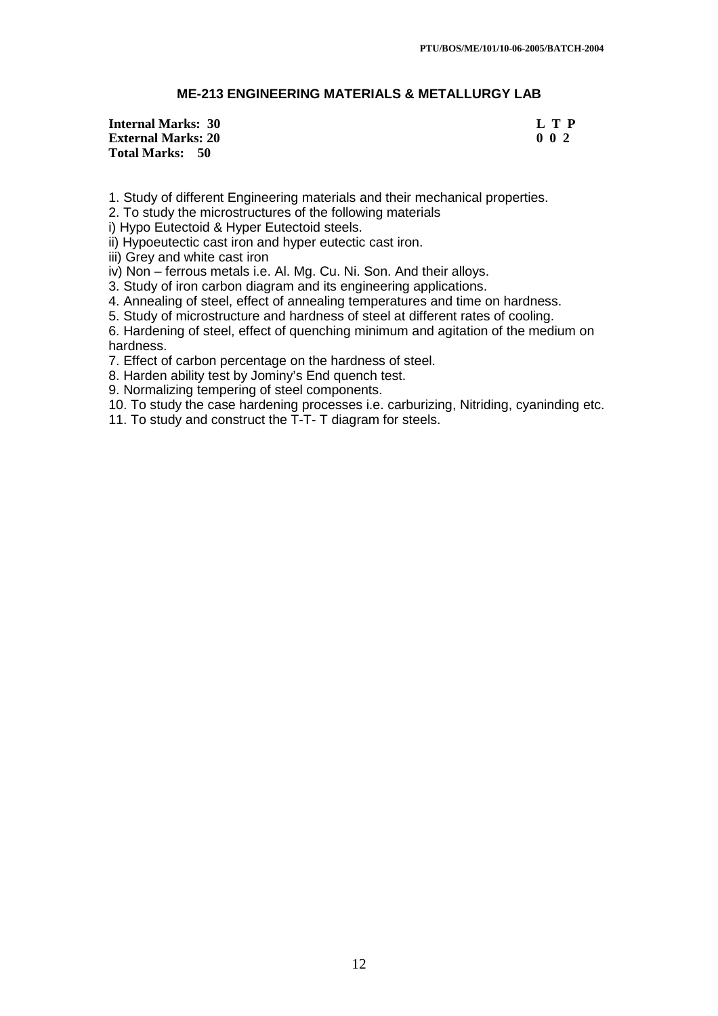# **ME-213 ENGINEERING MATERIALS & METALLURGY LAB**

**Internal Marks: 30 L T P External Marks: 20 Total Marks: 50**

1. Study of different Engineering materials and their mechanical properties.

2. To study the microstructures of the following materials

i) Hypo Eutectoid & Hyper Eutectoid steels.

ii) Hypoeutectic cast iron and hyper eutectic cast iron.

iii) Grey and white cast iron

iv) Non – ferrous metals i.e. Al. Mg. Cu. Ni. Son. And their alloys.

3. Study of iron carbon diagram and its engineering applications.

4. Annealing of steel, effect of annealing temperatures and time on hardness.

5. Study of microstructure and hardness of steel at different rates of cooling.

6. Hardening of steel, effect of quenching minimum and agitation of the medium on hardness.

7. Effect of carbon percentage on the hardness of steel.

8. Harden ability test by Jominy's End quench test.

9. Normalizing tempering of steel components.

10. To study the case hardening processes i.e. carburizing, Nitriding, cyaninding etc.

11. To study and construct the T-T- T diagram for steels.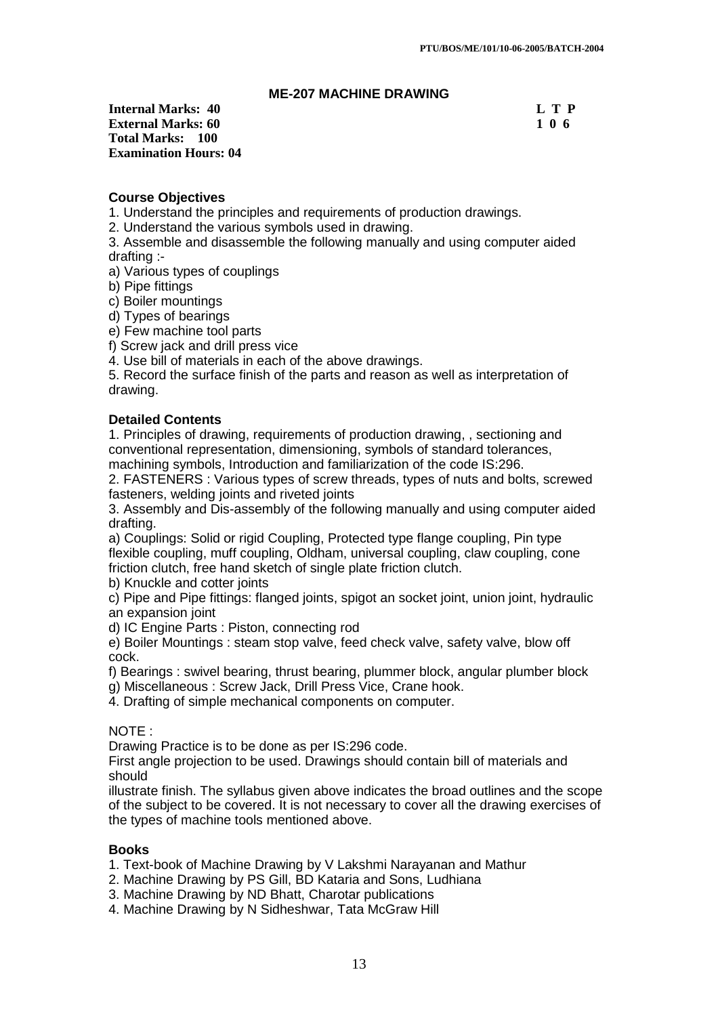## **ME-207 MACHINE DRAWING**

#### **Internal Marks: 40 L T P L T P External Marks: 60 1 0 6 <b>1 0 6 1 0 6 1 0 6 1 0 6 1 0 6 1 0 6 1 0 6 1 0 6 1 0 6 1 0 6 1 0 6 1 0 6 1 0 6 1 0 6 1 0 6 1 0 6 1 0 6 1 0 6 1 0 6 1 0 6 1 0 6 1 0 6 Total Marks: 100 Examination Hours: 04**

## **Course Objectives**

1. Understand the principles and requirements of production drawings.

2. Understand the various symbols used in drawing.

3. Assemble and disassemble the following manually and using computer aided drafting :-

a) Various types of couplings

b) Pipe fittings

c) Boiler mountings

d) Types of bearings

e) Few machine tool parts

f) Screw jack and drill press vice

4. Use bill of materials in each of the above drawings.

5. Record the surface finish of the parts and reason as well as interpretation of drawing.

## **Detailed Contents**

1. Principles of drawing, requirements of production drawing, , sectioning and conventional representation, dimensioning, symbols of standard tolerances, machining symbols, Introduction and familiarization of the code IS:296.

2. FASTENERS : Various types of screw threads, types of nuts and bolts, screwed fasteners, welding joints and riveted joints

3. Assembly and Dis-assembly of the following manually and using computer aided drafting.

a) Couplings: Solid or rigid Coupling, Protected type flange coupling, Pin type flexible coupling, muff coupling, Oldham, universal coupling, claw coupling, cone friction clutch, free hand sketch of single plate friction clutch.

b) Knuckle and cotter joints

c) Pipe and Pipe fittings: flanged joints, spigot an socket joint, union joint, hydraulic an expansion joint

d) IC Engine Parts : Piston, connecting rod

e) Boiler Mountings : steam stop valve, feed check valve, safety valve, blow off cock.

f) Bearings : swivel bearing, thrust bearing, plummer block, angular plumber block

g) Miscellaneous : Screw Jack, Drill Press Vice, Crane hook.

4. Drafting of simple mechanical components on computer.

NOTE :

Drawing Practice is to be done as per IS:296 code.

First angle projection to be used. Drawings should contain bill of materials and should

illustrate finish. The syllabus given above indicates the broad outlines and the scope of the subject to be covered. It is not necessary to cover all the drawing exercises of the types of machine tools mentioned above.

### **Books**

- 1. Text-book of Machine Drawing by V Lakshmi Narayanan and Mathur
- 2. Machine Drawing by PS Gill, BD Kataria and Sons, Ludhiana
- 3. Machine Drawing by ND Bhatt, Charotar publications
- 4. Machine Drawing by N Sidheshwar, Tata McGraw Hill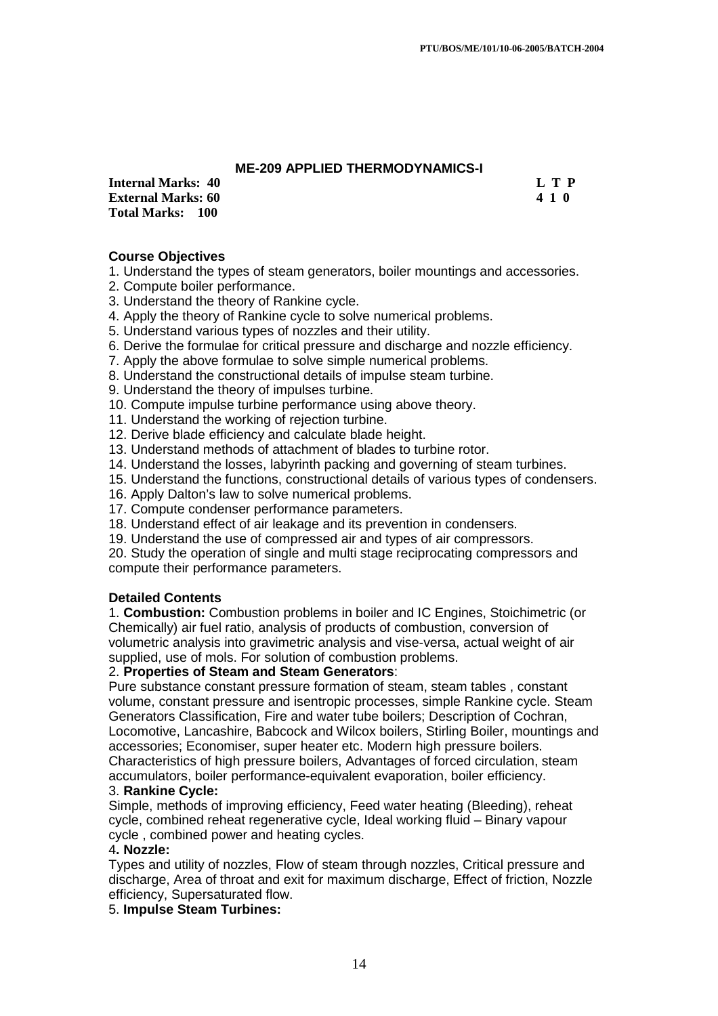# **ME-209 APPLIED THERMODYNAMICS-I**

**Internal Marks: 40 L T P I** L T P **External Marks: 60 4 1 0 Total Marks: 100**

# **Course Objectives**

1. Understand the types of steam generators, boiler mountings and accessories.

- 2. Compute boiler performance.
- 3. Understand the theory of Rankine cycle.
- 4. Apply the theory of Rankine cycle to solve numerical problems.
- 5. Understand various types of nozzles and their utility.
- 6. Derive the formulae for critical pressure and discharge and nozzle efficiency.
- 7. Apply the above formulae to solve simple numerical problems.
- 8. Understand the constructional details of impulse steam turbine.
- 9. Understand the theory of impulses turbine.
- 10. Compute impulse turbine performance using above theory.
- 11. Understand the working of rejection turbine.
- 12. Derive blade efficiency and calculate blade height.
- 13. Understand methods of attachment of blades to turbine rotor.
- 14. Understand the losses, labyrinth packing and governing of steam turbines.
- 15. Understand the functions, constructional details of various types of condensers.
- 16. Apply Dalton's law to solve numerical problems.
- 17. Compute condenser performance parameters.
- 18. Understand effect of air leakage and its prevention in condensers.
- 19. Understand the use of compressed air and types of air compressors.

20. Study the operation of single and multi stage reciprocating compressors and compute their performance parameters.

### **Detailed Contents**

1. **Combustion:** Combustion problems in boiler and IC Engines, Stoichimetric (or Chemically) air fuel ratio, analysis of products of combustion, conversion of volumetric analysis into gravimetric analysis and vise-versa, actual weight of air supplied, use of mols. For solution of combustion problems.

### 2. **Properties of Steam and Steam Generators**:

Pure substance constant pressure formation of steam, steam tables , constant volume, constant pressure and isentropic processes, simple Rankine cycle. Steam Generators Classification, Fire and water tube boilers; Description of Cochran, Locomotive, Lancashire, Babcock and Wilcox boilers, Stirling Boiler, mountings and accessories; Economiser, super heater etc. Modern high pressure boilers. Characteristics of high pressure boilers, Advantages of forced circulation, steam accumulators, boiler performance-equivalent evaporation, boiler efficiency.

## 3. **Rankine Cycle:**

Simple, methods of improving efficiency, Feed water heating (Bleeding), reheat cycle, combined reheat regenerative cycle, Ideal working fluid – Binary vapour cycle , combined power and heating cycles.

### 4**. Nozzle:**

Types and utility of nozzles, Flow of steam through nozzles, Critical pressure and discharge, Area of throat and exit for maximum discharge, Effect of friction, Nozzle efficiency, Supersaturated flow.

5. **Impulse Steam Turbines:**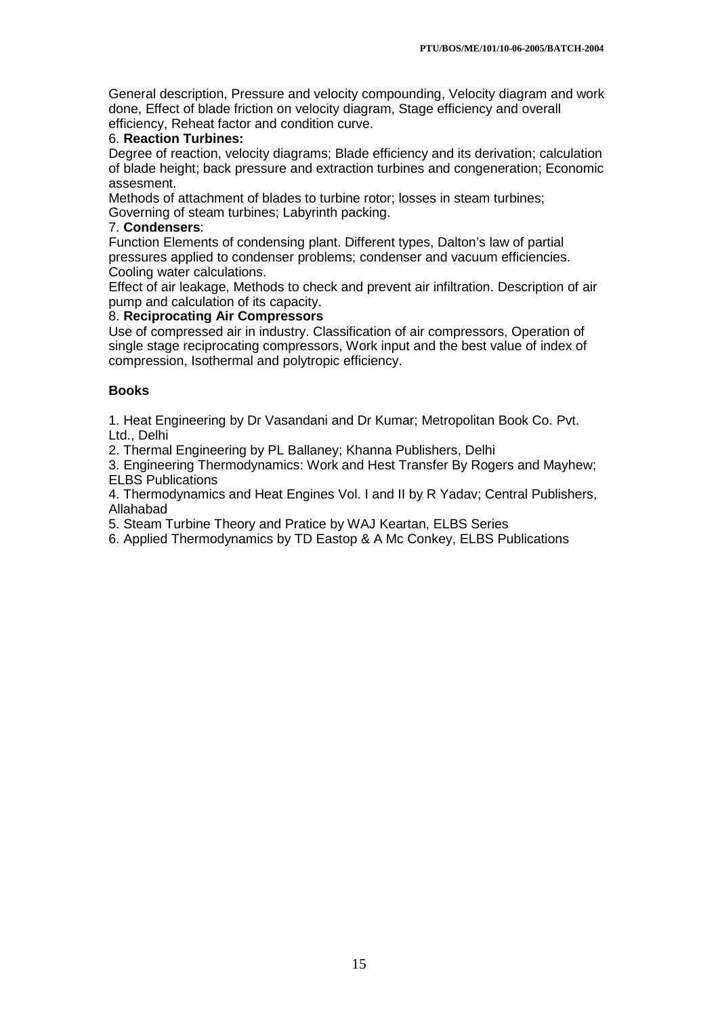General description, Pressure and velocity compounding, Velocity diagram and work done, Effect of blade friction on velocity diagram, Stage efficiency and overall efficiency, Reheat factor and condition curve.

## 6. **Reaction Turbines:**

Degree of reaction, velocity diagrams; Blade efficiency and its derivation; calculation of blade height; back pressure and extraction turbines and congeneration; Economic assesment.

Methods of attachment of blades to turbine rotor; losses in steam turbines; Governing of steam turbines; Labyrinth packing.

## 7. **Condensers**:

Function Elements of condensing plant. Different types, Dalton's law of partial pressures applied to condenser problems; condenser and vacuum efficiencies. Cooling water calculations.

Effect of air leakage, Methods to check and prevent air infiltration. Description of air pump and calculation of its capacity.

## 8. **Reciprocating Air Compressors**

Use of compressed air in industry. Classification of air compressors, Operation of single stage reciprocating compressors, Work input and the best value of index of compression, Isothermal and polytropic efficiency.

# **Books**

1. Heat Engineering by Dr Vasandani and Dr Kumar; Metropolitan Book Co. Pvt. Ltd., Delhi

2. Thermal Engineering by PL Ballaney; Khanna Publishers, Delhi

3. Engineering Thermodynamics: Work and Hest Transfer By Rogers and Mayhew; ELBS Publications

4. Thermodynamics and Heat Engines Vol. I and II by R Yadav; Central Publishers, Allahabad

5. Steam Turbine Theory and Pratice by WAJ Keartan, ELBS Series

6. Applied Thermodynamics by TD Eastop & A Mc Conkey, ELBS Publications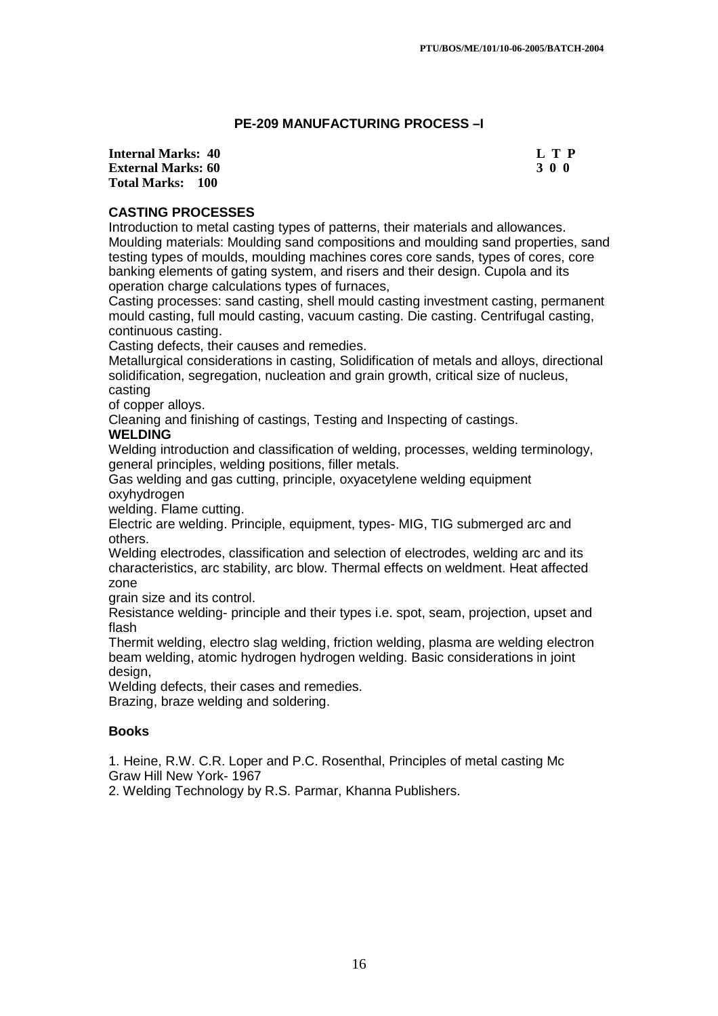## **PE-209 MANUFACTURING PROCESS –I**

## **Internal Marks: 40 L T P External Marks: 60 Total Marks: 100**

# **CASTING PROCESSES**

Introduction to metal casting types of patterns, their materials and allowances. Moulding materials: Moulding sand compositions and moulding sand properties, sand testing types of moulds, moulding machines cores core sands, types of cores, core banking elements of gating system, and risers and their design. Cupola and its operation charge calculations types of furnaces,

Casting processes: sand casting, shell mould casting investment casting, permanent mould casting, full mould casting, vacuum casting. Die casting. Centrifugal casting, continuous casting.

Casting defects, their causes and remedies.

Metallurgical considerations in casting, Solidification of metals and alloys, directional solidification, segregation, nucleation and grain growth, critical size of nucleus, casting

of copper alloys.

Cleaning and finishing of castings, Testing and Inspecting of castings.

## **WELDING**

Welding introduction and classification of welding, processes, welding terminology, general principles, welding positions, filler metals.

Gas welding and gas cutting, principle, oxyacetylene welding equipment oxyhydrogen

welding. Flame cutting.

Electric are welding. Principle, equipment, types- MIG, TIG submerged arc and others.

Welding electrodes, classification and selection of electrodes, welding arc and its characteristics, arc stability, arc blow. Thermal effects on weldment. Heat affected zone

grain size and its control.

Resistance welding- principle and their types i.e. spot, seam, projection, upset and flash

Thermit welding, electro slag welding, friction welding, plasma are welding electron beam welding, atomic hydrogen hydrogen welding. Basic considerations in joint design.

Welding defects, their cases and remedies.

Brazing, braze welding and soldering.

## **Books**

1. Heine, R.W. C.R. Loper and P.C. Rosenthal, Principles of metal casting Mc Graw Hill New York- 1967

2. Welding Technology by R.S. Parmar, Khanna Publishers.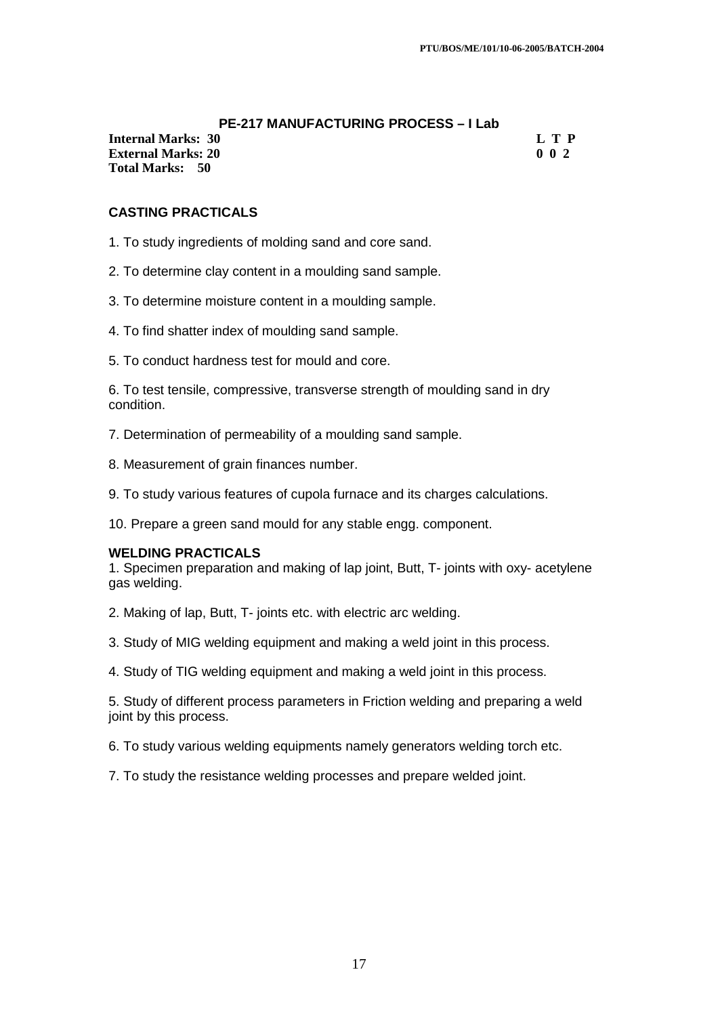### **PE-217 MANUFACTURING PROCESS – I Lab**

**Internal Marks: 30 L T P**<br>**External Marks: 20 0 0 2 External Marks: 20 Total Marks: 50**

## **CASTING PRACTICALS**

- 1. To study ingredients of molding sand and core sand.
- 2. To determine clay content in a moulding sand sample.
- 3. To determine moisture content in a moulding sample.
- 4. To find shatter index of moulding sand sample.
- 5. To conduct hardness test for mould and core.

6. To test tensile, compressive, transverse strength of moulding sand in dry condition.

7. Determination of permeability of a moulding sand sample.

- 8. Measurement of grain finances number.
- 9. To study various features of cupola furnace and its charges calculations.

10. Prepare a green sand mould for any stable engg. component.

### **WELDING PRACTICALS**

1. Specimen preparation and making of lap joint, Butt, T- joints with oxy- acetylene gas welding.

- 2. Making of lap, Butt, T- joints etc. with electric arc welding.
- 3. Study of MIG welding equipment and making a weld joint in this process.
- 4. Study of TIG welding equipment and making a weld joint in this process.

5. Study of different process parameters in Friction welding and preparing a weld joint by this process.

6. To study various welding equipments namely generators welding torch etc.

7. To study the resistance welding processes and prepare welded joint.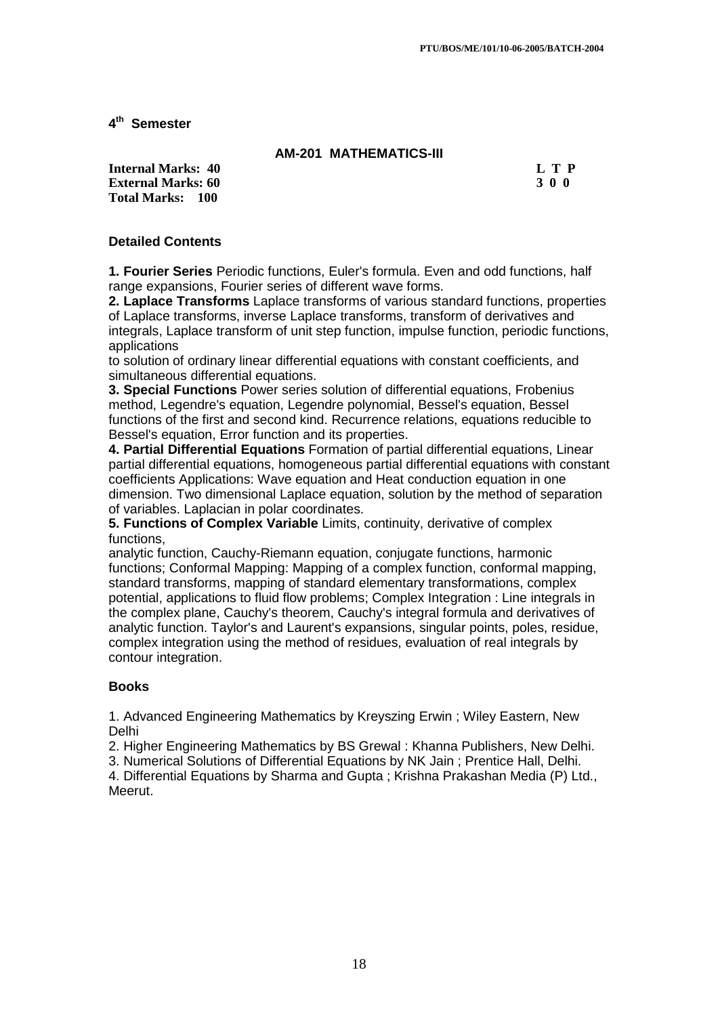**4 th Semester** 

# **AM-201 MATHEMATICS-III**

**Internal Marks: 40 L T P External Marks: 60 Total Marks: 100**

# **Detailed Contents**

**1. Fourier Series** Periodic functions, Euler's formula. Even and odd functions, half range expansions, Fourier series of different wave forms.

**2. Laplace Transforms** Laplace transforms of various standard functions, properties of Laplace transforms, inverse Laplace transforms, transform of derivatives and integrals, Laplace transform of unit step function, impulse function, periodic functions, applications

to solution of ordinary linear differential equations with constant coefficients, and simultaneous differential equations.

**3. Special Functions** Power series solution of differential equations, Frobenius method, Legendre's equation, Legendre polynomial, Bessel's equation, Bessel functions of the first and second kind. Recurrence relations, equations reducible to Bessel's equation, Error function and its properties.

**4. Partial Differential Equations** Formation of partial differential equations, Linear partial differential equations, homogeneous partial differential equations with constant coefficients Applications: Wave equation and Heat conduction equation in one dimension. Two dimensional Laplace equation, solution by the method of separation of variables. Laplacian in polar coordinates.

**5. Functions of Complex Variable** Limits, continuity, derivative of complex functions,

analytic function, Cauchy-Riemann equation, conjugate functions, harmonic functions; Conformal Mapping: Mapping of a complex function, conformal mapping, standard transforms, mapping of standard elementary transformations, complex potential, applications to fluid flow problems; Complex Integration : Line integrals in the complex plane, Cauchy's theorem, Cauchy's integral formula and derivatives of analytic function. Taylor's and Laurent's expansions, singular points, poles, residue, complex integration using the method of residues, evaluation of real integrals by contour integration.

## **Books**

1. Advanced Engineering Mathematics by Kreyszing Erwin ; Wiley Eastern, New Delhi

2. Higher Engineering Mathematics by BS Grewal : Khanna Publishers, New Delhi.

3. Numerical Solutions of Differential Equations by NK Jain ; Prentice Hall, Delhi.

4. Differential Equations by Sharma and Gupta ; Krishna Prakashan Media (P) Ltd., Meerut.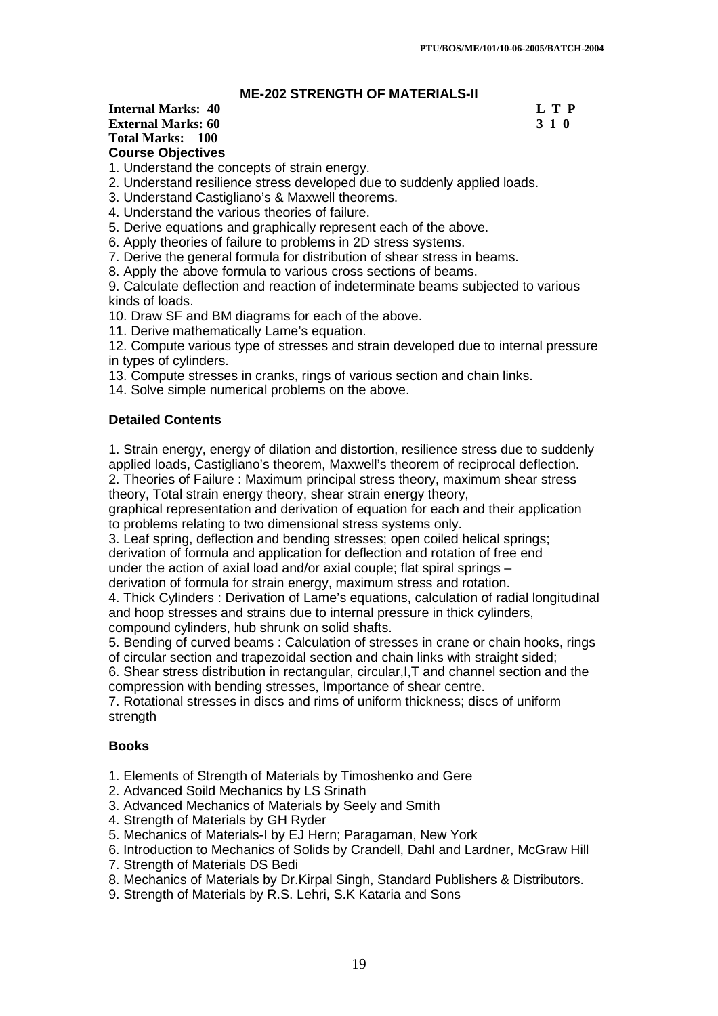# **ME-202 STRENGTH OF MATERIALS-II**

## **Internal Marks: 40 L T P L T P L L T P External Marks: 60 3 1 0 3 2 3 4 6 3 4 6 7 7 7 8 7 7 8 7 7 8 7 7 8 7 7 8 7 7 8 7 7 8 7 7 8 7 8 7 7 8 7 7 8 7 7 8 7 8 7 7 8 7 7 8 7 7 8 7 7 8 7 7 8 7 7 8 7 7 8 7 7 8 7 7 8 7 7 8 7 7 8 7 7 8 7 7 8 7 7 8 7 7 8 7 7 8 7 7 8 7 Total Marks: 100 Course Objectives**

1. Understand the concepts of strain energy.

2. Understand resilience stress developed due to suddenly applied loads.

3. Understand Castigliano's & Maxwell theorems.

4. Understand the various theories of failure.

5. Derive equations and graphically represent each of the above.

6. Apply theories of failure to problems in 2D stress systems.

7. Derive the general formula for distribution of shear stress in beams.

8. Apply the above formula to various cross sections of beams.

9. Calculate deflection and reaction of indeterminate beams subjected to various kinds of loads.

10. Draw SF and BM diagrams for each of the above.

11. Derive mathematically Lame's equation.

12. Compute various type of stresses and strain developed due to internal pressure in types of cylinders.

13. Compute stresses in cranks, rings of various section and chain links.

14. Solve simple numerical problems on the above.

## **Detailed Contents**

1. Strain energy, energy of dilation and distortion, resilience stress due to suddenly applied loads, Castigliano's theorem, Maxwell's theorem of reciprocal deflection. 2. Theories of Failure : Maximum principal stress theory, maximum shear stress theory, Total strain energy theory, shear strain energy theory,

graphical representation and derivation of equation for each and their application to problems relating to two dimensional stress systems only.

3. Leaf spring, deflection and bending stresses; open coiled helical springs; derivation of formula and application for deflection and rotation of free end under the action of axial load and/or axial couple; flat spiral springs – derivation of formula for strain energy, maximum stress and rotation.

4. Thick Cylinders : Derivation of Lame's equations, calculation of radial longitudinal and hoop stresses and strains due to internal pressure in thick cylinders, compound cylinders, hub shrunk on solid shafts.

5. Bending of curved beams : Calculation of stresses in crane or chain hooks, rings of circular section and trapezoidal section and chain links with straight sided;

6. Shear stress distribution in rectangular, circular,I,T and channel section and the compression with bending stresses, Importance of shear centre.

7. Rotational stresses in discs and rims of uniform thickness; discs of uniform strength

### **Books**

1. Elements of Strength of Materials by Timoshenko and Gere

2. Advanced Soild Mechanics by LS Srinath

3. Advanced Mechanics of Materials by Seely and Smith

4. Strength of Materials by GH Ryder

5. Mechanics of Materials-I by EJ Hern; Paragaman, New York

6. Introduction to Mechanics of Solids by Crandell, Dahl and Lardner, McGraw Hill

7. Strength of Materials DS Bedi

8. Mechanics of Materials by Dr.Kirpal Singh, Standard Publishers & Distributors.

9. Strength of Materials by R.S. Lehri, S.K Kataria and Sons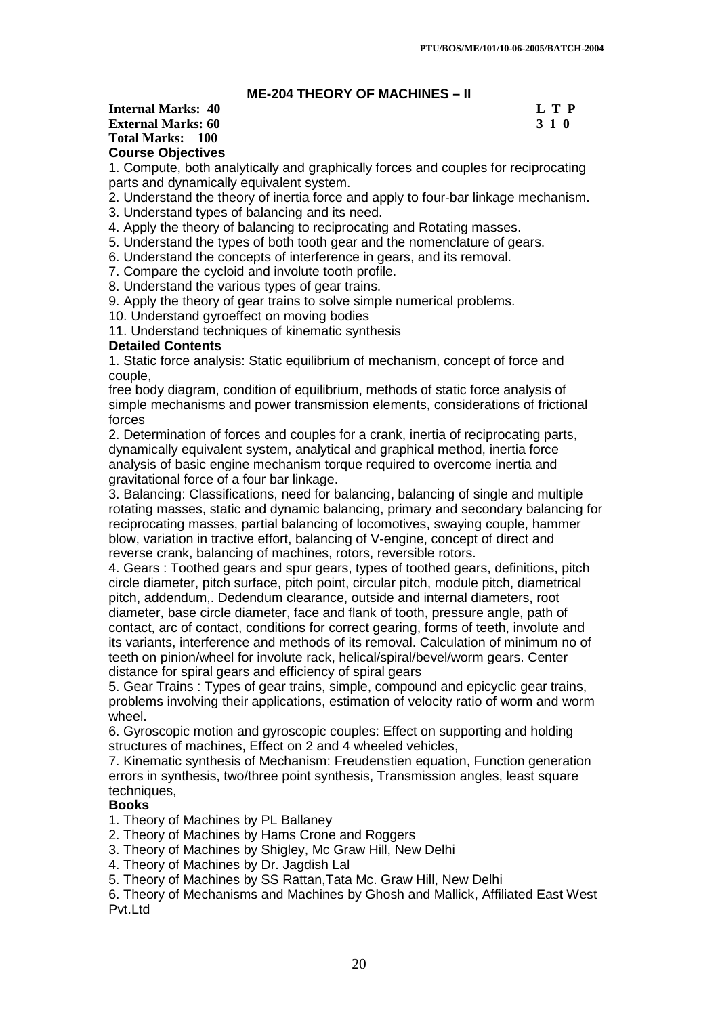# **ME-204 THEORY OF MACHINES – II**

### **Internal Marks: 40 L T P L T P L L T P External Marks: 60 3 1 0 Total Marks: 100 Course Objectives**

1. Compute, both analytically and graphically forces and couples for reciprocating parts and dynamically equivalent system.

- 2. Understand the theory of inertia force and apply to four-bar linkage mechanism.
- 3. Understand types of balancing and its need.
- 4. Apply the theory of balancing to reciprocating and Rotating masses.
- 5. Understand the types of both tooth gear and the nomenclature of gears.
- 6. Understand the concepts of interference in gears, and its removal.
- 7. Compare the cycloid and involute tooth profile.
- 8. Understand the various types of gear trains.
- 9. Apply the theory of gear trains to solve simple numerical problems.
- 10. Understand gyroeffect on moving bodies
- 11. Understand techniques of kinematic synthesis

## **Detailed Contents**

1. Static force analysis: Static equilibrium of mechanism, concept of force and couple,

free body diagram, condition of equilibrium, methods of static force analysis of simple mechanisms and power transmission elements, considerations of frictional forces

2. Determination of forces and couples for a crank, inertia of reciprocating parts, dynamically equivalent system, analytical and graphical method, inertia force analysis of basic engine mechanism torque required to overcome inertia and gravitational force of a four bar linkage.

3. Balancing: Classifications, need for balancing, balancing of single and multiple rotating masses, static and dynamic balancing, primary and secondary balancing for reciprocating masses, partial balancing of locomotives, swaying couple, hammer blow, variation in tractive effort, balancing of V-engine, concept of direct and reverse crank, balancing of machines, rotors, reversible rotors.

4. Gears : Toothed gears and spur gears, types of toothed gears, definitions, pitch circle diameter, pitch surface, pitch point, circular pitch, module pitch, diametrical pitch, addendum,. Dedendum clearance, outside and internal diameters, root diameter, base circle diameter, face and flank of tooth, pressure angle, path of contact, arc of contact, conditions for correct gearing, forms of teeth, involute and its variants, interference and methods of its removal. Calculation of minimum no of teeth on pinion/wheel for involute rack, helical/spiral/bevel/worm gears. Center distance for spiral gears and efficiency of spiral gears

5. Gear Trains : Types of gear trains, simple, compound and epicyclic gear trains, problems involving their applications, estimation of velocity ratio of worm and worm wheel.

6. Gyroscopic motion and gyroscopic couples: Effect on supporting and holding structures of machines, Effect on 2 and 4 wheeled vehicles,

7. Kinematic synthesis of Mechanism: Freudenstien equation, Function generation errors in synthesis, two/three point synthesis, Transmission angles, least square techniques,

## **Books**

1. Theory of Machines by PL Ballaney

- 2. Theory of Machines by Hams Crone and Roggers
- 3. Theory of Machines by Shigley, Mc Graw Hill, New Delhi
- 4. Theory of Machines by Dr. Jagdish Lal
- 5. Theory of Machines by SS Rattan,Tata Mc. Graw Hill, New Delhi

6. Theory of Mechanisms and Machines by Ghosh and Mallick, Affiliated East West Pvt.I td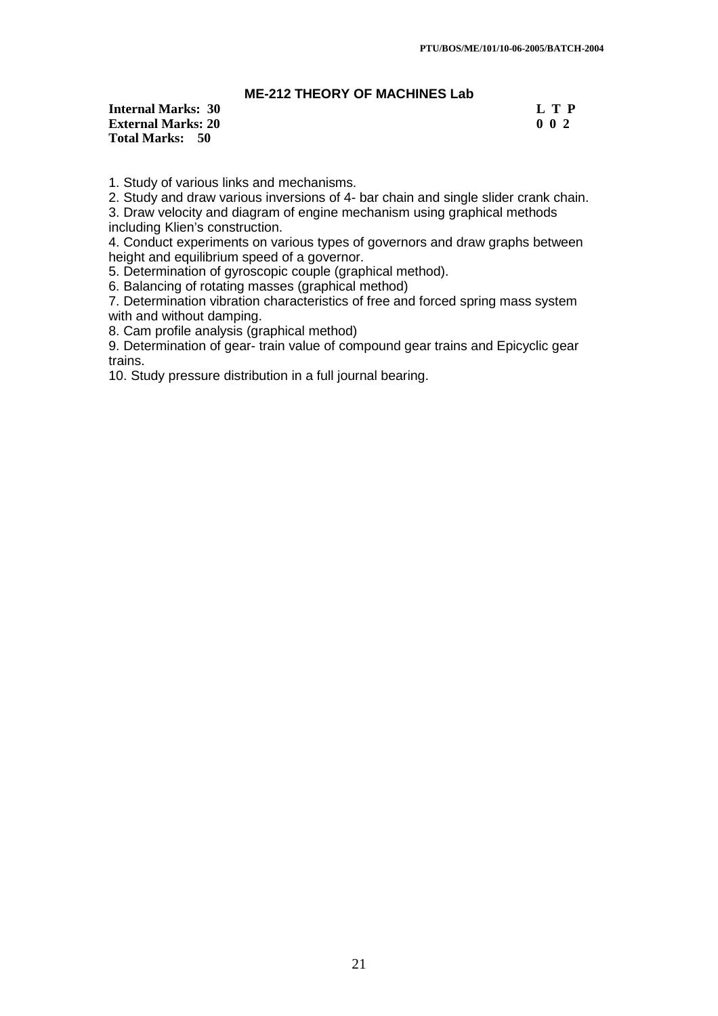## **ME-212 THEORY OF MACHINES Lab**

**Internal Marks: 30 L T P External Marks: 20 Total Marks: 50**

1. Study of various links and mechanisms.

2. Study and draw various inversions of 4- bar chain and single slider crank chain.

3. Draw velocity and diagram of engine mechanism using graphical methods including Klien's construction.

4. Conduct experiments on various types of governors and draw graphs between height and equilibrium speed of a governor.

5. Determination of gyroscopic couple (graphical method).

6. Balancing of rotating masses (graphical method)

7. Determination vibration characteristics of free and forced spring mass system with and without damping.

8. Cam profile analysis (graphical method)

9. Determination of gear- train value of compound gear trains and Epicyclic gear trains.

10. Study pressure distribution in a full journal bearing.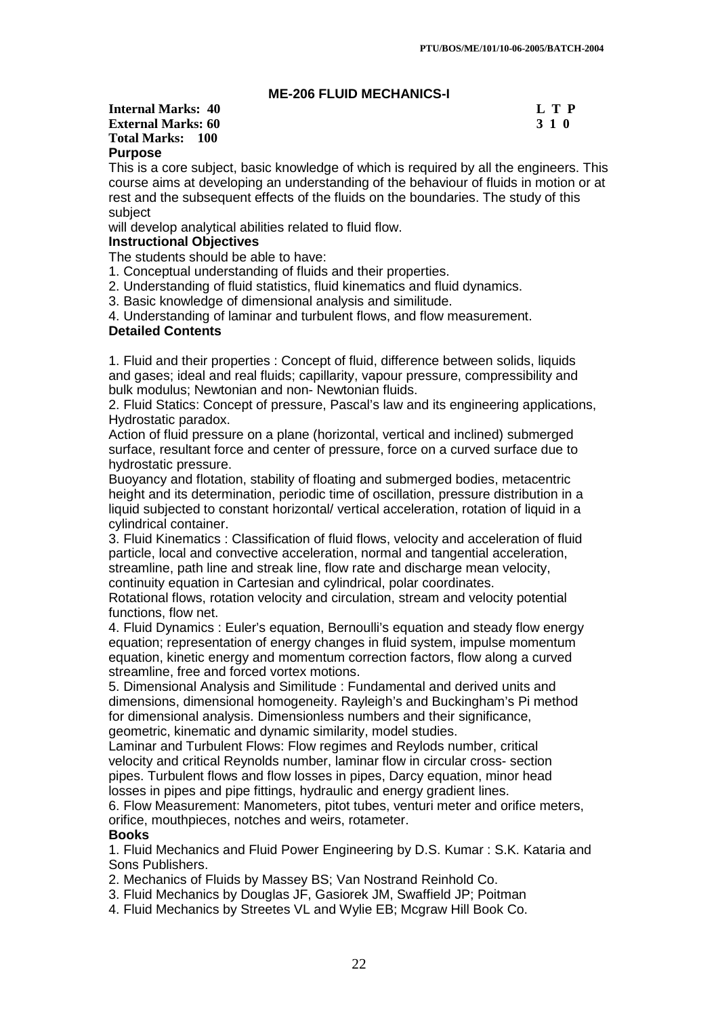## **ME-206 FLUID MECHANICS-I**

## **Internal Marks: 40 L T P L T P L L T P External Marks: 60 3 1 0 Total Marks: 100 Purpose**

This is a core subject, basic knowledge of which is required by all the engineers. This course aims at developing an understanding of the behaviour of fluids in motion or at rest and the subsequent effects of the fluids on the boundaries. The study of this subject

will develop analytical abilities related to fluid flow.

#### **Instructional Objectives**

The students should be able to have:

1. Conceptual understanding of fluids and their properties.

2. Understanding of fluid statistics, fluid kinematics and fluid dynamics.

3. Basic knowledge of dimensional analysis and similitude.

4. Understanding of laminar and turbulent flows, and flow measurement.

#### **Detailed Contents**

1. Fluid and their properties : Concept of fluid, difference between solids, liquids and gases; ideal and real fluids; capillarity, vapour pressure, compressibility and bulk modulus; Newtonian and non- Newtonian fluids.

2. Fluid Statics: Concept of pressure, Pascal's law and its engineering applications, Hydrostatic paradox.

Action of fluid pressure on a plane (horizontal, vertical and inclined) submerged surface, resultant force and center of pressure, force on a curved surface due to hydrostatic pressure.

Buoyancy and flotation, stability of floating and submerged bodies, metacentric height and its determination, periodic time of oscillation, pressure distribution in a liquid subjected to constant horizontal/ vertical acceleration, rotation of liquid in a cylindrical container.

3. Fluid Kinematics : Classification of fluid flows, velocity and acceleration of fluid particle, local and convective acceleration, normal and tangential acceleration, streamline, path line and streak line, flow rate and discharge mean velocity, continuity equation in Cartesian and cylindrical, polar coordinates.

Rotational flows, rotation velocity and circulation, stream and velocity potential functions, flow net.

4. Fluid Dynamics : Euler's equation, Bernoulli's equation and steady flow energy equation; representation of energy changes in fluid system, impulse momentum equation, kinetic energy and momentum correction factors, flow along a curved streamline, free and forced vortex motions.

5. Dimensional Analysis and Similitude : Fundamental and derived units and dimensions, dimensional homogeneity. Rayleigh's and Buckingham's Pi method for dimensional analysis. Dimensionless numbers and their significance, geometric, kinematic and dynamic similarity, model studies.

Laminar and Turbulent Flows: Flow regimes and Reylods number, critical velocity and critical Reynolds number, laminar flow in circular cross- section pipes. Turbulent flows and flow losses in pipes, Darcy equation, minor head losses in pipes and pipe fittings, hydraulic and energy gradient lines.

6. Flow Measurement: Manometers, pitot tubes, venturi meter and orifice meters, orifice, mouthpieces, notches and weirs, rotameter.

#### **Books**

1. Fluid Mechanics and Fluid Power Engineering by D.S. Kumar : S.K. Kataria and Sons Publishers.

2. Mechanics of Fluids by Massey BS; Van Nostrand Reinhold Co.

- 3. Fluid Mechanics by Douglas JF, Gasiorek JM, Swaffield JP; Poitman
- 4. Fluid Mechanics by Streetes VL and Wylie EB; Mcgraw Hill Book Co.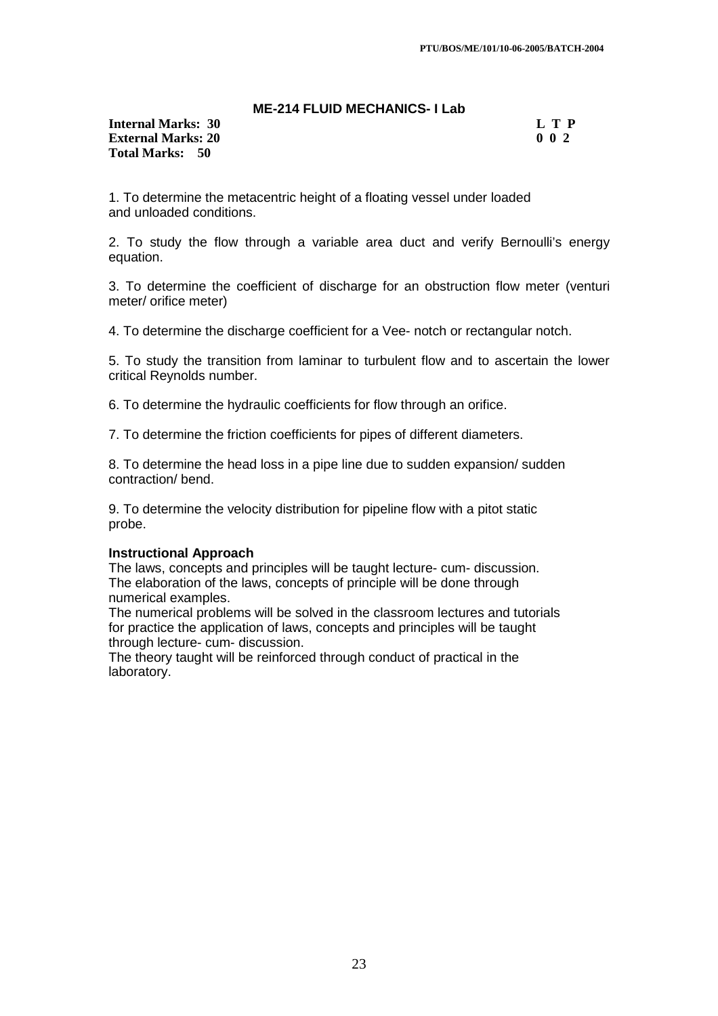### **ME-214 FLUID MECHANICS- I Lab**

**Internal Marks: 30** L T P **External Marks: 20** 0 0 2 **External Marks: 20 Total Marks: 50**

1. To determine the metacentric height of a floating vessel under loaded and unloaded conditions.

2. To study the flow through a variable area duct and verify Bernoulli's energy equation.

3. To determine the coefficient of discharge for an obstruction flow meter (venturi meter/ orifice meter)

4. To determine the discharge coefficient for a Vee- notch or rectangular notch.

5. To study the transition from laminar to turbulent flow and to ascertain the lower critical Reynolds number.

6. To determine the hydraulic coefficients for flow through an orifice.

7. To determine the friction coefficients for pipes of different diameters.

8. To determine the head loss in a pipe line due to sudden expansion/ sudden contraction/ bend.

9. To determine the velocity distribution for pipeline flow with a pitot static probe.

#### **Instructional Approach**

The laws, concepts and principles will be taught lecture- cum- discussion. The elaboration of the laws, concepts of principle will be done through numerical examples.

The numerical problems will be solved in the classroom lectures and tutorials for practice the application of laws, concepts and principles will be taught through lecture- cum- discussion.

The theory taught will be reinforced through conduct of practical in the laboratory.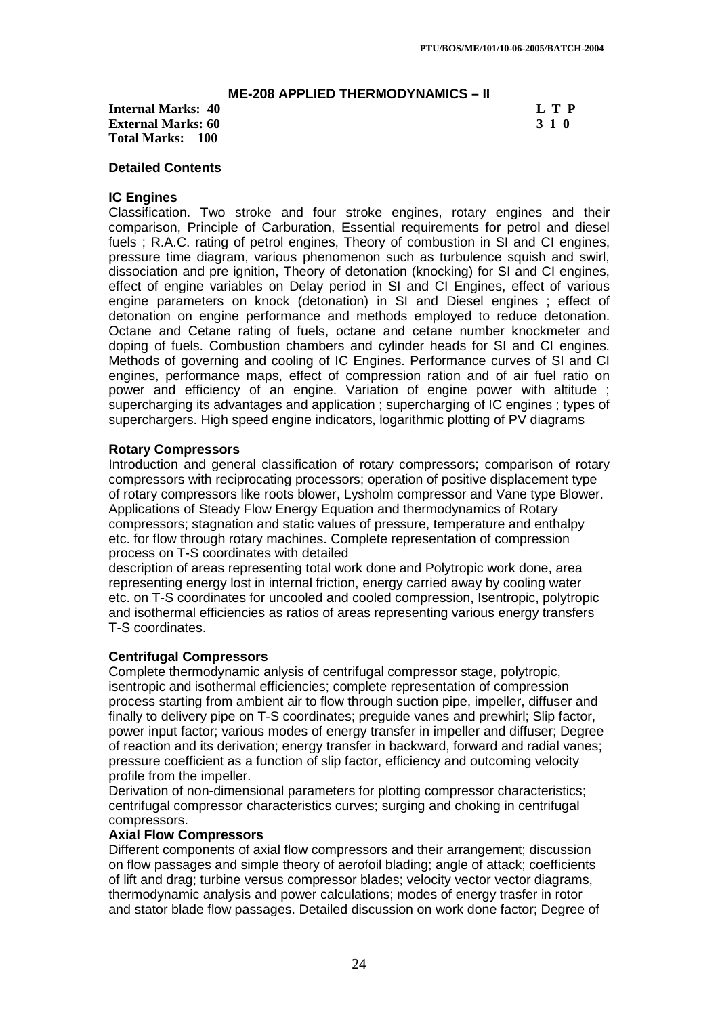## **ME-208 APPLIED THERMODYNAMICS – II**

**Internal Marks: 40 L T P L T P L L T P External Marks: 60 3 1 0 Total Marks: 100**

# **Detailed Contents**

### **IC Engines**

Classification. Two stroke and four stroke engines, rotary engines and their comparison, Principle of Carburation, Essential requirements for petrol and diesel fuels; R.A.C. rating of petrol engines, Theory of combustion in SI and CI engines, pressure time diagram, various phenomenon such as turbulence squish and swirl, dissociation and pre ignition, Theory of detonation (knocking) for SI and CI engines, effect of engine variables on Delay period in SI and CI Engines, effect of various engine parameters on knock (detonation) in SI and Diesel engines ; effect of detonation on engine performance and methods employed to reduce detonation. Octane and Cetane rating of fuels, octane and cetane number knockmeter and doping of fuels. Combustion chambers and cylinder heads for SI and CI engines. Methods of governing and cooling of IC Engines. Performance curves of SI and CI engines, performance maps, effect of compression ration and of air fuel ratio on power and efficiency of an engine. Variation of engine power with altitude ; supercharging its advantages and application ; supercharging of IC engines ; types of superchargers. High speed engine indicators, logarithmic plotting of PV diagrams

#### **Rotary Compressors**

Introduction and general classification of rotary compressors; comparison of rotary compressors with reciprocating processors; operation of positive displacement type of rotary compressors like roots blower, Lysholm compressor and Vane type Blower. Applications of Steady Flow Energy Equation and thermodynamics of Rotary compressors; stagnation and static values of pressure, temperature and enthalpy etc. for flow through rotary machines. Complete representation of compression process on T-S coordinates with detailed

description of areas representing total work done and Polytropic work done, area representing energy lost in internal friction, energy carried away by cooling water etc. on T-S coordinates for uncooled and cooled compression, Isentropic, polytropic and isothermal efficiencies as ratios of areas representing various energy transfers T-S coordinates.

### **Centrifugal Compressors**

Complete thermodynamic anlysis of centrifugal compressor stage, polytropic, isentropic and isothermal efficiencies; complete representation of compression process starting from ambient air to flow through suction pipe, impeller, diffuser and finally to delivery pipe on T-S coordinates; preguide vanes and prewhirl; Slip factor, power input factor; various modes of energy transfer in impeller and diffuser; Degree of reaction and its derivation; energy transfer in backward, forward and radial vanes; pressure coefficient as a function of slip factor, efficiency and outcoming velocity profile from the impeller.

Derivation of non-dimensional parameters for plotting compressor characteristics; centrifugal compressor characteristics curves; surging and choking in centrifugal compressors.

### **Axial Flow Compressors**

Different components of axial flow compressors and their arrangement; discussion on flow passages and simple theory of aerofoil blading; angle of attack; coefficients of lift and drag; turbine versus compressor blades; velocity vector vector diagrams, thermodynamic analysis and power calculations; modes of energy trasfer in rotor and stator blade flow passages. Detailed discussion on work done factor; Degree of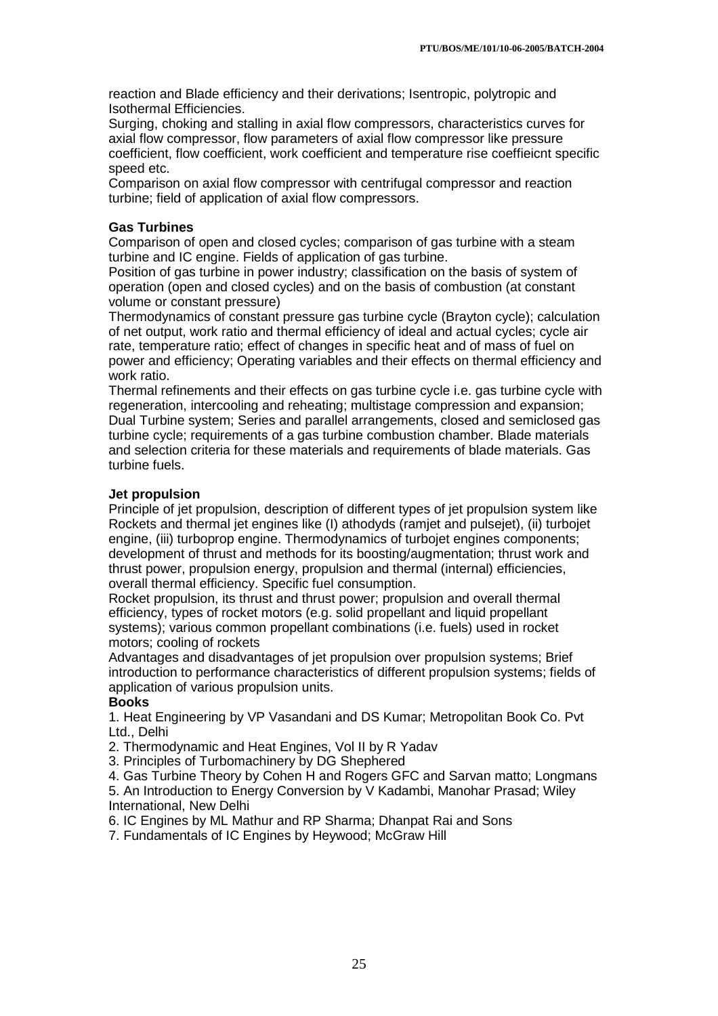reaction and Blade efficiency and their derivations; Isentropic, polytropic and Isothermal Efficiencies.

Surging, choking and stalling in axial flow compressors, characteristics curves for axial flow compressor, flow parameters of axial flow compressor like pressure coefficient, flow coefficient, work coefficient and temperature rise coeffieicnt specific speed etc.

Comparison on axial flow compressor with centrifugal compressor and reaction turbine; field of application of axial flow compressors.

# **Gas Turbines**

Comparison of open and closed cycles; comparison of gas turbine with a steam turbine and IC engine. Fields of application of gas turbine.

Position of gas turbine in power industry; classification on the basis of system of operation (open and closed cycles) and on the basis of combustion (at constant volume or constant pressure)

Thermodynamics of constant pressure gas turbine cycle (Brayton cycle); calculation of net output, work ratio and thermal efficiency of ideal and actual cycles; cycle air rate, temperature ratio; effect of changes in specific heat and of mass of fuel on power and efficiency; Operating variables and their effects on thermal efficiency and work ratio.

Thermal refinements and their effects on gas turbine cycle i.e. gas turbine cycle with regeneration, intercooling and reheating; multistage compression and expansion; Dual Turbine system; Series and parallel arrangements, closed and semiclosed gas turbine cycle; requirements of a gas turbine combustion chamber. Blade materials and selection criteria for these materials and requirements of blade materials. Gas turbine fuels.

# **Jet propulsion**

Principle of jet propulsion, description of different types of jet propulsion system like Rockets and thermal jet engines like (I) athodyds (ramjet and pulsejet), (ii) turbojet engine, (iii) turboprop engine. Thermodynamics of turbojet engines components; development of thrust and methods for its boosting/augmentation; thrust work and thrust power, propulsion energy, propulsion and thermal (internal) efficiencies, overall thermal efficiency. Specific fuel consumption.

Rocket propulsion, its thrust and thrust power; propulsion and overall thermal efficiency, types of rocket motors (e.g. solid propellant and liquid propellant systems); various common propellant combinations (i.e. fuels) used in rocket motors; cooling of rockets

Advantages and disadvantages of jet propulsion over propulsion systems; Brief introduction to performance characteristics of different propulsion systems; fields of application of various propulsion units.

## **Books**

1. Heat Engineering by VP Vasandani and DS Kumar; Metropolitan Book Co. Pvt Ltd., Delhi

2. Thermodynamic and Heat Engines, Vol II by R Yadav

3. Principles of Turbomachinery by DG Shephered

4. Gas Turbine Theory by Cohen H and Rogers GFC and Sarvan matto; Longmans 5. An Introduction to Energy Conversion by V Kadambi, Manohar Prasad; Wiley

International, New Delhi

6. IC Engines by ML Mathur and RP Sharma; Dhanpat Rai and Sons

7. Fundamentals of IC Engines by Heywood; McGraw Hill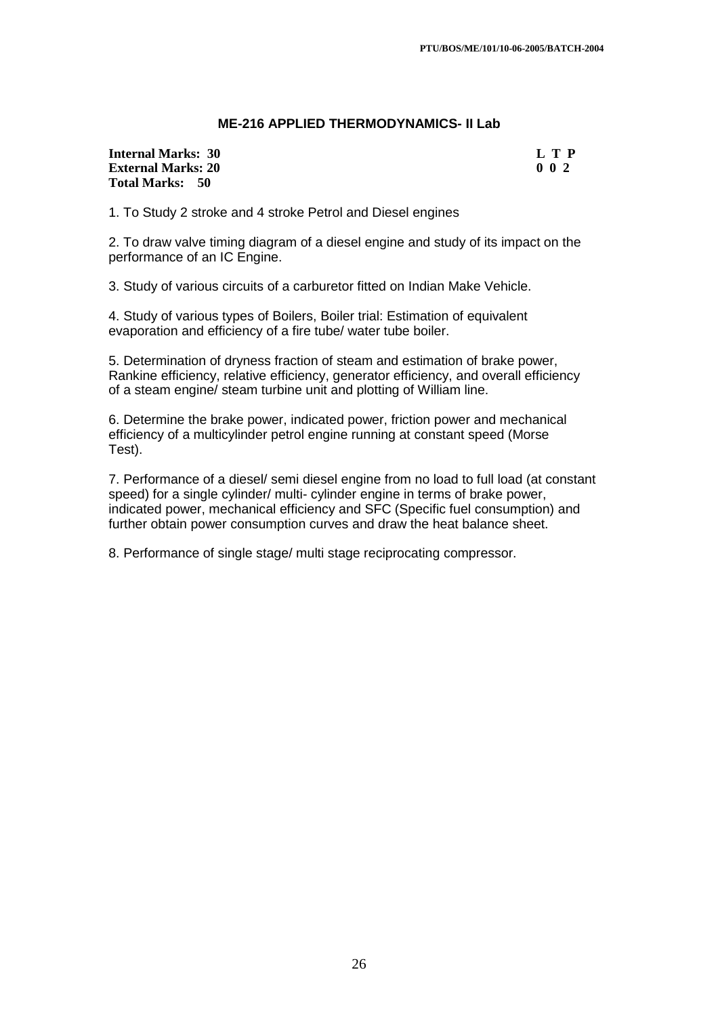# **ME-216 APPLIED THERMODYNAMICS- II Lab**

| <b>Internal Marks: 30</b> | L T P     |
|---------------------------|-----------|
| <b>External Marks: 20</b> | $00$ $21$ |
| <b>Total Marks: 50</b>    |           |

1. To Study 2 stroke and 4 stroke Petrol and Diesel engines

2. To draw valve timing diagram of a diesel engine and study of its impact on the performance of an IC Engine.

3. Study of various circuits of a carburetor fitted on Indian Make Vehicle.

4. Study of various types of Boilers, Boiler trial: Estimation of equivalent evaporation and efficiency of a fire tube/ water tube boiler.

5. Determination of dryness fraction of steam and estimation of brake power, Rankine efficiency, relative efficiency, generator efficiency, and overall efficiency of a steam engine/ steam turbine unit and plotting of William line.

6. Determine the brake power, indicated power, friction power and mechanical efficiency of a multicylinder petrol engine running at constant speed (Morse Test).

7. Performance of a diesel/ semi diesel engine from no load to full load (at constant speed) for a single cylinder/ multi- cylinder engine in terms of brake power, indicated power, mechanical efficiency and SFC (Specific fuel consumption) and further obtain power consumption curves and draw the heat balance sheet.

8. Performance of single stage/ multi stage reciprocating compressor.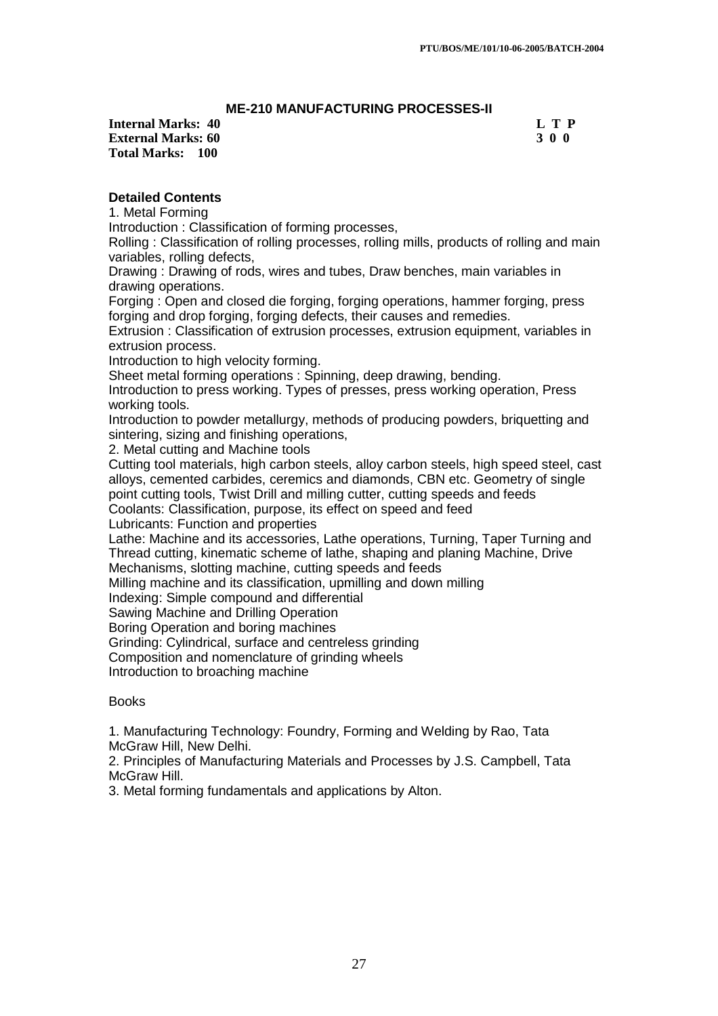# **ME-210 MANUFACTURING PROCESSES-II**

**Internal Marks: 40 L T P External Marks: 60 L T P External Marks: 60 L I D External Marks: 60 External Marks: 60 Total Marks: 100**

# **Detailed Contents**

1. Metal Forming

Introduction : Classification of forming processes,

Rolling : Classification of rolling processes, rolling mills, products of rolling and main variables, rolling defects,

Drawing : Drawing of rods, wires and tubes, Draw benches, main variables in drawing operations.

Forging : Open and closed die forging, forging operations, hammer forging, press forging and drop forging, forging defects, their causes and remedies.

Extrusion : Classification of extrusion processes, extrusion equipment, variables in extrusion process.

Introduction to high velocity forming.

Sheet metal forming operations : Spinning, deep drawing, bending.

Introduction to press working. Types of presses, press working operation, Press working tools.

Introduction to powder metallurgy, methods of producing powders, briquetting and sintering, sizing and finishing operations,

2. Metal cutting and Machine tools

Cutting tool materials, high carbon steels, alloy carbon steels, high speed steel, cast alloys, cemented carbides, ceremics and diamonds, CBN etc. Geometry of single point cutting tools, Twist Drill and milling cutter, cutting speeds and feeds

Coolants: Classification, purpose, its effect on speed and feed

Lubricants: Function and properties

Lathe: Machine and its accessories, Lathe operations, Turning, Taper Turning and Thread cutting, kinematic scheme of lathe, shaping and planing Machine, Drive Mechanisms, slotting machine, cutting speeds and feeds

Milling machine and its classification, upmilling and down milling

Indexing: Simple compound and differential

Sawing Machine and Drilling Operation

Boring Operation and boring machines

Grinding: Cylindrical, surface and centreless grinding

Composition and nomenclature of grinding wheels

Introduction to broaching machine

### **Books**

1. Manufacturing Technology: Foundry, Forming and Welding by Rao, Tata McGraw Hill, New Delhi.

2. Principles of Manufacturing Materials and Processes by J.S. Campbell, Tata McGraw Hill.

3. Metal forming fundamentals and applications by Alton.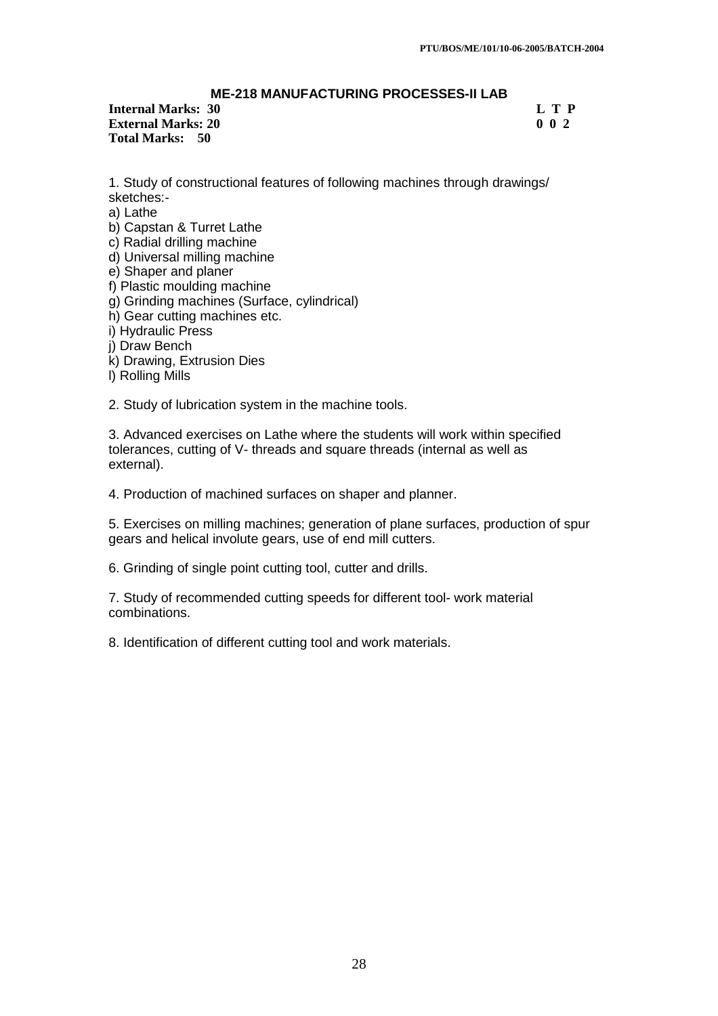# **ME-218 MANUFACTURING PROCESSES-II LAB**

## **Internal Marks: 30 L T P I** L T P **External Marks: 20 0 0 2 Total Marks: 50**

1. Study of constructional features of following machines through drawings/ sketches:-

a) Lathe

b) Capstan & Turret Lathe

c) Radial drilling machine

d) Universal milling machine

e) Shaper and planer

f) Plastic moulding machine

g) Grinding machines (Surface, cylindrical)

h) Gear cutting machines etc.

i) Hydraulic Press

j) Draw Bench

k) Drawing, Extrusion Dies

l) Rolling Mills

2. Study of lubrication system in the machine tools.

3. Advanced exercises on Lathe where the students will work within specified tolerances, cutting of V- threads and square threads (internal as well as external).

4. Production of machined surfaces on shaper and planner.

5. Exercises on milling machines; generation of plane surfaces, production of spur gears and helical involute gears, use of end mill cutters.

6. Grinding of single point cutting tool, cutter and drills.

7. Study of recommended cutting speeds for different tool- work material combinations.

8. Identification of different cutting tool and work materials.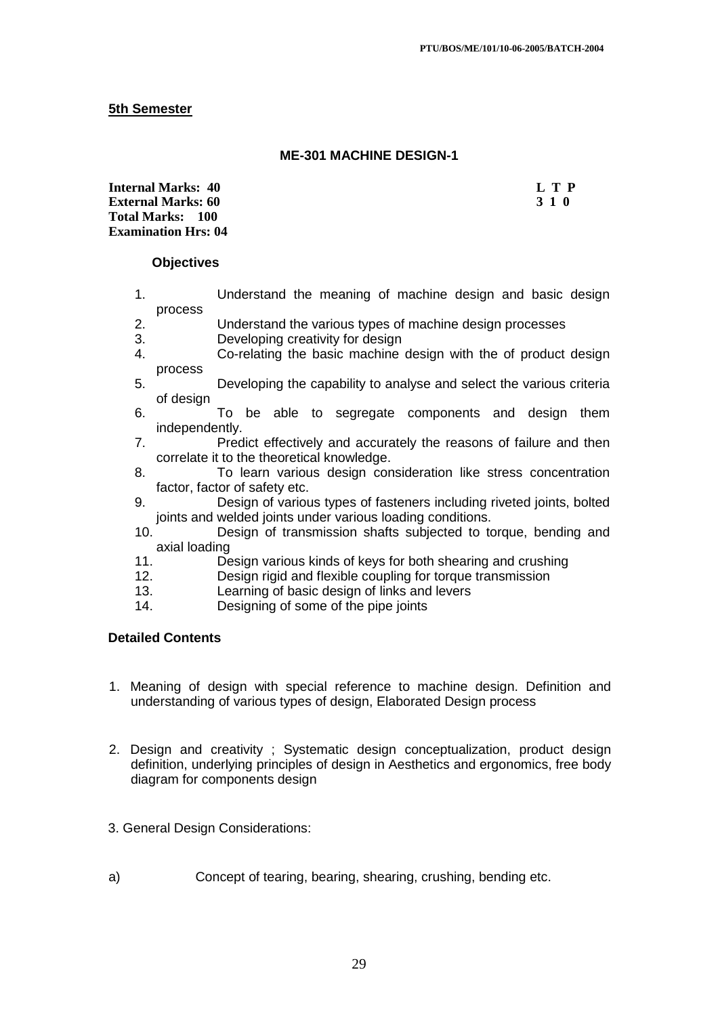## **5th Semester**

## **ME-301 MACHINE DESIGN-1**

**Internal Marks: 40 L T P External Marks: 60 Total Marks: 100 Examination Hrs: 04** 

### **Objectives**

- 1. Understand the meaning of machine design and basic design process
- 2. Understand the various types of machine design processes
- 3. Developing creativity for design
- 4. Co-relating the basic machine design with the of product design process
- 5. Developing the capability to analyse and select the various criteria of design
- 6. To be able to segregate components and design them independently.
- 7. Predict effectively and accurately the reasons of failure and then correlate it to the theoretical knowledge.
- 8. To learn various design consideration like stress concentration factor, factor of safety etc.
- 9. Design of various types of fasteners including riveted joints, bolted joints and welded joints under various loading conditions.
- 10. Design of transmission shafts subjected to torque, bending and axial loading
- 11. Design various kinds of keys for both shearing and crushing
- 12. Design rigid and flexible coupling for torque transmission
- 13. Learning of basic design of links and levers
- 14. Designing of some of the pipe joints

### **Detailed Contents**

- 1. Meaning of design with special reference to machine design. Definition and understanding of various types of design, Elaborated Design process
- 2. Design and creativity ; Systematic design conceptualization, product design definition, underlying principles of design in Aesthetics and ergonomics, free body diagram for components design
- 3. General Design Considerations:
- a) Concept of tearing, bearing, shearing, crushing, bending etc.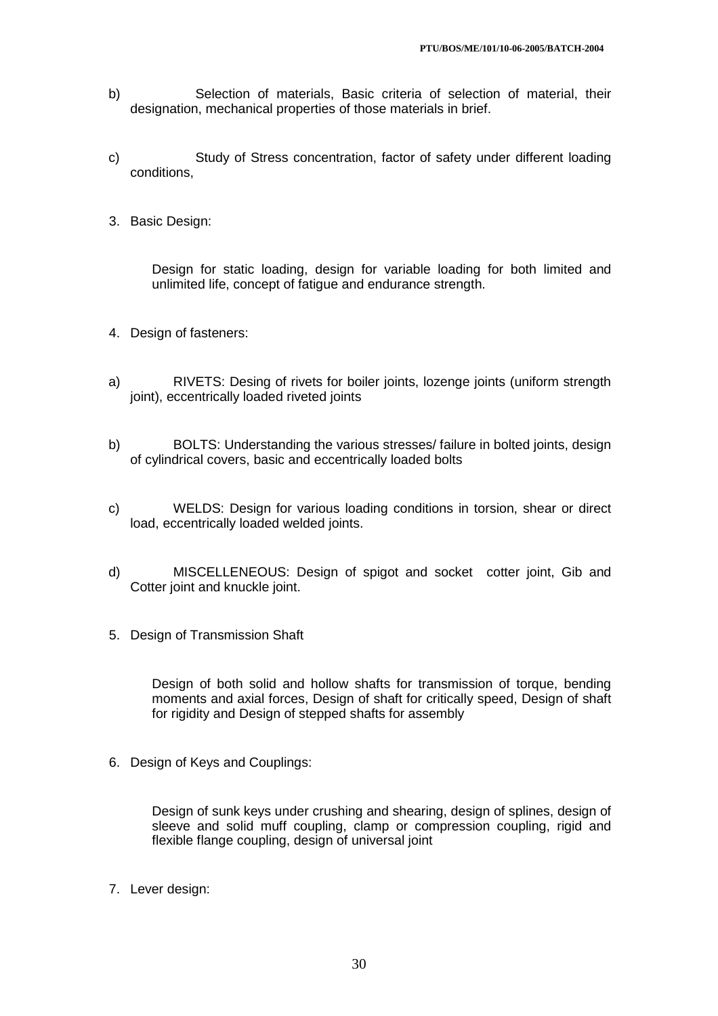- b) Selection of materials, Basic criteria of selection of material, their designation, mechanical properties of those materials in brief.
- c) Study of Stress concentration, factor of safety under different loading conditions,
- 3. Basic Design:

Design for static loading, design for variable loading for both limited and unlimited life, concept of fatigue and endurance strength.

- 4. Design of fasteners:
- a) RIVETS: Desing of rivets for boiler joints, lozenge joints (uniform strength joint), eccentrically loaded riveted joints
- b) BOLTS: Understanding the various stresses/ failure in bolted joints, design of cylindrical covers, basic and eccentrically loaded bolts
- c) WELDS: Design for various loading conditions in torsion, shear or direct load, eccentrically loaded welded joints.
- d) MISCELLENEOUS: Design of spigot and socket cotter joint, Gib and Cotter joint and knuckle joint.
- 5. Design of Transmission Shaft

Design of both solid and hollow shafts for transmission of torque, bending moments and axial forces, Design of shaft for critically speed, Design of shaft for rigidity and Design of stepped shafts for assembly

6. Design of Keys and Couplings:

Design of sunk keys under crushing and shearing, design of splines, design of sleeve and solid muff coupling, clamp or compression coupling, rigid and flexible flange coupling, design of universal joint

7. Lever design: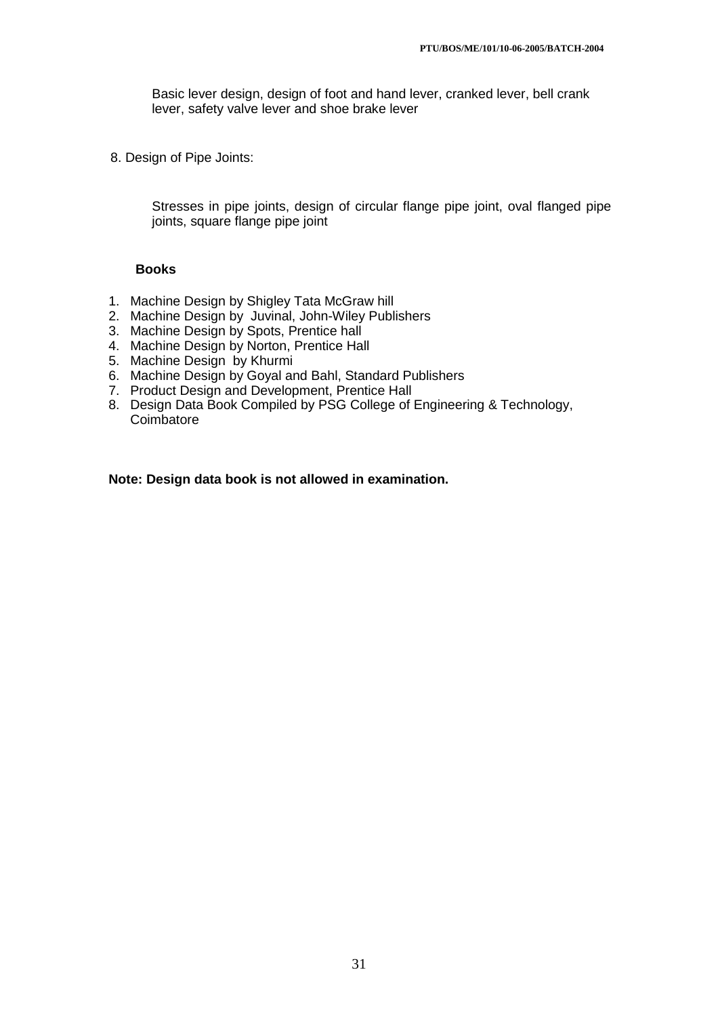Basic lever design, design of foot and hand lever, cranked lever, bell crank lever, safety valve lever and shoe brake lever

8. Design of Pipe Joints:

Stresses in pipe joints, design of circular flange pipe joint, oval flanged pipe joints, square flange pipe joint

#### **Books**

- 1. Machine Design by Shigley Tata McGraw hill
- 2. Machine Design by Juvinal, John-Wiley Publishers
- 3. Machine Design by Spots, Prentice hall
- 4. Machine Design by Norton, Prentice Hall
- 5. Machine Design by Khurmi
- 6. Machine Design by Goyal and Bahl, Standard Publishers
- 7. Product Design and Development, Prentice Hall
- 8. Design Data Book Compiled by PSG College of Engineering & Technology, Coimbatore

**Note: Design data book is not allowed in examination.**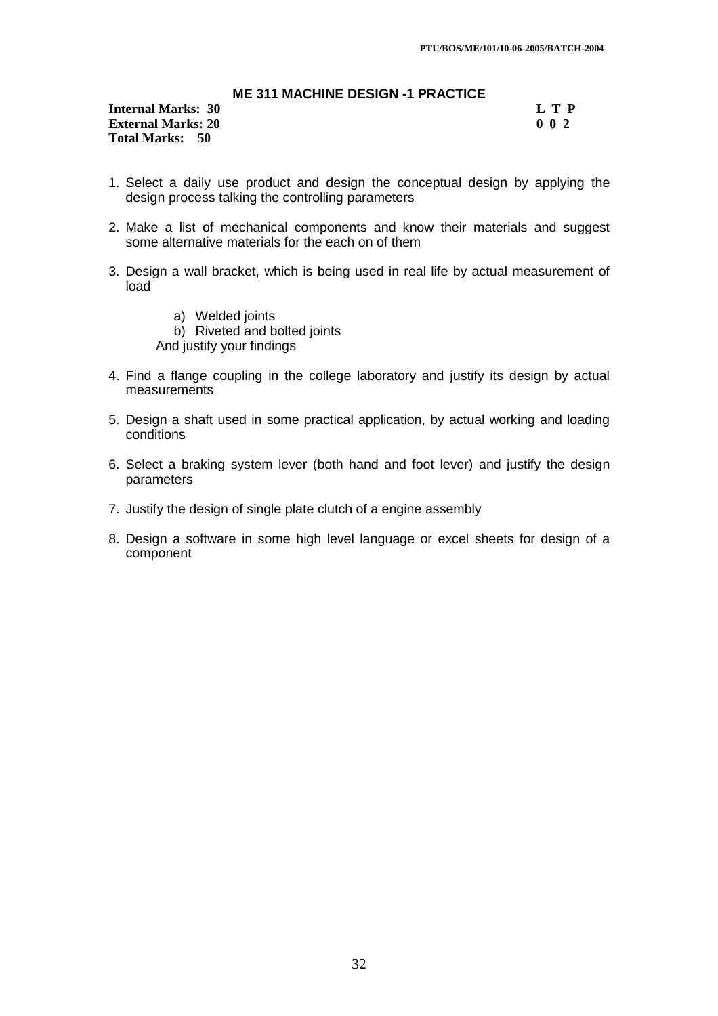## **ME 311 MACHINE DESIGN -1 PRACTICE**

**Internal Marks: 30 L T P External Marks: 20 Total Marks: 50**

- 1. Select a daily use product and design the conceptual design by applying the design process talking the controlling parameters
- 2. Make a list of mechanical components and know their materials and suggest some alternative materials for the each on of them
- 3. Design a wall bracket, which is being used in real life by actual measurement of load
	- a) Welded joints
	- b) Riveted and bolted joints
	- And justify your findings
- 4. Find a flange coupling in the college laboratory and justify its design by actual measurements
- 5. Design a shaft used in some practical application, by actual working and loading conditions
- 6. Select a braking system lever (both hand and foot lever) and justify the design parameters
- 7. Justify the design of single plate clutch of a engine assembly
- 8. Design a software in some high level language or excel sheets for design of a component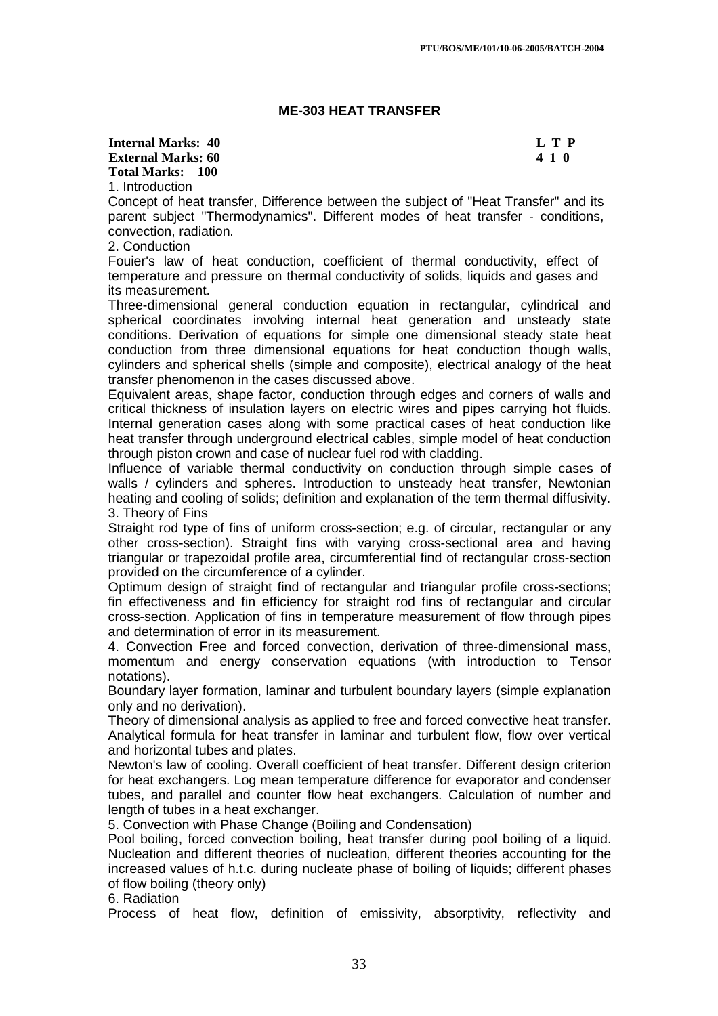## **ME-303 HEAT TRANSFER**

#### **Internal Marks: 40 L T P I** L T P **External Marks: 60 4 1 0 Total Marks: 100** 1. Introduction

Concept of heat transfer, Difference between the subject of "Heat Transfer" and its parent subject "Thermodynamics". Different modes of heat transfer - conditions, convection, radiation.

2. Conduction

Fouier's law of heat conduction, coefficient of thermal conductivity, effect of temperature and pressure on thermal conductivity of solids, liquids and gases and its measurement.

Three-dimensional general conduction equation in rectangular, cylindrical and spherical coordinates involving internal heat generation and unsteady state conditions. Derivation of equations for simple one dimensional steady state heat conduction from three dimensional equations for heat conduction though walls, cylinders and spherical shells (simple and composite), electrical analogy of the heat transfer phenomenon in the cases discussed above.

Equivalent areas, shape factor, conduction through edges and corners of walls and critical thickness of insulation layers on electric wires and pipes carrying hot fluids. Internal generation cases along with some practical cases of heat conduction like heat transfer through underground electrical cables, simple model of heat conduction through piston crown and case of nuclear fuel rod with cladding.

Influence of variable thermal conductivity on conduction through simple cases of walls / cylinders and spheres. Introduction to unsteady heat transfer, Newtonian heating and cooling of solids; definition and explanation of the term thermal diffusivity. 3. Theory of Fins

Straight rod type of fins of uniform cross-section; e.g. of circular, rectangular or any other cross-section). Straight fins with varying cross-sectional area and having triangular or trapezoidal profile area, circumferential find of rectangular cross-section provided on the circumference of a cylinder.

Optimum design of straight find of rectangular and triangular profile cross-sections; fin effectiveness and fin efficiency for straight rod fins of rectangular and circular cross-section. Application of fins in temperature measurement of flow through pipes and determination of error in its measurement.

4. Convection Free and forced convection, derivation of three-dimensional mass, momentum and energy conservation equations (with introduction to Tensor notations).

Boundary layer formation, laminar and turbulent boundary layers (simple explanation only and no derivation).

Theory of dimensional analysis as applied to free and forced convective heat transfer. Analytical formula for heat transfer in laminar and turbulent flow, flow over vertical and horizontal tubes and plates.

Newton's law of cooling. Overall coefficient of heat transfer. Different design criterion for heat exchangers. Log mean temperature difference for evaporator and condenser tubes, and parallel and counter flow heat exchangers. Calculation of number and length of tubes in a heat exchanger.

5. Convection with Phase Change (Boiling and Condensation)

Pool boiling, forced convection boiling, heat transfer during pool boiling of a liquid. Nucleation and different theories of nucleation, different theories accounting for the increased values of h.t.c. during nucleate phase of boiling of liquids; different phases of flow boiling (theory only)

6. Radiation

Process of heat flow, definition of emissivity, absorptivity, reflectivity and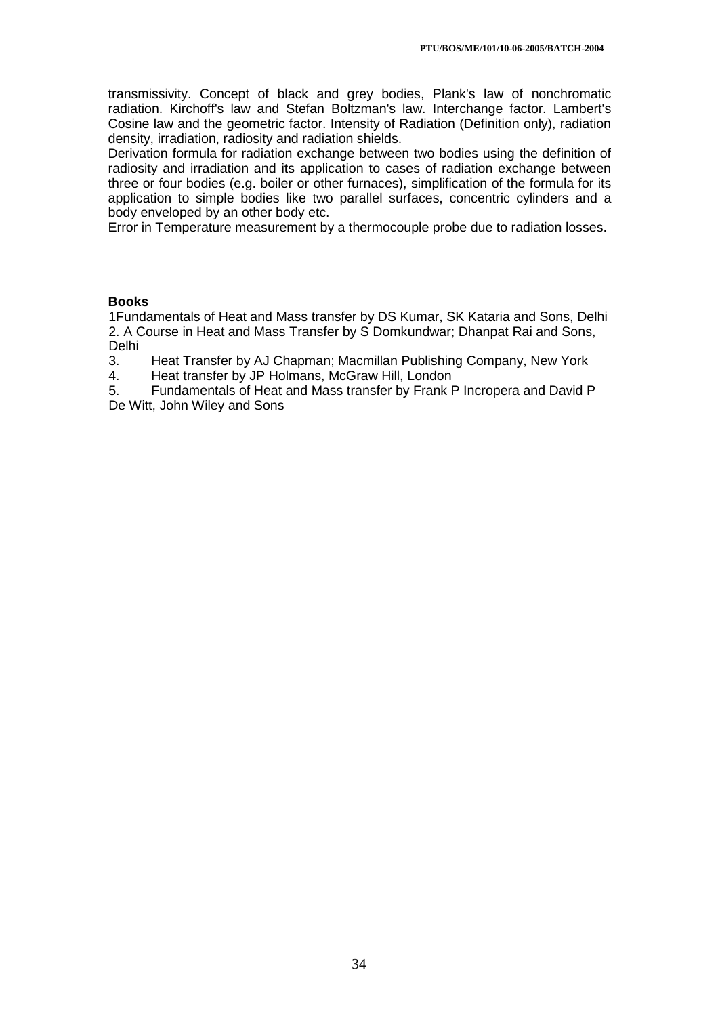transmissivity. Concept of black and grey bodies, Plank's law of nonchromatic radiation. Kirchoff's law and Stefan Boltzman's law. Interchange factor. Lambert's Cosine law and the geometric factor. Intensity of Radiation (Definition only), radiation density, irradiation, radiosity and radiation shields.

Derivation formula for radiation exchange between two bodies using the definition of radiosity and irradiation and its application to cases of radiation exchange between three or four bodies (e.g. boiler or other furnaces), simplification of the formula for its application to simple bodies like two parallel surfaces, concentric cylinders and a body enveloped by an other body etc.

Error in Temperature measurement by a thermocouple probe due to radiation losses.

## **Books**

1Fundamentals of Heat and Mass transfer by DS Kumar, SK Kataria and Sons, Delhi 2. A Course in Heat and Mass Transfer by S Domkundwar; Dhanpat Rai and Sons, Delhi

3. Heat Transfer by AJ Chapman; Macmillan Publishing Company, New York

4. Heat transfer by JP Holmans, McGraw Hill, London

5. Fundamentals of Heat and Mass transfer by Frank P Incropera and David P De Witt, John Wiley and Sons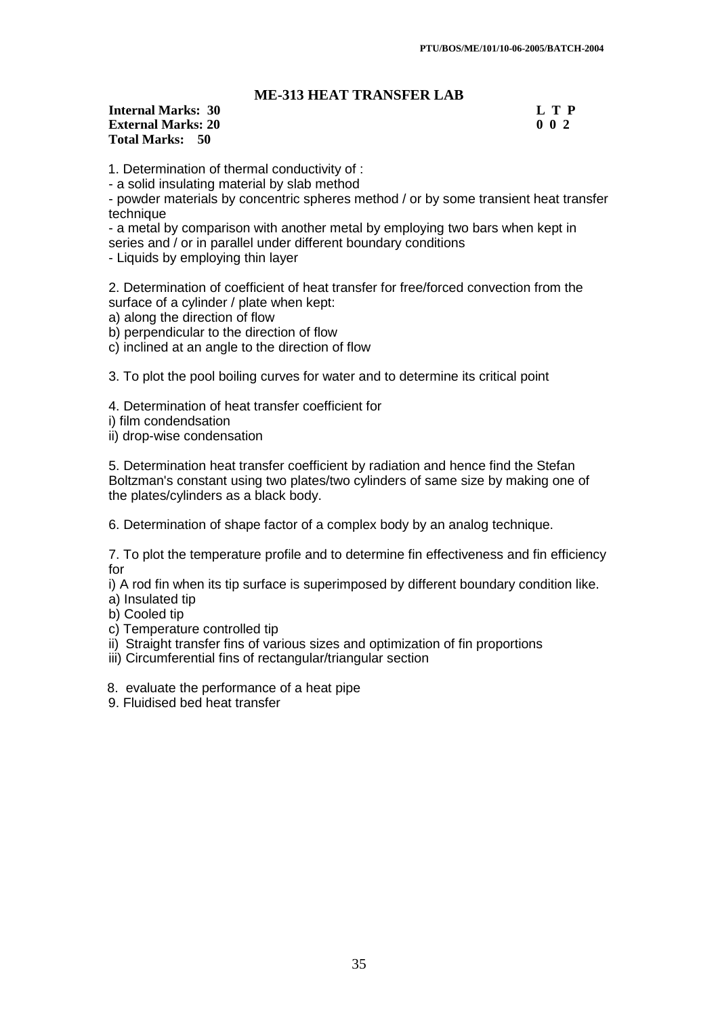## **ME-313 HEAT TRANSFER LAB**

### **Internal Marks: 30 L T P L** T P **External Marks: 20 0 0 2 Total Marks: 50**

- 1. Determination of thermal conductivity of :
- a solid insulating material by slab method

- powder materials by concentric spheres method / or by some transient heat transfer technique

- a metal by comparison with another metal by employing two bars when kept in series and / or in parallel under different boundary conditions

- Liquids by employing thin layer

2. Determination of coefficient of heat transfer for free/forced convection from the surface of a cylinder / plate when kept:

- a) along the direction of flow
- b) perpendicular to the direction of flow
- c) inclined at an angle to the direction of flow

3. To plot the pool boiling curves for water and to determine its critical point

4. Determination of heat transfer coefficient for

i) film condendsation

ii) drop-wise condensation

5. Determination heat transfer coefficient by radiation and hence find the Stefan Boltzman's constant using two plates/two cylinders of same size by making one of the plates/cylinders as a black body.

6. Determination of shape factor of a complex body by an analog technique.

7. To plot the temperature profile and to determine fin effectiveness and fin efficiency for

i) A rod fin when its tip surface is superimposed by different boundary condition like.

- a) Insulated tip
- b) Cooled tip
- c) Temperature controlled tip
- ii) Straight transfer fins of various sizes and optimization of fin proportions
- iii) Circumferential fins of rectangular/triangular section
- 8. evaluate the performance of a heat pipe
- 9. Fluidised bed heat transfer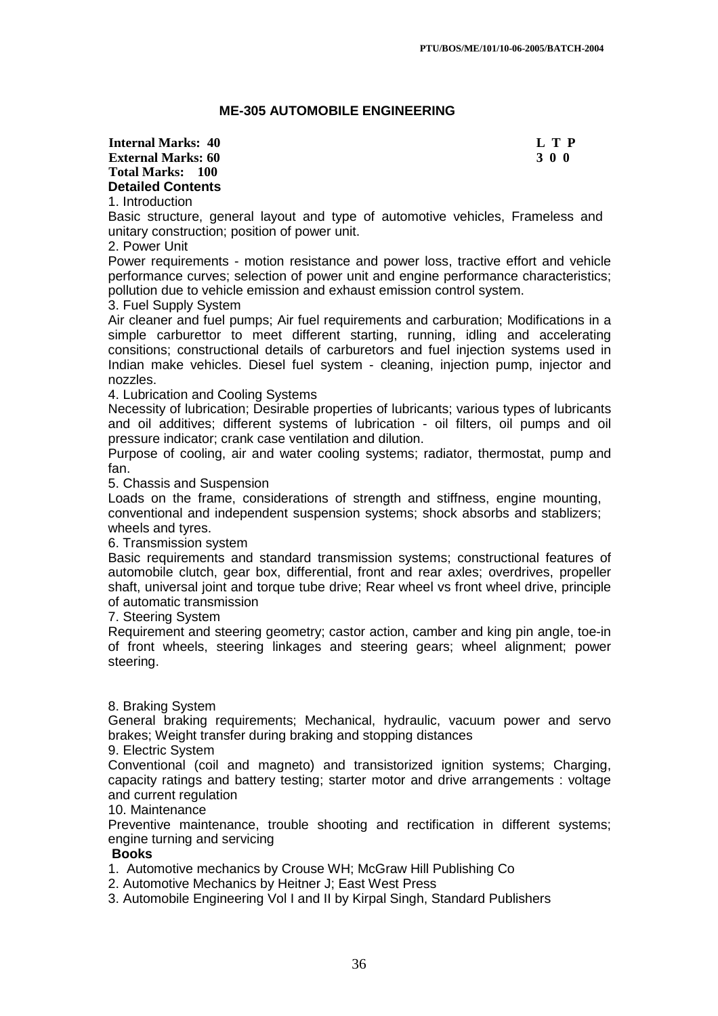## **ME-305 AUTOMOBILE ENGINEERING**

#### **Internal Marks: 40 L T P I** L T P **External Marks: 60 3 0 0 Total Marks: 100 Detailed Contents**

1. Introduction

Basic structure, general layout and type of automotive vehicles, Frameless and unitary construction; position of power unit.

#### 2. Power Unit

Power requirements - motion resistance and power loss, tractive effort and vehicle performance curves; selection of power unit and engine performance characteristics; pollution due to vehicle emission and exhaust emission control system.

### 3. Fuel Supply System

Air cleaner and fuel pumps; Air fuel requirements and carburation; Modifications in a simple carburettor to meet different starting, running, idling and accelerating consitions; constructional details of carburetors and fuel injection systems used in Indian make vehicles. Diesel fuel system - cleaning, injection pump, injector and nozzles.

4. Lubrication and Cooling Systems

Necessity of lubrication; Desirable properties of lubricants; various types of lubricants and oil additives; different systems of lubrication - oil filters, oil pumps and oil pressure indicator; crank case ventilation and dilution.

Purpose of cooling, air and water cooling systems; radiator, thermostat, pump and fan.

5. Chassis and Suspension

Loads on the frame, considerations of strength and stiffness, engine mounting, conventional and independent suspension systems; shock absorbs and stablizers; wheels and tyres.

6. Transmission system

Basic requirements and standard transmission systems; constructional features of automobile clutch, gear box, differential, front and rear axles; overdrives, propeller shaft, universal joint and torque tube drive; Rear wheel vs front wheel drive, principle of automatic transmission

7. Steering System

Requirement and steering geometry; castor action, camber and king pin angle, toe-in of front wheels, steering linkages and steering gears; wheel alignment; power steering.

### 8. Braking System

General braking requirements; Mechanical, hydraulic, vacuum power and servo brakes; Weight transfer during braking and stopping distances

9. Electric System

Conventional (coil and magneto) and transistorized ignition systems; Charging, capacity ratings and battery testing; starter motor and drive arrangements : voltage and current regulation

### 10. Maintenance

Preventive maintenance, trouble shooting and rectification in different systems; engine turning and servicing

## **Books**

1. Automotive mechanics by Crouse WH; McGraw Hill Publishing Co

- 2. Automotive Mechanics by Heitner J; East West Press
- 3. Automobile Engineering Vol I and II by Kirpal Singh, Standard Publishers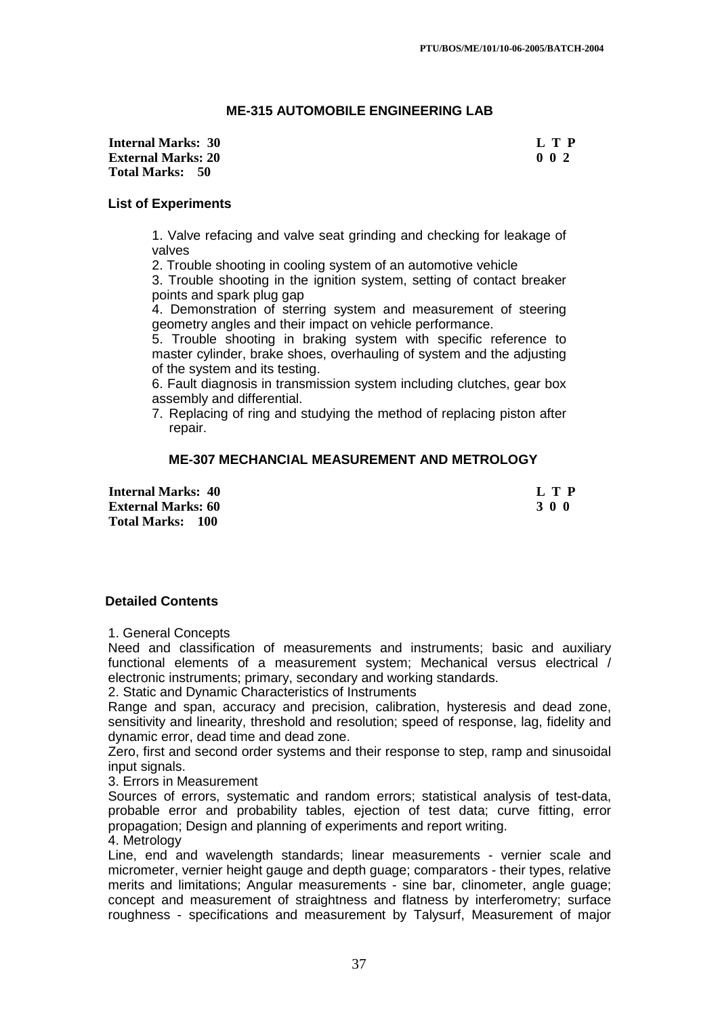# **ME-315 AUTOMOBILE ENGINEERING LAB**

**Internal Marks: 30 L T P I** L T P **External Marks: 20 0 0 2 Total Marks: 50**

# **List of Experiments**

1. Valve refacing and valve seat grinding and checking for leakage of valves

2. Trouble shooting in cooling system of an automotive vehicle

3. Trouble shooting in the ignition system, setting of contact breaker points and spark plug gap

4. Demonstration of sterring system and measurement of steering geometry angles and their impact on vehicle performance.

5. Trouble shooting in braking system with specific reference to master cylinder, brake shoes, overhauling of system and the adjusting of the system and its testing.

6. Fault diagnosis in transmission system including clutches, gear box assembly and differential.

7. Replacing of ring and studying the method of replacing piston after repair.

# **ME-307 MECHANCIAL MEASUREMENT AND METROLOGY**

**Internal Marks: 40 L T P L T P External Marks: 60 3 0 0 Total Marks: 100**

# **Detailed Contents**

1. General Concepts

Need and classification of measurements and instruments; basic and auxiliary functional elements of a measurement system; Mechanical versus electrical / electronic instruments; primary, secondary and working standards.

2. Static and Dynamic Characteristics of Instruments

Range and span, accuracy and precision, calibration, hysteresis and dead zone, sensitivity and linearity, threshold and resolution; speed of response, lag, fidelity and dynamic error, dead time and dead zone.

Zero, first and second order systems and their response to step, ramp and sinusoidal input signals.

3. Errors in Measurement

Sources of errors, systematic and random errors; statistical analysis of test-data, probable error and probability tables, ejection of test data; curve fitting, error propagation; Design and planning of experiments and report writing. 4. Metrology

Line, end and wavelength standards; linear measurements - vernier scale and micrometer, vernier height gauge and depth guage; comparators - their types, relative merits and limitations; Angular measurements - sine bar, clinometer, angle guage; concept and measurement of straightness and flatness by interferometry; surface roughness - specifications and measurement by Talysurf, Measurement of major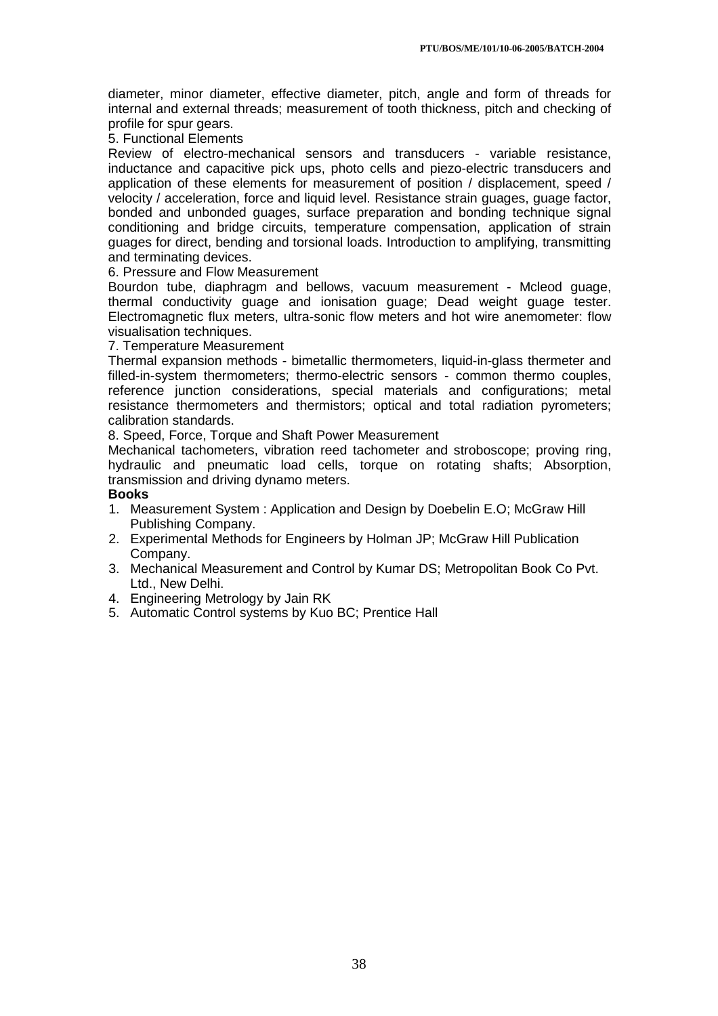diameter, minor diameter, effective diameter, pitch, angle and form of threads for internal and external threads; measurement of tooth thickness, pitch and checking of profile for spur gears.

## 5. Functional Elements

Review of electro-mechanical sensors and transducers - variable resistance, inductance and capacitive pick ups, photo cells and piezo-electric transducers and application of these elements for measurement of position / displacement, speed / velocity / acceleration, force and liquid level. Resistance strain guages, guage factor, bonded and unbonded guages, surface preparation and bonding technique signal conditioning and bridge circuits, temperature compensation, application of strain guages for direct, bending and torsional loads. Introduction to amplifying, transmitting and terminating devices.

6. Pressure and Flow Measurement

Bourdon tube, diaphragm and bellows, vacuum measurement - Mcleod guage, thermal conductivity guage and ionisation guage; Dead weight guage tester. Electromagnetic flux meters, ultra-sonic flow meters and hot wire anemometer: flow visualisation techniques.

### 7. Temperature Measurement

Thermal expansion methods - bimetallic thermometers, liquid-in-glass thermeter and filled-in-system thermometers; thermo-electric sensors - common thermo couples, reference junction considerations, special materials and configurations; metal resistance thermometers and thermistors; optical and total radiation pyrometers; calibration standards.

8. Speed, Force, Torque and Shaft Power Measurement

Mechanical tachometers, vibration reed tachometer and stroboscope; proving ring, hydraulic and pneumatic load cells, torque on rotating shafts; Absorption, transmission and driving dynamo meters.

### **Books**

- 1. Measurement System : Application and Design by Doebelin E.O; McGraw Hill Publishing Company.
- 2. Experimental Methods for Engineers by Holman JP; McGraw Hill Publication Company.
- 3. Mechanical Measurement and Control by Kumar DS; Metropolitan Book Co Pvt. Ltd., New Delhi.
- 4. Engineering Metrology by Jain RK
- 5. Automatic Control systems by Kuo BC; Prentice Hall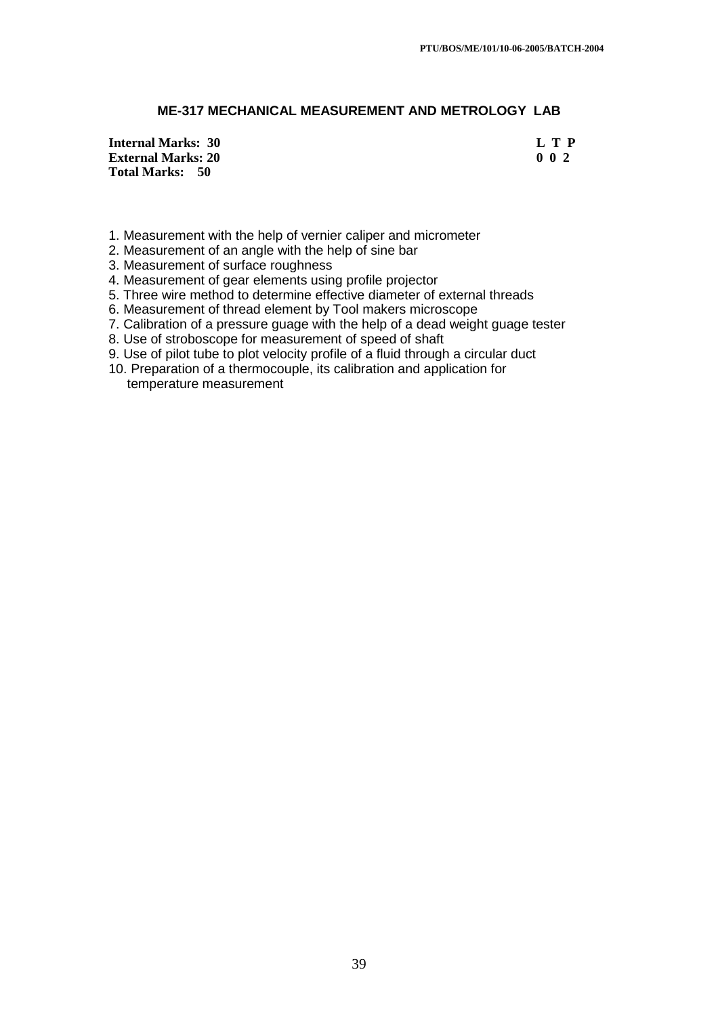# **ME-317 MECHANICAL MEASUREMENT AND METROLOGY LAB**

**Internal Marks: 30 L T P External Marks: 20 Total Marks: 50**

- 1. Measurement with the help of vernier caliper and micrometer
- 2. Measurement of an angle with the help of sine bar
- 3. Measurement of surface roughness
- 4. Measurement of gear elements using profile projector
- 5. Three wire method to determine effective diameter of external threads
- 6. Measurement of thread element by Tool makers microscope
- 7. Calibration of a pressure guage with the help of a dead weight guage tester
- 8. Use of stroboscope for measurement of speed of shaft
- 9. Use of pilot tube to plot velocity profile of a fluid through a circular duct
- 10. Preparation of a thermocouple, its calibration and application for temperature measurement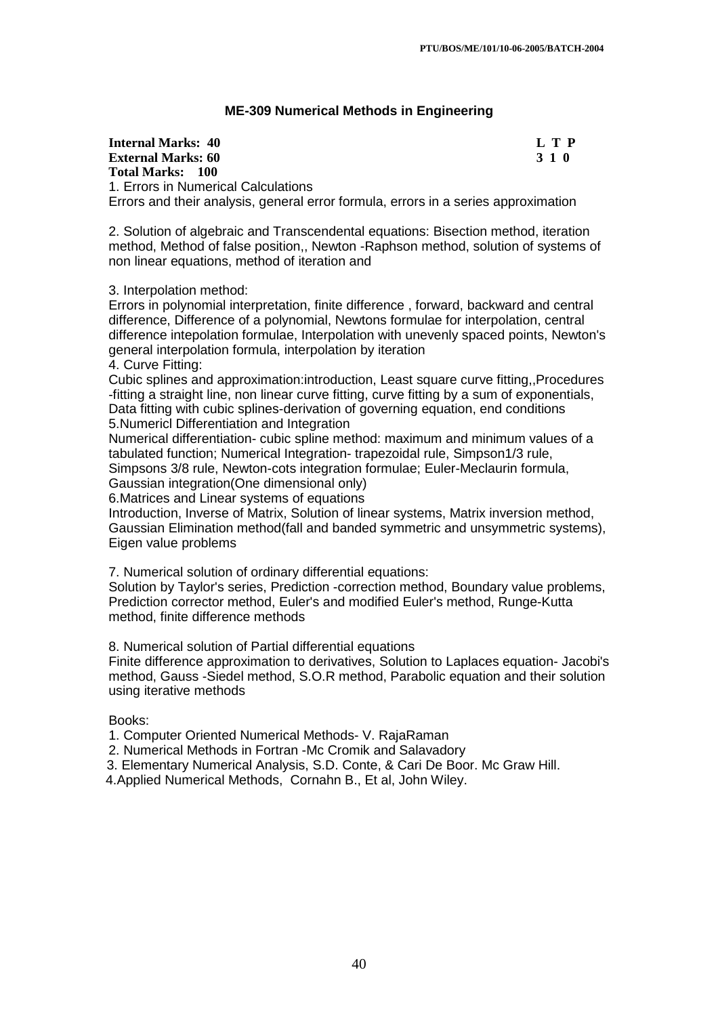# **ME-309 Numerical Methods in Engineering**

| <b>Internal Marks: 40</b>           |  |  | L T P |
|-------------------------------------|--|--|-------|
| <b>External Marks: 60</b>           |  |  | 3 1 O |
| Total Marks: 100                    |  |  |       |
| 1. Errors in Numerical Calculations |  |  |       |
|                                     |  |  |       |

Errors and their analysis, general error formula, errors in a series approximation

2. Solution of algebraic and Transcendental equations: Bisection method, iteration method, Method of false position,, Newton -Raphson method, solution of systems of non linear equations, method of iteration and

3. Interpolation method:

Errors in polynomial interpretation, finite difference , forward, backward and central difference, Difference of a polynomial, Newtons formulae for interpolation, central difference intepolation formulae, Interpolation with unevenly spaced points, Newton's general interpolation formula, interpolation by iteration

4. Curve Fitting:

Cubic splines and approximation:introduction, Least square curve fitting,,Procedures -fitting a straight line, non linear curve fitting, curve fitting by a sum of exponentials, Data fitting with cubic splines-derivation of governing equation, end conditions 5.Numericl Differentiation and Integration

Numerical differentiation- cubic spline method: maximum and minimum values of a tabulated function; Numerical Integration- trapezoidal rule, Simpson1/3 rule, Simpsons 3/8 rule, Newton-cots integration formulae; Euler-Meclaurin formula,

Gaussian integration(One dimensional only)

6.Matrices and Linear systems of equations

Introduction, Inverse of Matrix, Solution of linear systems, Matrix inversion method, Gaussian Elimination method(fall and banded symmetric and unsymmetric systems), Eigen value problems

7. Numerical solution of ordinary differential equations:

Solution by Taylor's series, Prediction -correction method, Boundary value problems, Prediction corrector method, Euler's and modified Euler's method, Runge-Kutta method, finite difference methods

8. Numerical solution of Partial differential equations

Finite difference approximation to derivatives, Solution to Laplaces equation- Jacobi's method, Gauss -Siedel method, S.O.R method, Parabolic equation and their solution using iterative methods

Books:

1. Computer Oriented Numerical Methods- V. RajaRaman

2. Numerical Methods in Fortran -Mc Cromik and Salavadory

3. Elementary Numerical Analysis, S.D. Conte, & Cari De Boor. Mc Graw Hill.

4.Applied Numerical Methods, Cornahn B., Et al, John Wiley.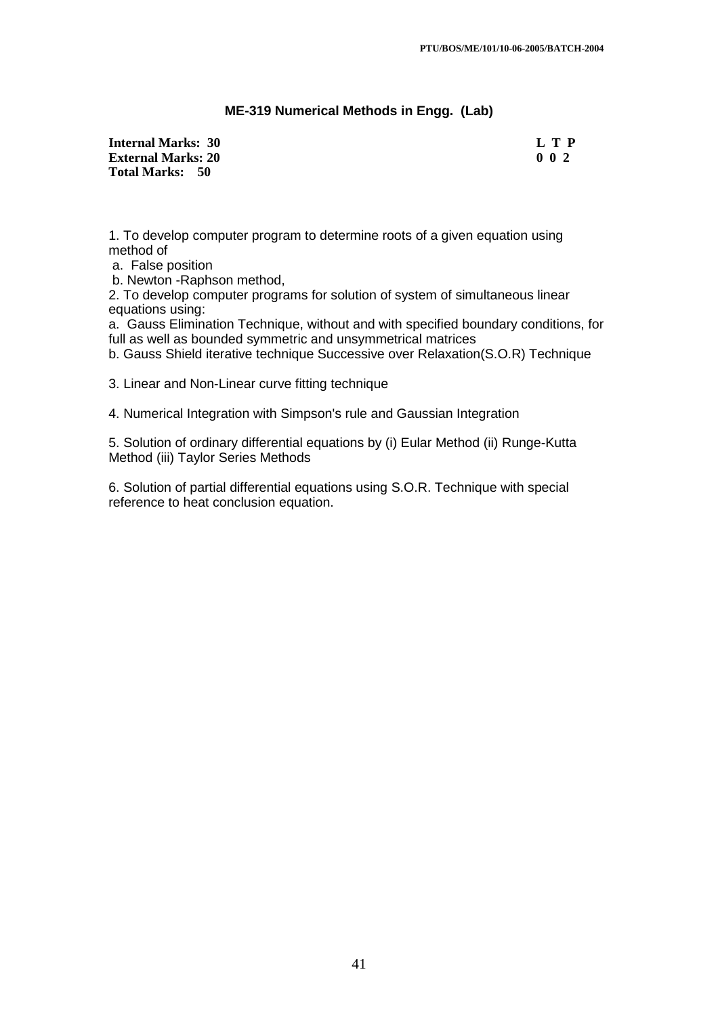# **ME-319 Numerical Methods in Engg. (Lab)**

**Internal Marks: 30 L T P External Marks: 20 Total Marks: 50**

1. To develop computer program to determine roots of a given equation using method of

a. False position

b. Newton -Raphson method,

2. To develop computer programs for solution of system of simultaneous linear equations using:

a. Gauss Elimination Technique, without and with specified boundary conditions, for full as well as bounded symmetric and unsymmetrical matrices

b. Gauss Shield iterative technique Successive over Relaxation(S.O.R) Technique

3. Linear and Non-Linear curve fitting technique

4. Numerical Integration with Simpson's rule and Gaussian Integration

5. Solution of ordinary differential equations by (i) Eular Method (ii) Runge-Kutta Method (iii) Taylor Series Methods

6. Solution of partial differential equations using S.O.R. Technique with special reference to heat conclusion equation.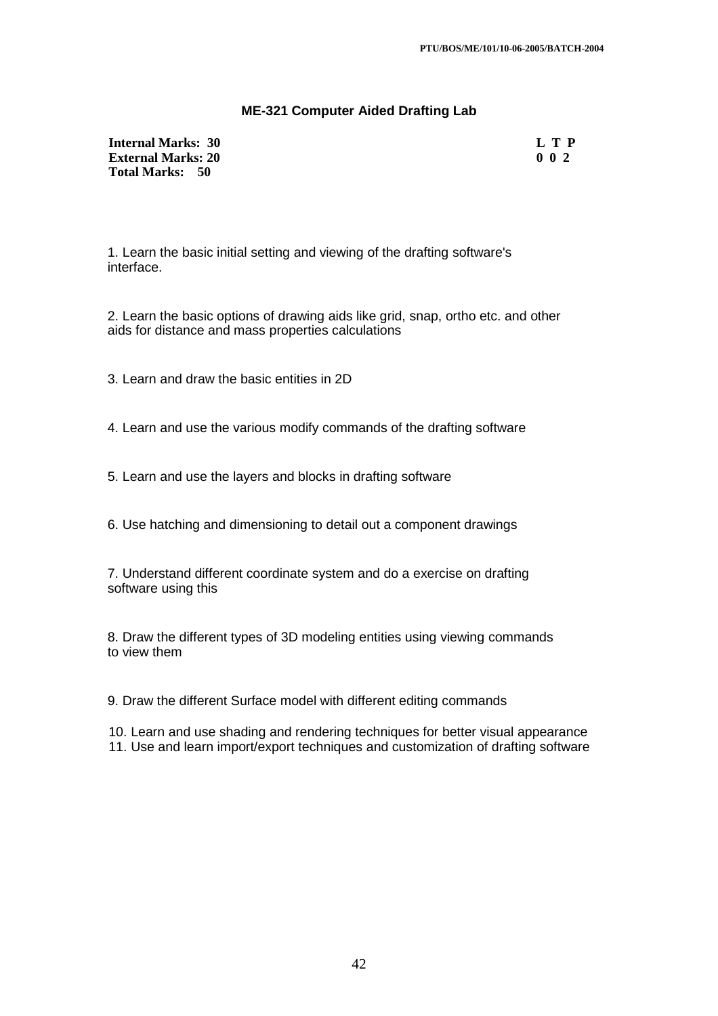# **ME-321 Computer Aided Drafting Lab**

**Internal Marks: 30 L T P**<br> **External Marks: 20** 0 0 2 **External Marks: 20 Total Marks: 50**

1. Learn the basic initial setting and viewing of the drafting software's interface.

2. Learn the basic options of drawing aids like grid, snap, ortho etc. and other aids for distance and mass properties calculations

3. Learn and draw the basic entities in 2D

4. Learn and use the various modify commands of the drafting software

5. Learn and use the layers and blocks in drafting software

6. Use hatching and dimensioning to detail out a component drawings

7. Understand different coordinate system and do a exercise on drafting software using this

8. Draw the different types of 3D modeling entities using viewing commands to view them

9. Draw the different Surface model with different editing commands

10. Learn and use shading and rendering techniques for better visual appearance 11. Use and learn import/export techniques and customization of drafting software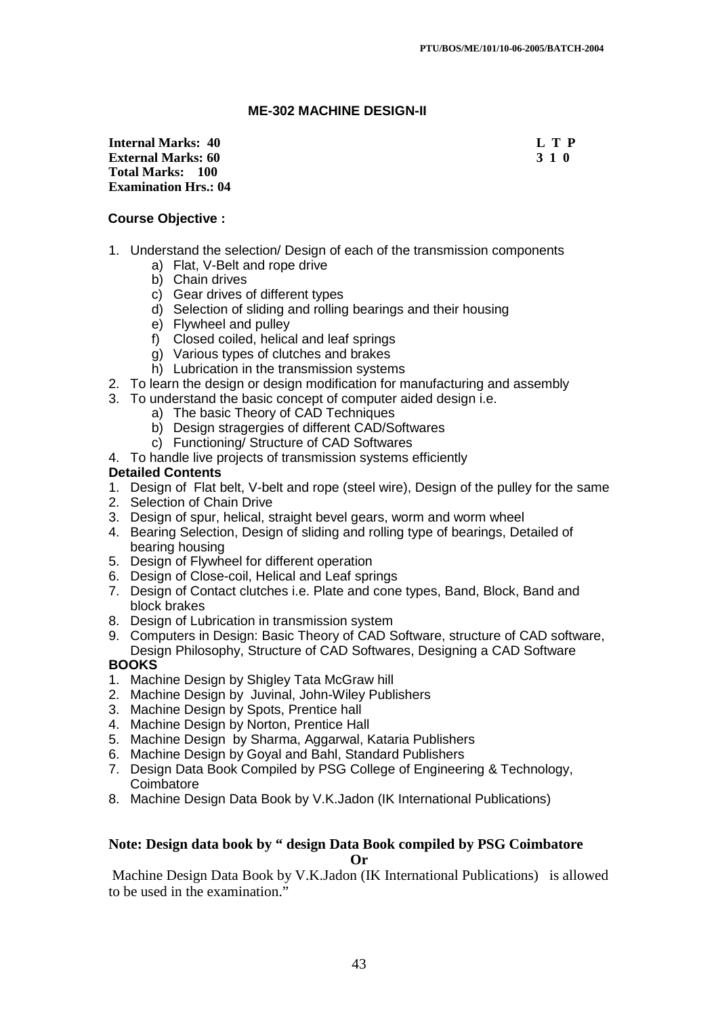# **ME-302 MACHINE DESIGN-II**

**Internal Marks: 40 L T P I** L T P **External Marks: 60 3 1 0 Total Marks: 100 Examination Hrs.: 04** 

# **Course Objective :**

- 1. Understand the selection/ Design of each of the transmission components
	- a) Flat, V-Belt and rope drive
	- b) Chain drives
	- c) Gear drives of different types
	- d) Selection of sliding and rolling bearings and their housing
	- e) Flywheel and pulley
	- f) Closed coiled, helical and leaf springs
	- g) Various types of clutches and brakes
	- h) Lubrication in the transmission systems
- 2. To learn the design or design modification for manufacturing and assembly
- 3. To understand the basic concept of computer aided design i.e.
	- a) The basic Theory of CAD Techniques
	- b) Design stragergies of different CAD/Softwares
	- c) Functioning/ Structure of CAD Softwares
- 4. To handle live projects of transmission systems efficiently

# **Detailed Contents**

- 1. Design of Flat belt, V-belt and rope (steel wire), Design of the pulley for the same
- 2. Selection of Chain Drive
- 3. Design of spur, helical, straight bevel gears, worm and worm wheel
- 4. Bearing Selection, Design of sliding and rolling type of bearings, Detailed of bearing housing
- 5. Design of Flywheel for different operation
- 6. Design of Close-coil, Helical and Leaf springs
- 7. Design of Contact clutches i.e. Plate and cone types, Band, Block, Band and block brakes
- 8. Design of Lubrication in transmission system
- 9. Computers in Design: Basic Theory of CAD Software, structure of CAD software, Design Philosophy, Structure of CAD Softwares, Designing a CAD Software

# **BOOKS**

- 1. Machine Design by Shigley Tata McGraw hill
- 2. Machine Design by Juvinal, John-Wiley Publishers
- 3. Machine Design by Spots, Prentice hall
- 4. Machine Design by Norton, Prentice Hall
- 5. Machine Design by Sharma, Aggarwal, Kataria Publishers
- 6. Machine Design by Goyal and Bahl, Standard Publishers
- 7. Design Data Book Compiled by PSG College of Engineering & Technology, **Coimbatore**
- 8. Machine Design Data Book by V.K.Jadon (IK International Publications)

### **Note: Design data book by " design Data Book compiled by PSG Coimbatore Or**

 Machine Design Data Book by V.K.Jadon (IK International Publications) is allowed to be used in the examination."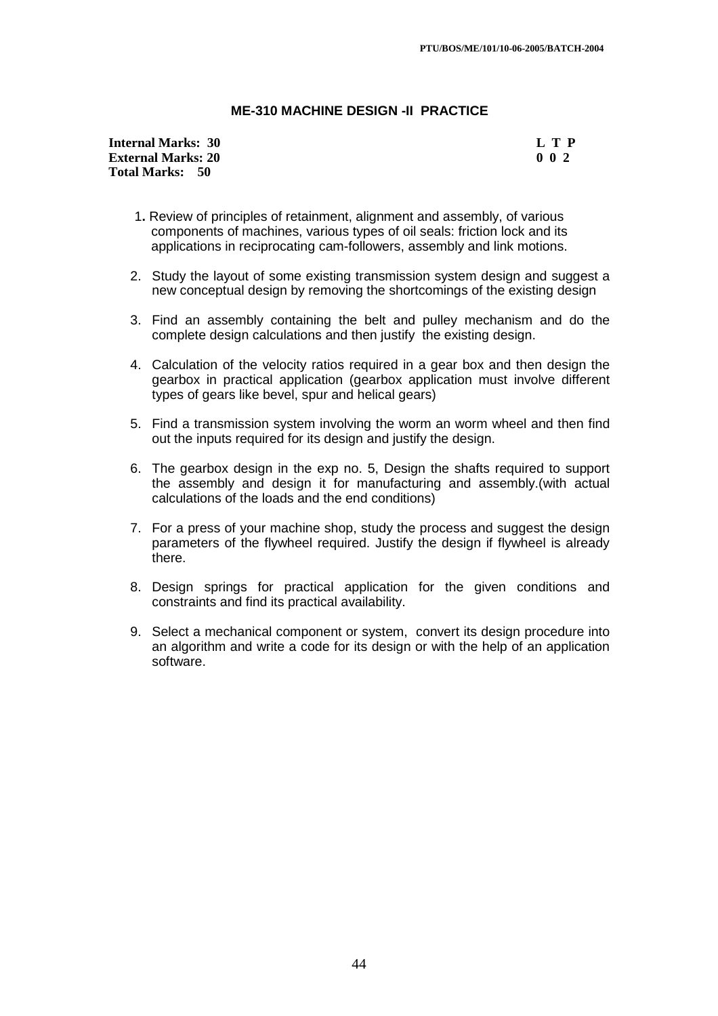## **ME-310 MACHINE DESIGN -II PRACTICE**

**Internal Marks: 30 L T P I** L T P **External Marks: 20 0 0 2 Total Marks: 50**

- 1**.** Review of principles of retainment, alignment and assembly, of various components of machines, various types of oil seals: friction lock and its applications in reciprocating cam-followers, assembly and link motions.
- 2. Study the layout of some existing transmission system design and suggest a new conceptual design by removing the shortcomings of the existing design
- 3. Find an assembly containing the belt and pulley mechanism and do the complete design calculations and then justify the existing design.
- 4. Calculation of the velocity ratios required in a gear box and then design the gearbox in practical application (gearbox application must involve different types of gears like bevel, spur and helical gears)
- 5. Find a transmission system involving the worm an worm wheel and then find out the inputs required for its design and justify the design.
- 6. The gearbox design in the exp no. 5, Design the shafts required to support the assembly and design it for manufacturing and assembly.(with actual calculations of the loads and the end conditions)
- 7. For a press of your machine shop, study the process and suggest the design parameters of the flywheel required. Justify the design if flywheel is already there.
- 8. Design springs for practical application for the given conditions and constraints and find its practical availability.
- 9. Select a mechanical component or system, convert its design procedure into an algorithm and write a code for its design or with the help of an application software.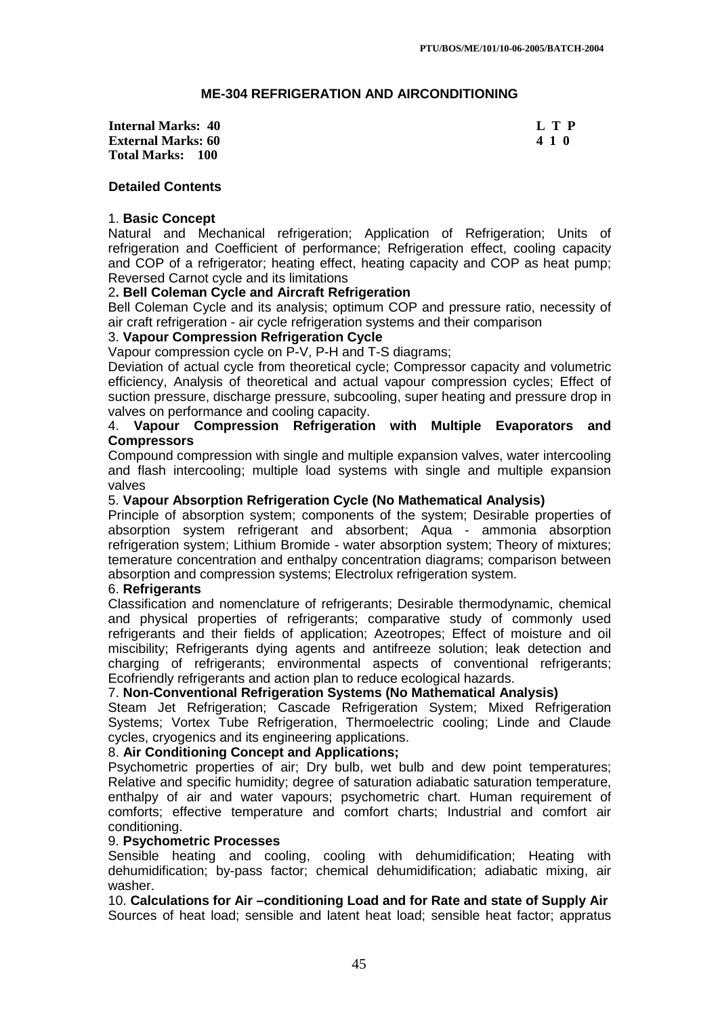# **ME-304 REFRIGERATION AND AIRCONDITIONING**

**Internal Marks: 40 L T P External Marks: 60 Total Marks: 100**

## **Detailed Contents**

## 1. **Basic Concept**

Natural and Mechanical refrigeration; Application of Refrigeration; Units of refrigeration and Coefficient of performance; Refrigeration effect, cooling capacity and COP of a refrigerator; heating effect, heating capacity and COP as heat pump; Reversed Carnot cycle and its limitations

# 2**. Bell Coleman Cycle and Aircraft Refrigeration**

Bell Coleman Cycle and its analysis; optimum COP and pressure ratio, necessity of air craft refrigeration - air cycle refrigeration systems and their comparison

# 3. **Vapour Compression Refrigeration Cycle**

Vapour compression cycle on P-V, P-H and T-S diagrams;

Deviation of actual cycle from theoretical cycle; Compressor capacity and volumetric efficiency, Analysis of theoretical and actual vapour compression cycles; Effect of suction pressure, discharge pressure, subcooling, super heating and pressure drop in valves on performance and cooling capacity.

## 4. **Vapour Compression Refrigeration with Multiple Evaporators and Compressors**

Compound compression with single and multiple expansion valves, water intercooling and flash intercooling; multiple load systems with single and multiple expansion valves

# 5. **Vapour Absorption Refrigeration Cycle (No Mathematical Analysis)**

Principle of absorption system; components of the system; Desirable properties of absorption system refrigerant and absorbent; Aqua - ammonia absorption refrigeration system; Lithium Bromide - water absorption system; Theory of mixtures; temerature concentration and enthalpy concentration diagrams; comparison between absorption and compression systems; Electrolux refrigeration system.

### 6. **Refrigerants**

Classification and nomenclature of refrigerants; Desirable thermodynamic, chemical and physical properties of refrigerants; comparative study of commonly used refrigerants and their fields of application; Azeotropes; Effect of moisture and oil miscibility; Refrigerants dying agents and antifreeze solution; leak detection and charging of refrigerants; environmental aspects of conventional refrigerants; Ecofriendly refrigerants and action plan to reduce ecological hazards.

# 7. **Non-Conventional Refrigeration Systems (No Mathematical Analysis)**

Steam Jet Refrigeration; Cascade Refrigeration System; Mixed Refrigeration Systems; Vortex Tube Refrigeration, Thermoelectric cooling; Linde and Claude cycles, cryogenics and its engineering applications.

### 8. **Air Conditioning Concept and Applications;**

Psychometric properties of air; Dry bulb, wet bulb and dew point temperatures; Relative and specific humidity; degree of saturation adiabatic saturation temperature, enthalpy of air and water vapours; psychometric chart. Human requirement of comforts; effective temperature and comfort charts; Industrial and comfort air conditioning.

## 9. **Psychometric Processes**

Sensible heating and cooling, cooling with dehumidification; Heating with dehumidification; by-pass factor; chemical dehumidification; adiabatic mixing, air washer.

10. **Calculations for Air –conditioning Load and for Rate and state of Supply Air**  Sources of heat load; sensible and latent heat load; sensible heat factor; appratus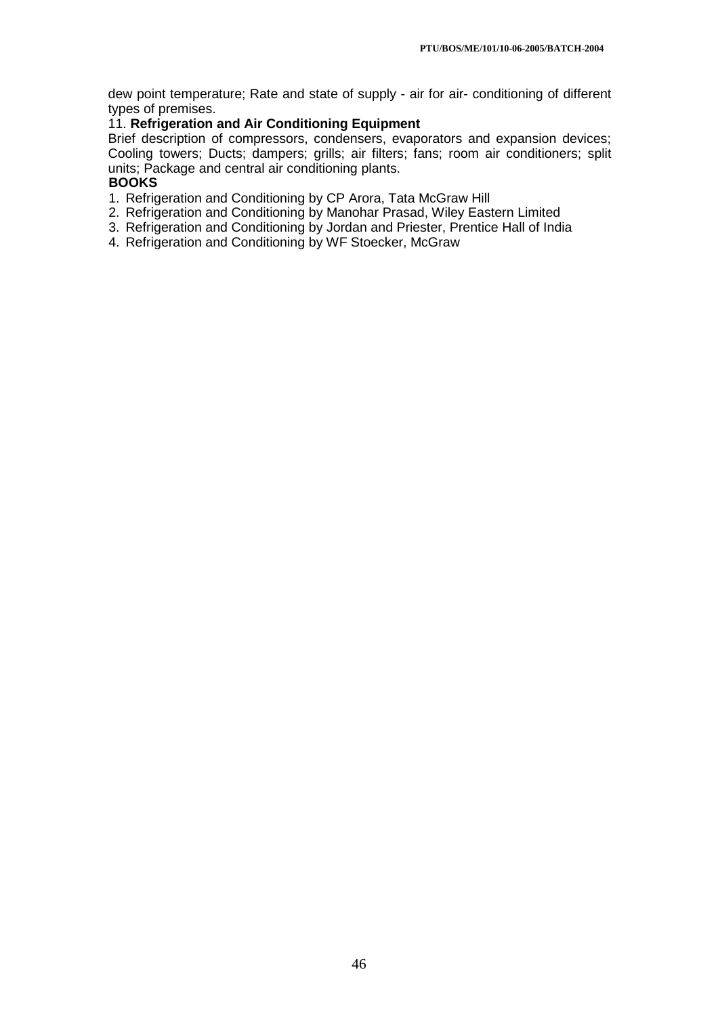dew point temperature; Rate and state of supply - air for air- conditioning of different types of premises.

# 11. **Refrigeration and Air Conditioning Equipment**

Brief description of compressors, condensers, evaporators and expansion devices; Cooling towers; Ducts; dampers; grills; air filters; fans; room air conditioners; split units; Package and central air conditioning plants.

# **BOOKS**

- 1. Refrigeration and Conditioning by CP Arora, Tata McGraw Hill
- 2. Refrigeration and Conditioning by Manohar Prasad, Wiley Eastern Limited
- 3. Refrigeration and Conditioning by Jordan and Priester, Prentice Hall of India
- 4. Refrigeration and Conditioning by WF Stoecker, McGraw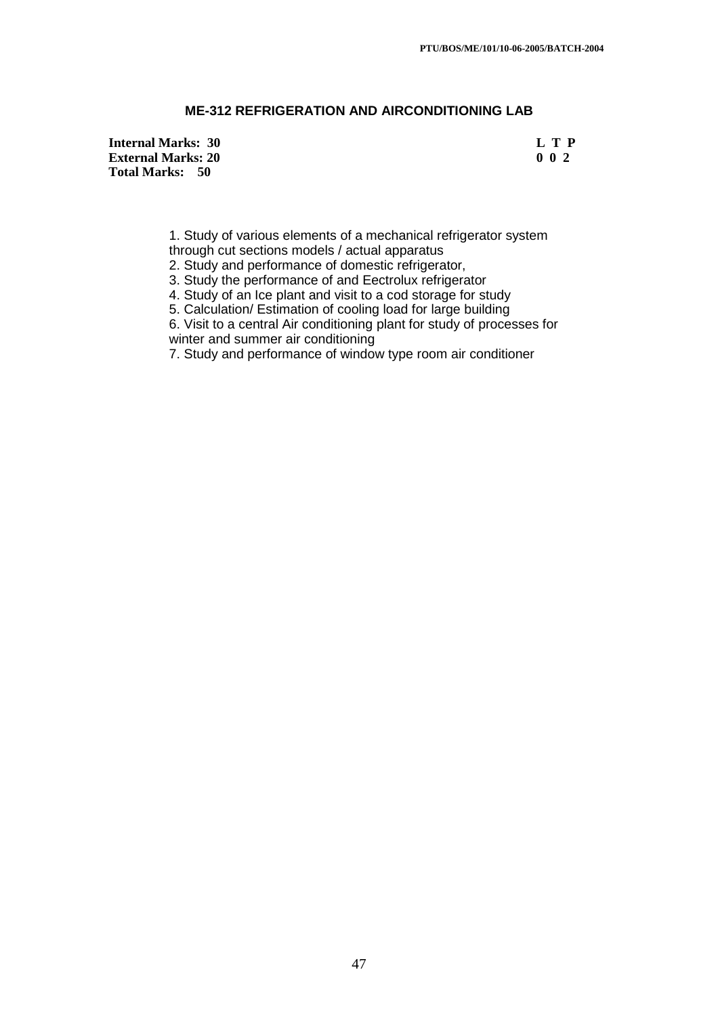# **ME-312 REFRIGERATION AND AIRCONDITIONING LAB**

**Internal Marks: 30 L T P External Marks: 20 Total Marks: 50**

1. Study of various elements of a mechanical refrigerator system

through cut sections models / actual apparatus

2. Study and performance of domestic refrigerator,

- 3. Study the performance of and Eectrolux refrigerator
- 4. Study of an Ice plant and visit to a cod storage for study

5. Calculation/ Estimation of cooling load for large building

6. Visit to a central Air conditioning plant for study of processes for winter and summer air conditioning

7. Study and performance of window type room air conditioner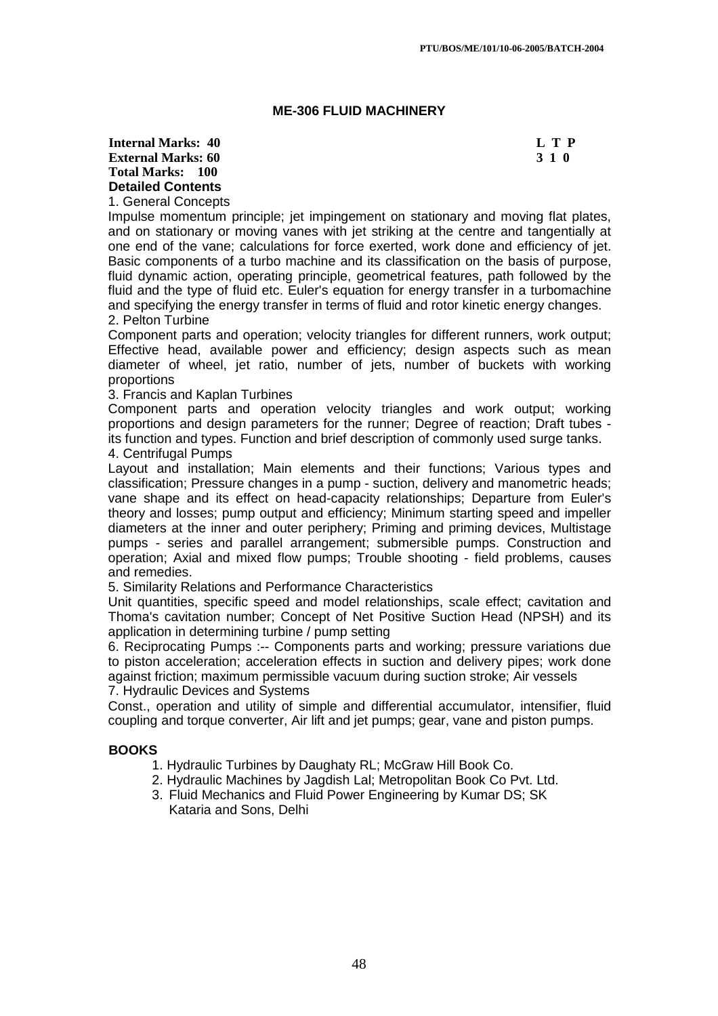# **ME-306 FLUID MACHINERY**

#### **Internal Marks: 40 L T P I** L T P **External Marks: 60 3 1 0 Total Marks: 100 Detailed Contents**  1. General Concepts

Impulse momentum principle; jet impingement on stationary and moving flat plates, and on stationary or moving vanes with jet striking at the centre and tangentially at one end of the vane; calculations for force exerted, work done and efficiency of jet. Basic components of a turbo machine and its classification on the basis of purpose, fluid dynamic action, operating principle, geometrical features, path followed by the fluid and the type of fluid etc. Euler's equation for energy transfer in a turbomachine and specifying the energy transfer in terms of fluid and rotor kinetic energy changes. 2. Pelton Turbine

Component parts and operation; velocity triangles for different runners, work output; Effective head, available power and efficiency; design aspects such as mean diameter of wheel, jet ratio, number of jets, number of buckets with working proportions

#### 3. Francis and Kaplan Turbines

Component parts and operation velocity triangles and work output; working proportions and design parameters for the runner; Degree of reaction; Draft tubes its function and types. Function and brief description of commonly used surge tanks.

4. Centrifugal Pumps

Layout and installation; Main elements and their functions; Various types and classification; Pressure changes in a pump - suction, delivery and manometric heads; vane shape and its effect on head-capacity relationships; Departure from Euler's theory and losses; pump output and efficiency; Minimum starting speed and impeller diameters at the inner and outer periphery; Priming and priming devices, Multistage pumps - series and parallel arrangement; submersible pumps. Construction and operation; Axial and mixed flow pumps; Trouble shooting - field problems, causes and remedies.

5. Similarity Relations and Performance Characteristics

Unit quantities, specific speed and model relationships, scale effect; cavitation and Thoma's cavitation number; Concept of Net Positive Suction Head (NPSH) and its application in determining turbine / pump setting

6. Reciprocating Pumps :-- Components parts and working; pressure variations due to piston acceleration; acceleration effects in suction and delivery pipes; work done against friction; maximum permissible vacuum during suction stroke; Air vessels 7. Hydraulic Devices and Systems

Const., operation and utility of simple and differential accumulator, intensifier, fluid coupling and torque converter, Air lift and jet pumps; gear, vane and piston pumps.

### **BOOKS**

- 1. Hydraulic Turbines by Daughaty RL; McGraw Hill Book Co.
- 2. Hydraulic Machines by Jagdish Lal; Metropolitan Book Co Pvt. Ltd.
- 3. Fluid Mechanics and Fluid Power Engineering by Kumar DS; SK Kataria and Sons, Delhi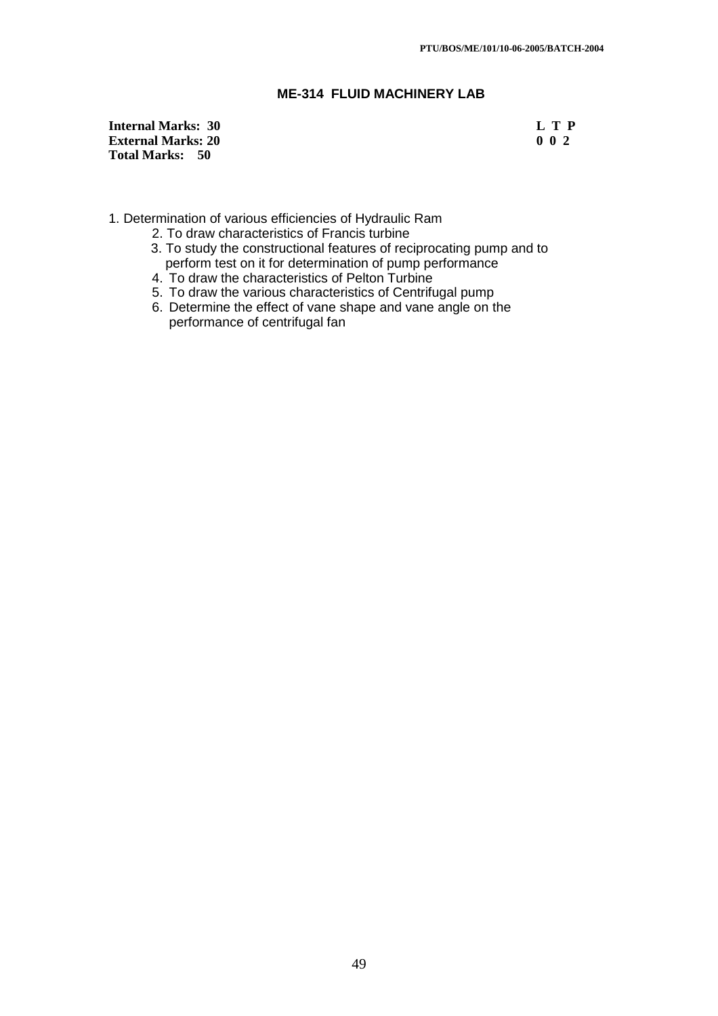# **ME-314 FLUID MACHINERY LAB**

## **Internal Marks: 30 L T P External Marks: 20 Total Marks: 50**

- 1. Determination of various efficiencies of Hydraulic Ram
	- 2. To draw characteristics of Francis turbine
	- 3. To study the constructional features of reciprocating pump and to perform test on it for determination of pump performance
	- 4. To draw the characteristics of Pelton Turbine
	- 5. To draw the various characteristics of Centrifugal pump
	- 6. Determine the effect of vane shape and vane angle on the performance of centrifugal fan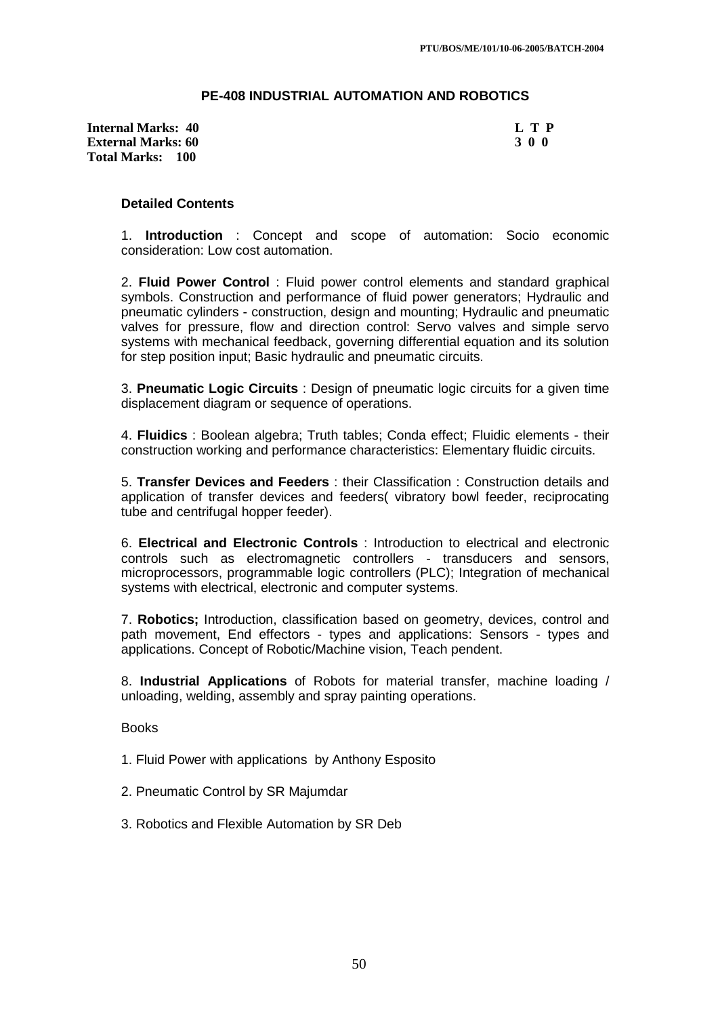# **PE-408 INDUSTRIAL AUTOMATION AND ROBOTICS**

**Internal Marks: 40 L T P External Marks: 60 Total Marks: 100**

## **Detailed Contents**

1. **Introduction** : Concept and scope of automation: Socio economic consideration: Low cost automation.

2. **Fluid Power Control** : Fluid power control elements and standard graphical symbols. Construction and performance of fluid power generators; Hydraulic and pneumatic cylinders - construction, design and mounting; Hydraulic and pneumatic valves for pressure, flow and direction control: Servo valves and simple servo systems with mechanical feedback, governing differential equation and its solution for step position input; Basic hydraulic and pneumatic circuits.

3. **Pneumatic Logic Circuits** : Design of pneumatic logic circuits for a given time displacement diagram or sequence of operations.

4. **Fluidics** : Boolean algebra; Truth tables; Conda effect; Fluidic elements - their construction working and performance characteristics: Elementary fluidic circuits.

5. **Transfer Devices and Feeders** : their Classification : Construction details and application of transfer devices and feeders( vibratory bowl feeder, reciprocating tube and centrifugal hopper feeder).

6. **Electrical and Electronic Controls** : Introduction to electrical and electronic controls such as electromagnetic controllers - transducers and sensors, microprocessors, programmable logic controllers (PLC); Integration of mechanical systems with electrical, electronic and computer systems.

7. **Robotics;** Introduction, classification based on geometry, devices, control and path movement, End effectors - types and applications: Sensors - types and applications. Concept of Robotic/Machine vision, Teach pendent.

8. **Industrial Applications** of Robots for material transfer, machine loading / unloading, welding, assembly and spray painting operations.

Books

1. Fluid Power with applications by Anthony Esposito

- 2. Pneumatic Control by SR Majumdar
- 3. Robotics and Flexible Automation by SR Deb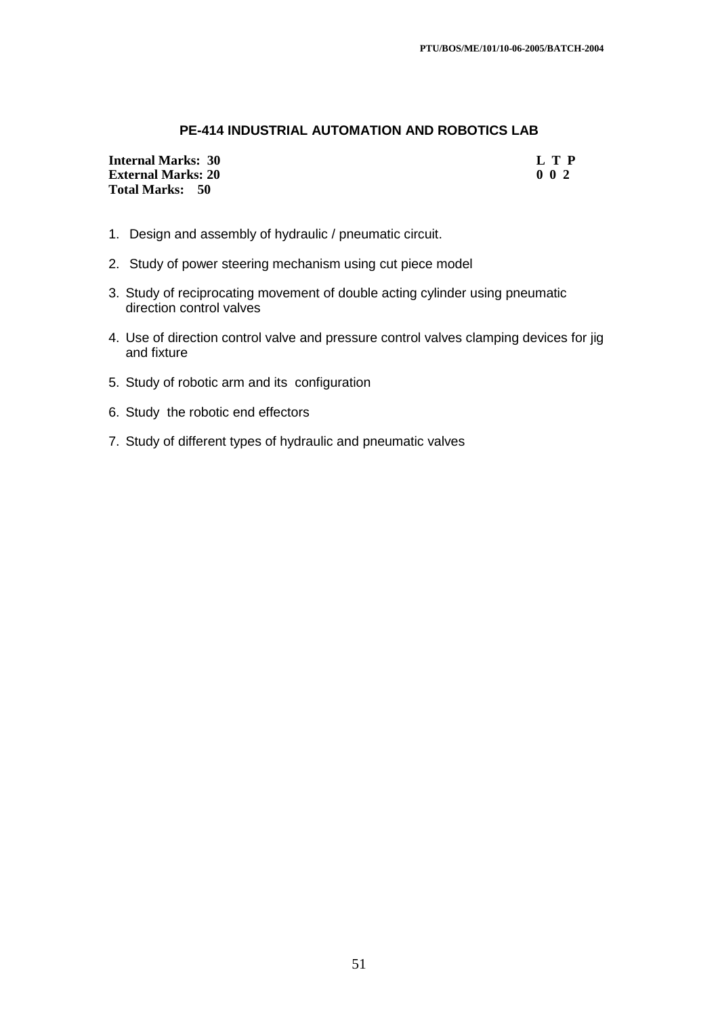# **PE-414 INDUSTRIAL AUTOMATION AND ROBOTICS LAB**

**Internal Marks: 30 L T P External Marks: 20 Total Marks: 50**

- 1. Design and assembly of hydraulic / pneumatic circuit.
- 2. Study of power steering mechanism using cut piece model
- 3. Study of reciprocating movement of double acting cylinder using pneumatic direction control valves
- 4. Use of direction control valve and pressure control valves clamping devices for jig and fixture
- 5. Study of robotic arm and its configuration
- 6. Study the robotic end effectors
- 7. Study of different types of hydraulic and pneumatic valves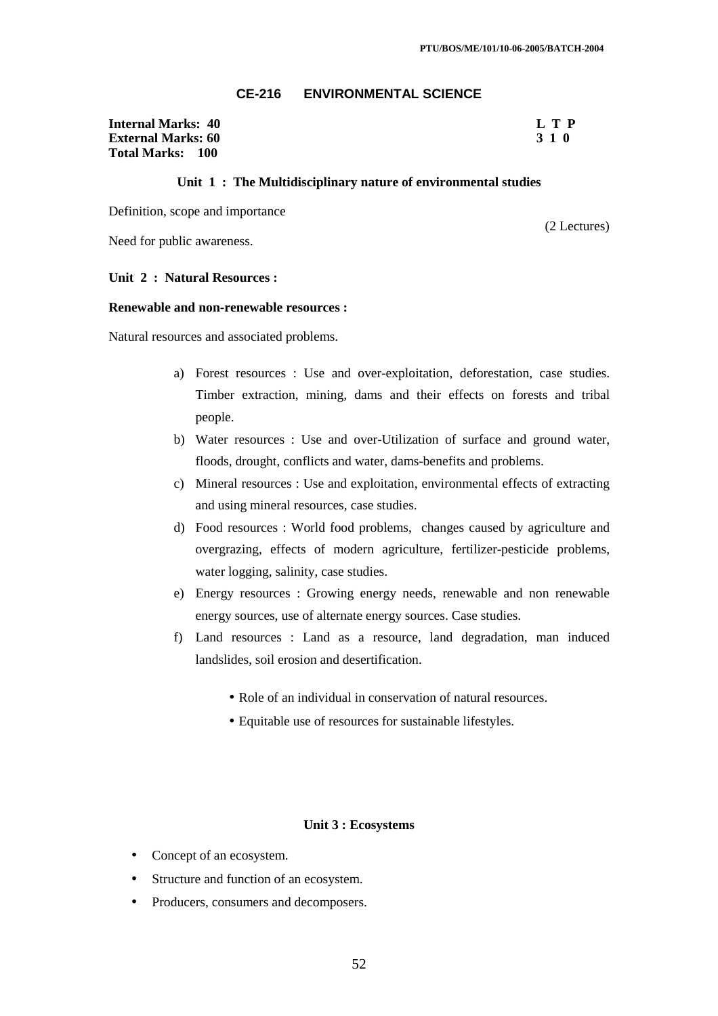# **CE-216 ENVIRONMENTAL SCIENCE**

**Internal Marks: 40 L T P External Marks: 60 3 1 0 Total Marks: 100**

#### **Unit 1 : The Multidisciplinary nature of environmental studies**

Definition, scope and importance

Need for public awareness.

(2 Lectures)

#### **Unit 2 : Natural Resources :**

#### **Renewable and non-renewable resources :**

Natural resources and associated problems.

- a) Forest resources : Use and over-exploitation, deforestation, case studies. Timber extraction, mining, dams and their effects on forests and tribal people.
- b) Water resources : Use and over-Utilization of surface and ground water, floods, drought, conflicts and water, dams-benefits and problems.
- c) Mineral resources : Use and exploitation, environmental effects of extracting and using mineral resources, case studies.
- d) Food resources : World food problems, changes caused by agriculture and overgrazing, effects of modern agriculture, fertilizer-pesticide problems, water logging, salinity, case studies.
- e) Energy resources : Growing energy needs, renewable and non renewable energy sources, use of alternate energy sources. Case studies.
- f) Land resources : Land as a resource, land degradation, man induced landslides, soil erosion and desertification.
	- Role of an individual in conservation of natural resources.
	- Equitable use of resources for sustainable lifestyles.

#### **Unit 3 : Ecosystems**

- Concept of an ecosystem.
- Structure and function of an ecosystem.
- Producers, consumers and decomposers.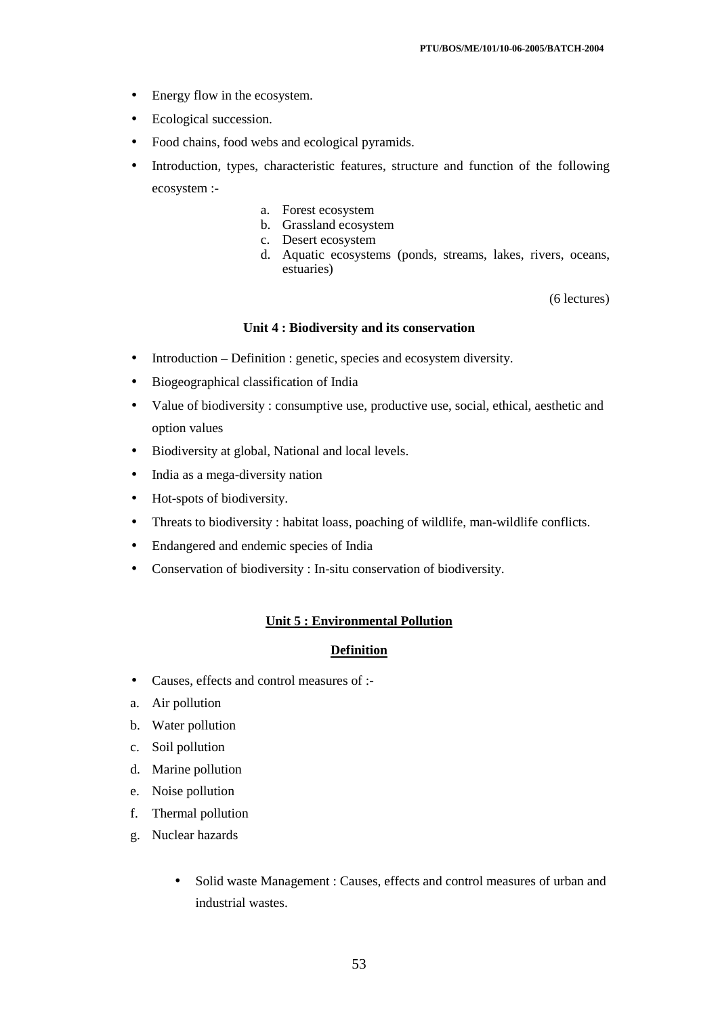- Energy flow in the ecosystem.
- Ecological succession.
- Food chains, food webs and ecological pyramids.
- Introduction, types, characteristic features, structure and function of the following ecosystem :
	- a. Forest ecosystem
	- b. Grassland ecosystem
	- c. Desert ecosystem
	- d. Aquatic ecosystems (ponds, streams, lakes, rivers, oceans, estuaries)

(6 lectures)

#### **Unit 4 : Biodiversity and its conservation**

- Introduction Definition : genetic, species and ecosystem diversity.
- Biogeographical classification of India
- Value of biodiversity : consumptive use, productive use, social, ethical, aesthetic and option values
- Biodiversity at global, National and local levels.
- India as a mega-diversity nation
- Hot-spots of biodiversity.
- Threats to biodiversity : habitat loass, poaching of wildlife, man-wildlife conflicts.
- Endangered and endemic species of India
- Conservation of biodiversity : In-situ conservation of biodiversity.

## **Unit 5 : Environmental Pollution**

#### **Definition**

- Causes, effects and control measures of :-
- a. Air pollution
- b. Water pollution
- c. Soil pollution
- d. Marine pollution
- e. Noise pollution
- f. Thermal pollution
- g. Nuclear hazards
	- Solid waste Management : Causes, effects and control measures of urban and industrial wastes.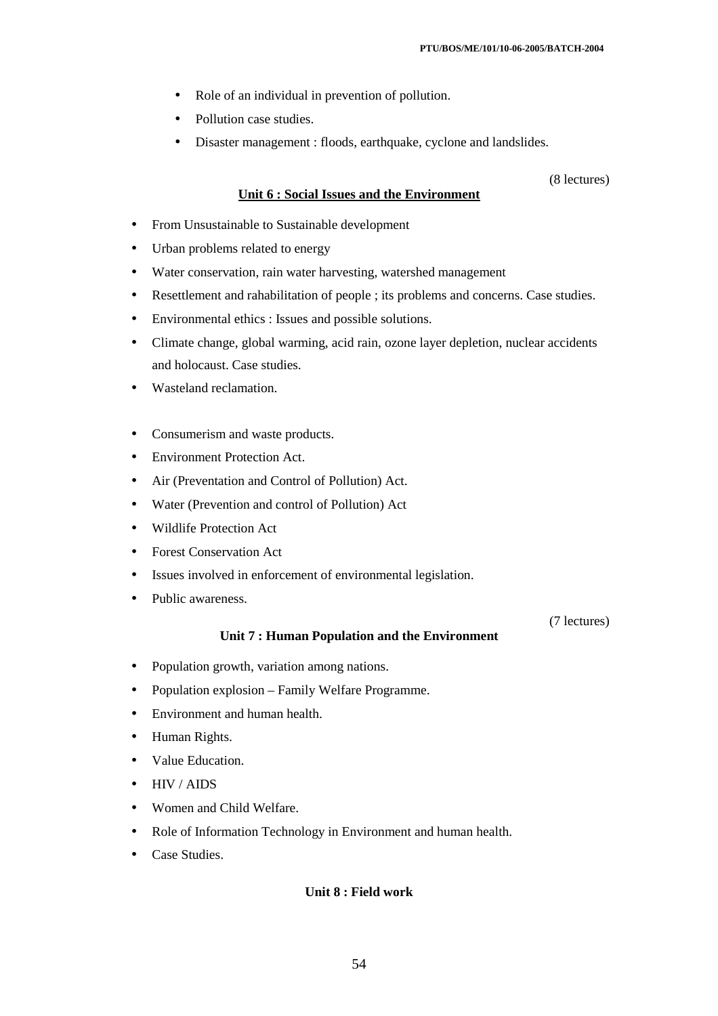- Role of an individual in prevention of pollution.
- Pollution case studies.
- Disaster management : floods, earthquake, cyclone and landslides.

(8 lectures)

# **Unit 6 : Social Issues and the Environment**

- From Unsustainable to Sustainable development
- Urban problems related to energy
- Water conservation, rain water harvesting, watershed management
- Resettlement and rahabilitation of people ; its problems and concerns. Case studies.
- Environmental ethics : Issues and possible solutions.
- Climate change, global warming, acid rain, ozone layer depletion, nuclear accidents and holocaust. Case studies.
- Wasteland reclamation.
- Consumerism and waste products.
- Environment Protection Act.
- Air (Preventation and Control of Pollution) Act.
- Water (Prevention and control of Pollution) Act
- Wildlife Protection Act
- Forest Conservation Act
- Issues involved in enforcement of environmental legislation.
- Public awareness.

## (7 lectures)

### **Unit 7 : Human Population and the Environment**

- Population growth, variation among nations.
- Population explosion Family Welfare Programme.
- Environment and human health.
- Human Rights.
- Value Education.
- HIV / AIDS
- Women and Child Welfare.
- Role of Information Technology in Environment and human health.
- Case Studies.

# **Unit 8 : Field work**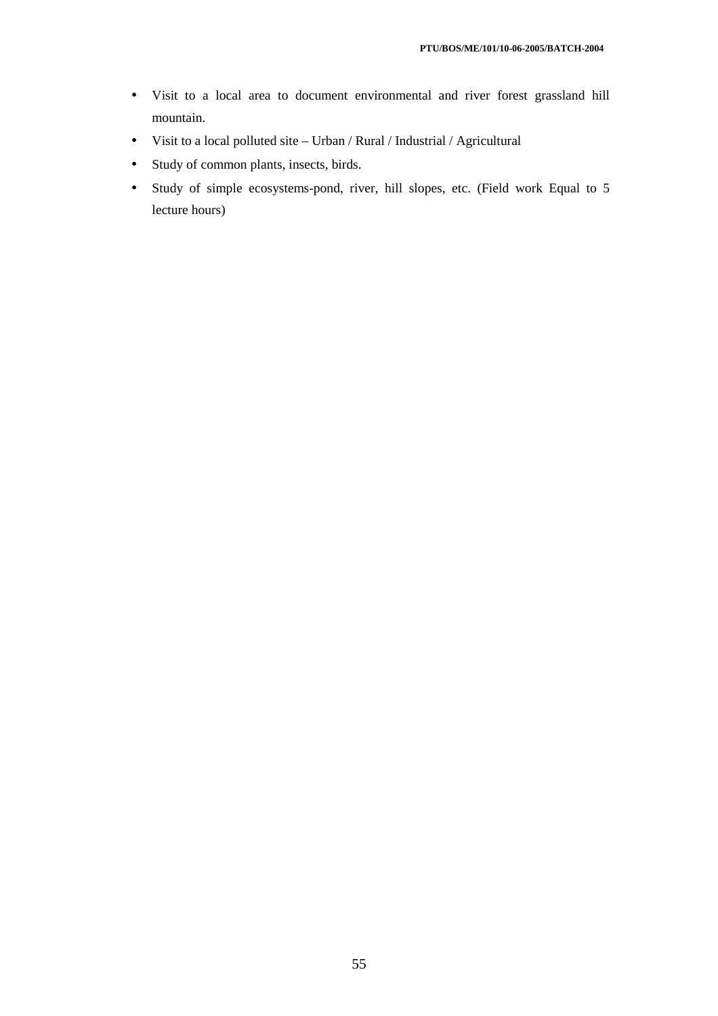- Visit to a local area to document environmental and river forest grassland hill mountain.
- Visit to a local polluted site Urban / Rural / Industrial / Agricultural
- Study of common plants, insects, birds.
- Study of simple ecosystems-pond, river, hill slopes, etc. (Field work Equal to 5 lecture hours)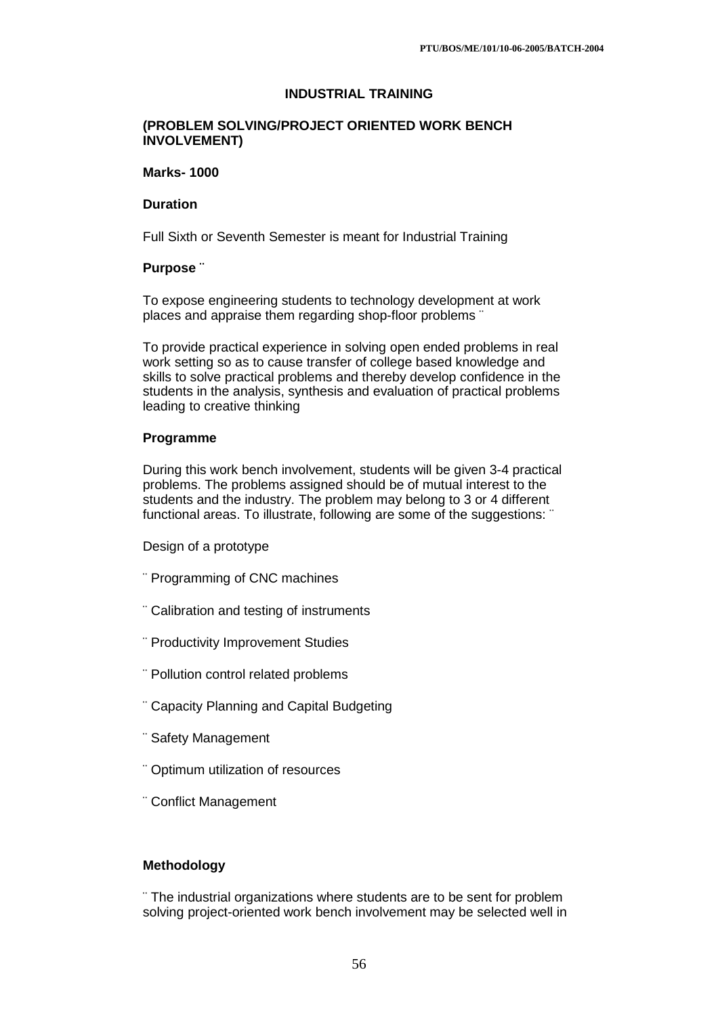# **INDUSTRIAL TRAINING**

# **(PROBLEM SOLVING/PROJECT ORIENTED WORK BENCH INVOLVEMENT)**

## **Marks- 1000**

# **Duration**

Full Sixth or Seventh Semester is meant for Industrial Training

# **Purpose ¨**

To expose engineering students to technology development at work places and appraise them regarding shop-floor problems ¨

To provide practical experience in solving open ended problems in real work setting so as to cause transfer of college based knowledge and skills to solve practical problems and thereby develop confidence in the students in the analysis, synthesis and evaluation of practical problems leading to creative thinking

# **Programme**

During this work bench involvement, students will be given 3-4 practical problems. The problems assigned should be of mutual interest to the students and the industry. The problem may belong to 3 or 4 different functional areas. To illustrate, following are some of the suggestions:

Design of a prototype

- ¨ Programming of CNC machines
- ¨ Calibration and testing of instruments
- ¨ Productivity Improvement Studies
- ¨ Pollution control related problems
- ¨ Capacity Planning and Capital Budgeting
- ¨ Safety Management
- ¨ Optimum utilization of resources
- ¨ Conflict Management

# **Methodology**

¨ The industrial organizations where students are to be sent for problem solving project-oriented work bench involvement may be selected well in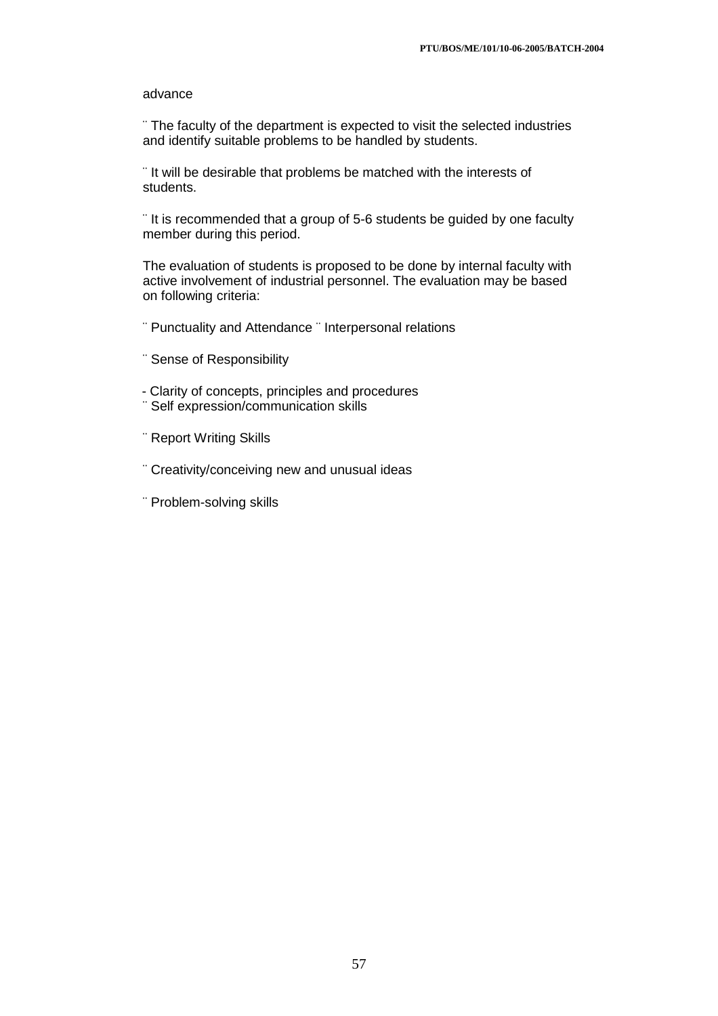#### advance

¨ The faculty of the department is expected to visit the selected industries and identify suitable problems to be handled by students.

¨ It will be desirable that problems be matched with the interests of students.

¨ It is recommended that a group of 5-6 students be guided by one faculty member during this period.

The evaluation of students is proposed to be done by internal faculty with active involvement of industrial personnel. The evaluation may be based on following criteria:

- ¨ Punctuality and Attendance ¨ Interpersonal relations
- ¨ Sense of Responsibility
- Clarity of concepts, principles and procedures
- ¨ Self expression/communication skills
- ¨ Report Writing Skills
- ¨ Creativity/conceiving new and unusual ideas
- ¨ Problem-solving skills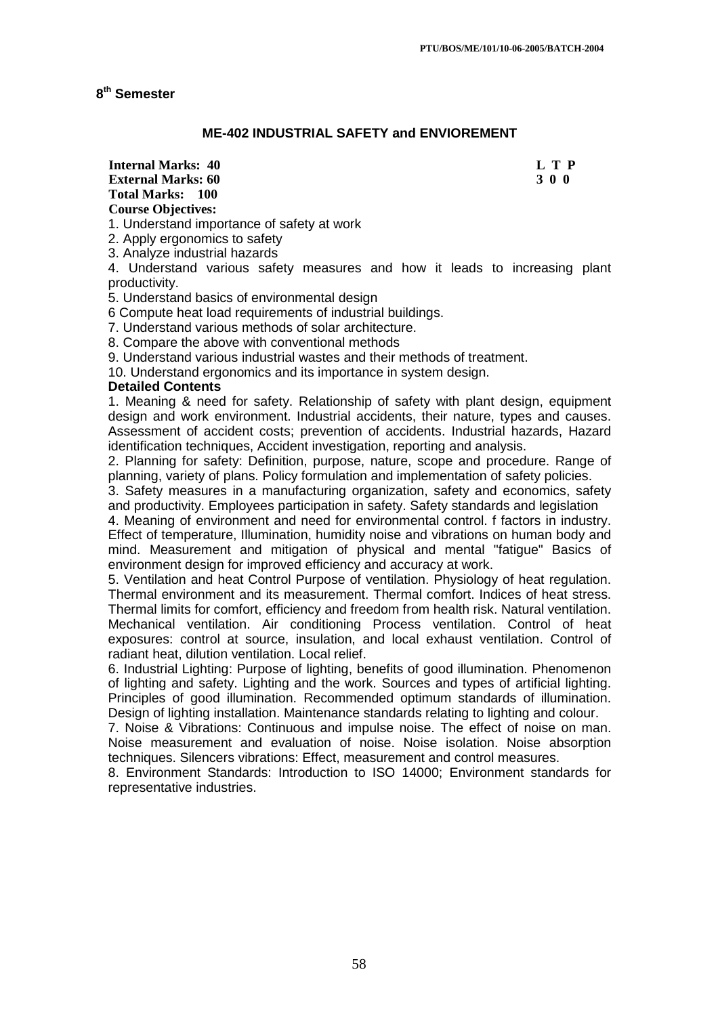# **8th Semester**

# **ME-402 INDUSTRIAL SAFETY and ENVIOREMENT**

**Internal Marks: 40 L T P L T P** 

**Total Marks: 100 Course Objectives:** 

**External Marks: 60 3 0 0 3 0 0 3 0 0 3 1 1 2 3 0 0 3 1 2 3 4 1 2 3 4 2 3 4 2 3 4 2 3 4 2 3 4 2 3 4 2 3 4 2 3 4 2 3 4 2 3 4 2 3 4 2 3 4 2 3 4 2 3 4 2 3 4 2 3 4 2 3 4 2 3 4 2 3 4 2 3 4 2 3 4 2 3 4 2 3 4 2 3 4 2 3 4 2 3 4 2** 

1. Understand importance of safety at work

2. Apply ergonomics to safety

3. Analyze industrial hazards

4. Understand various safety measures and how it leads to increasing plant productivity.

5. Understand basics of environmental design

6 Compute heat load requirements of industrial buildings.

7. Understand various methods of solar architecture.

8. Compare the above with conventional methods

9. Understand various industrial wastes and their methods of treatment.

10. Understand ergonomics and its importance in system design.

### **Detailed Contents**

1. Meaning & need for safety. Relationship of safety with plant design, equipment design and work environment. Industrial accidents, their nature, types and causes. Assessment of accident costs; prevention of accidents. Industrial hazards, Hazard identification techniques, Accident investigation, reporting and analysis.

2. Planning for safety: Definition, purpose, nature, scope and procedure. Range of planning, variety of plans. Policy formulation and implementation of safety policies.

3. Safety measures in a manufacturing organization, safety and economics, safety and productivity. Employees participation in safety. Safety standards and legislation

4. Meaning of environment and need for environmental control. f factors in industry. Effect of temperature, Illumination, humidity noise and vibrations on human body and mind. Measurement and mitigation of physical and mental "fatigue" Basics of environment design for improved efficiency and accuracy at work.

5. Ventilation and heat Control Purpose of ventilation. Physiology of heat regulation. Thermal environment and its measurement. Thermal comfort. Indices of heat stress. Thermal limits for comfort, efficiency and freedom from health risk. Natural ventilation. Mechanical ventilation. Air conditioning Process ventilation. Control of heat exposures: control at source, insulation, and local exhaust ventilation. Control of radiant heat, dilution ventilation. Local relief.

6. Industrial Lighting: Purpose of lighting, benefits of good illumination. Phenomenon of lighting and safety. Lighting and the work. Sources and types of artificial lighting. Principles of good illumination. Recommended optimum standards of illumination. Design of lighting installation. Maintenance standards relating to lighting and colour.

7. Noise & Vibrations: Continuous and impulse noise. The effect of noise on man. Noise measurement and evaluation of noise. Noise isolation. Noise absorption techniques. Silencers vibrations: Effect, measurement and control measures.

8. Environment Standards: Introduction to ISO 14000; Environment standards for representative industries.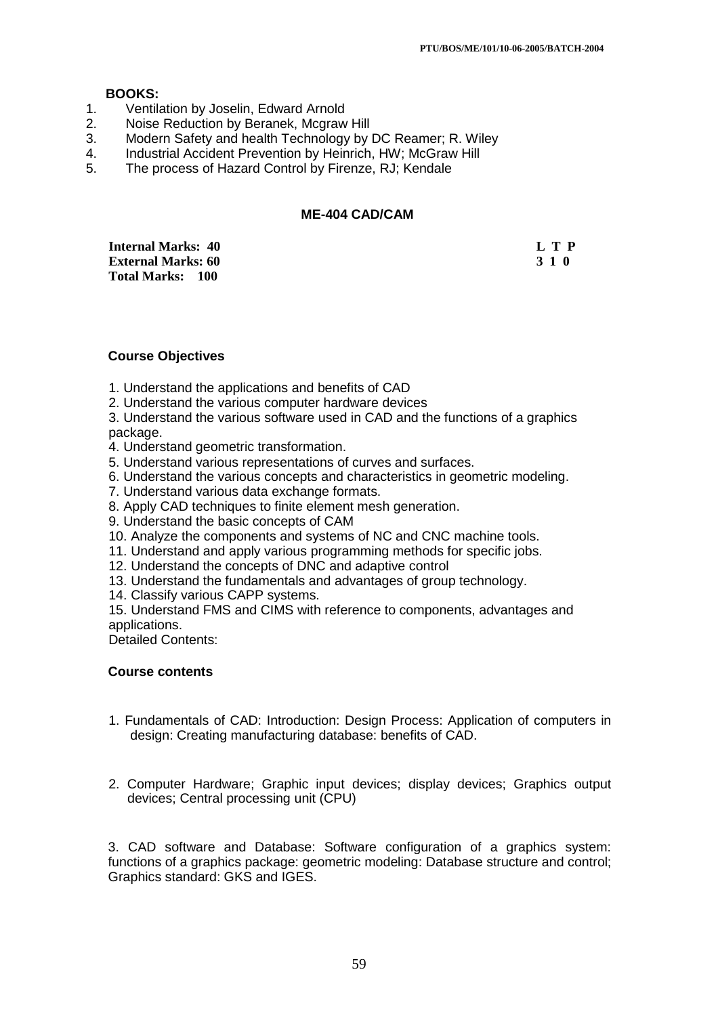# **BOOKS:**

- 1. Ventilation by Joselin, Edward Arnold
- 2. Noise Reduction by Beranek, Mcgraw Hill
- 3. Modern Safety and health Technology by DC Reamer; R. Wiley
- 4. Industrial Accident Prevention by Heinrich, HW; McGraw Hill<br>5. The process of Hazard Control by Firenze, R.J: Kendale
- The process of Hazard Control by Firenze, RJ; Kendale

# **ME-404 CAD/CAM**

**Internal Marks: 40 L T P L T P External Marks: 60 3 1 0 Total Marks: 100**

# **Course Objectives**

- 1. Understand the applications and benefits of CAD
- 2. Understand the various computer hardware devices

3. Understand the various software used in CAD and the functions of a graphics package.

- 4. Understand geometric transformation.
- 5. Understand various representations of curves and surfaces.
- 6. Understand the various concepts and characteristics in geometric modeling.
- 7. Understand various data exchange formats.
- 8. Apply CAD techniques to finite element mesh generation.
- 9. Understand the basic concepts of CAM
- 10. Analyze the components and systems of NC and CNC machine tools.
- 11. Understand and apply various programming methods for specific jobs.
- 12. Understand the concepts of DNC and adaptive control
- 13. Understand the fundamentals and advantages of group technology.
- 14. Classify various CAPP systems.

15. Understand FMS and CIMS with reference to components, advantages and applications.

Detailed Contents:

# **Course contents**

- 1. Fundamentals of CAD: Introduction: Design Process: Application of computers in design: Creating manufacturing database: benefits of CAD.
- 2. Computer Hardware; Graphic input devices; display devices; Graphics output devices; Central processing unit (CPU)

3. CAD software and Database: Software configuration of a graphics system: functions of a graphics package: geometric modeling: Database structure and control; Graphics standard: GKS and IGES.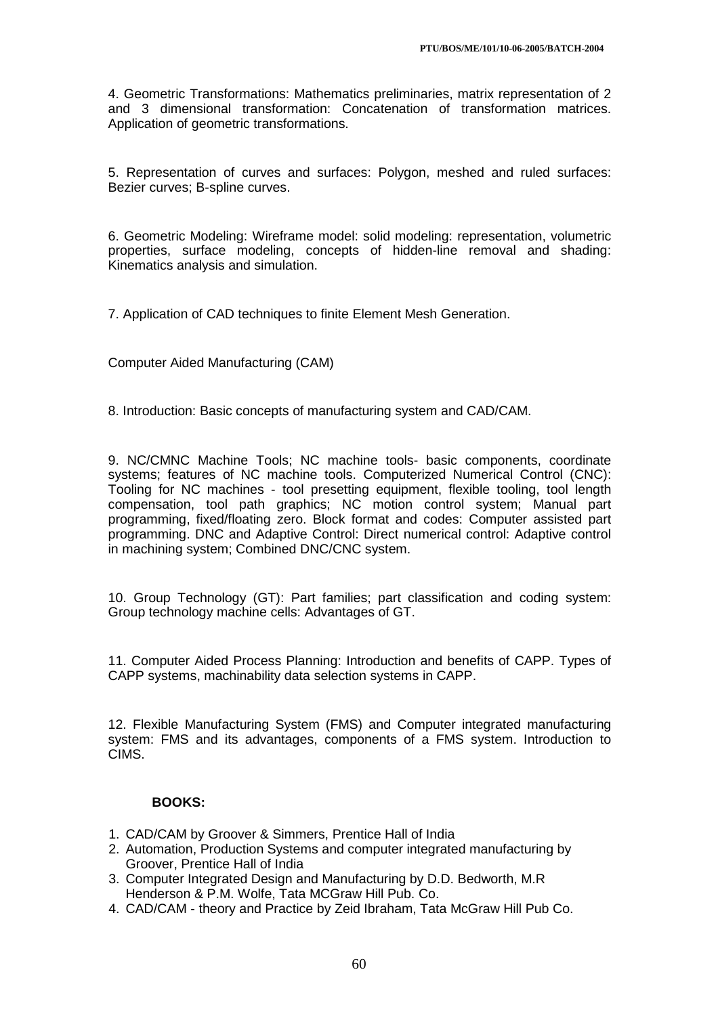4. Geometric Transformations: Mathematics preliminaries, matrix representation of 2 and 3 dimensional transformation: Concatenation of transformation matrices. Application of geometric transformations.

5. Representation of curves and surfaces: Polygon, meshed and ruled surfaces: Bezier curves; B-spline curves.

6. Geometric Modeling: Wireframe model: solid modeling: representation, volumetric properties, surface modeling, concepts of hidden-line removal and shading: Kinematics analysis and simulation.

7. Application of CAD techniques to finite Element Mesh Generation.

Computer Aided Manufacturing (CAM)

8. Introduction: Basic concepts of manufacturing system and CAD/CAM.

9. NC/CMNC Machine Tools; NC machine tools- basic components, coordinate systems; features of NC machine tools. Computerized Numerical Control (CNC): Tooling for NC machines - tool presetting equipment, flexible tooling, tool length compensation, tool path graphics; NC motion control system; Manual part programming, fixed/floating zero. Block format and codes: Computer assisted part programming. DNC and Adaptive Control: Direct numerical control: Adaptive control in machining system; Combined DNC/CNC system.

10. Group Technology (GT): Part families; part classification and coding system: Group technology machine cells: Advantages of GT.

11. Computer Aided Process Planning: Introduction and benefits of CAPP. Types of CAPP systems, machinability data selection systems in CAPP.

12. Flexible Manufacturing System (FMS) and Computer integrated manufacturing system: FMS and its advantages, components of a FMS system. Introduction to CIMS.

# **BOOKS:**

- 1. CAD/CAM by Groover & Simmers, Prentice Hall of India
- 2. Automation, Production Systems and computer integrated manufacturing by Groover, Prentice Hall of India
- 3. Computer Integrated Design and Manufacturing by D.D. Bedworth, M.R Henderson & P.M. Wolfe, Tata MCGraw Hill Pub. Co.
- 4. CAD/CAM theory and Practice by Zeid Ibraham, Tata McGraw Hill Pub Co.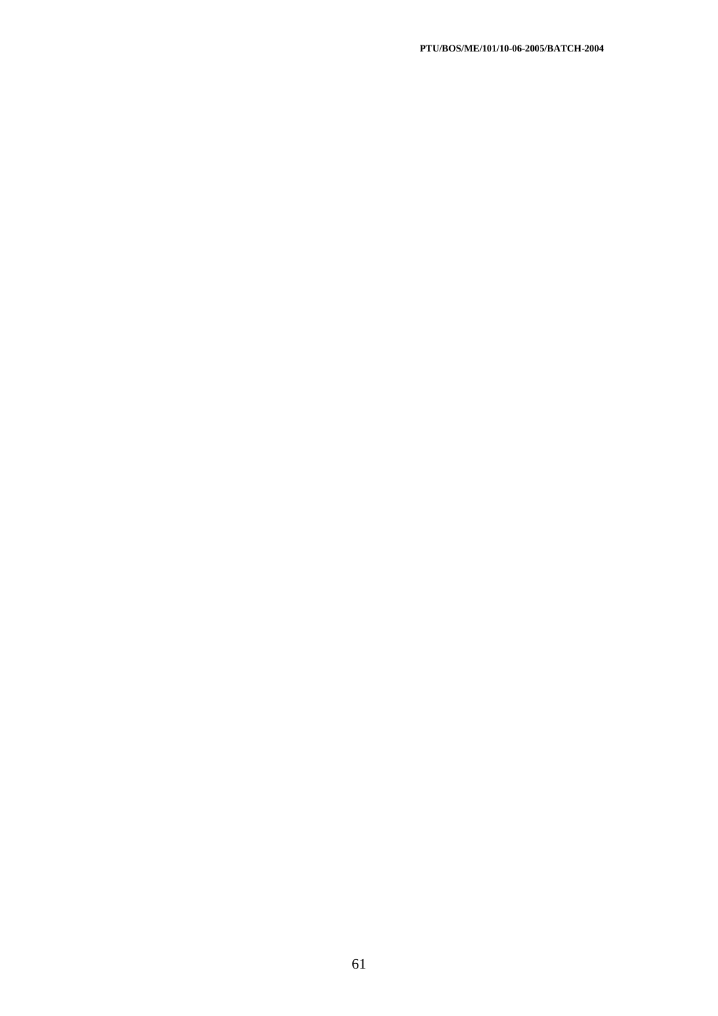**PTU/BOS/ME/101/10-06-2005/BATCH-2004**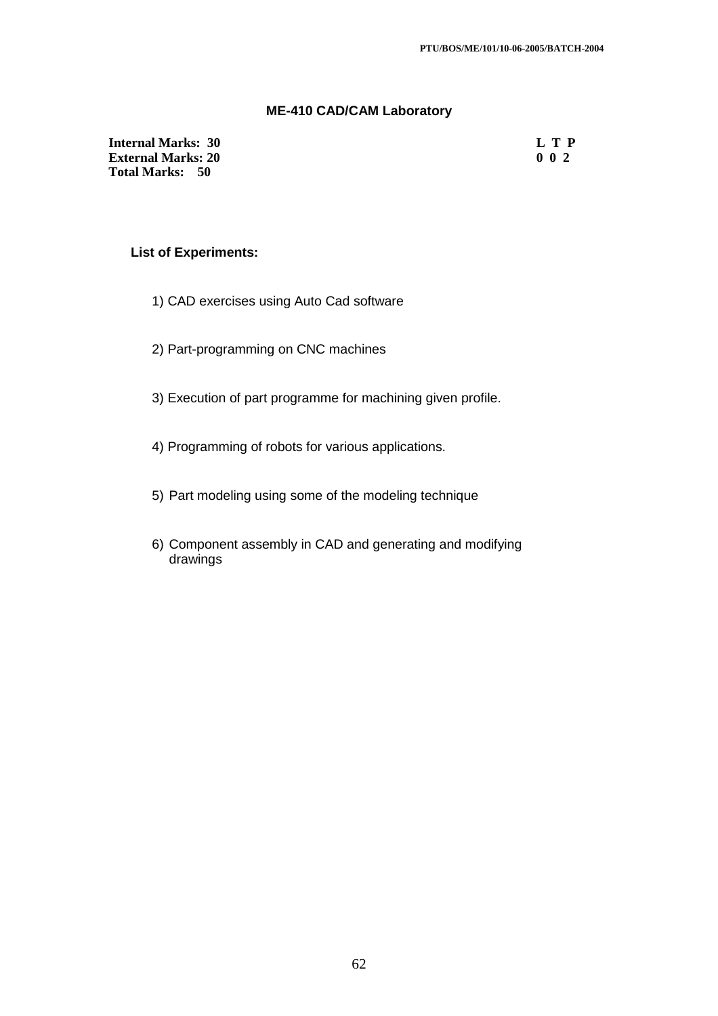# **ME-410 CAD/CAM Laboratory**

**Internal Marks: 30 L T P External Marks: 20 Total Marks: 50**

# **List of Experiments:**

- 1) CAD exercises using Auto Cad software
- 2) Part-programming on CNC machines
- 3) Execution of part programme for machining given profile.
- 4) Programming of robots for various applications.
- 5) Part modeling using some of the modeling technique
- 6) Component assembly in CAD and generating and modifying drawings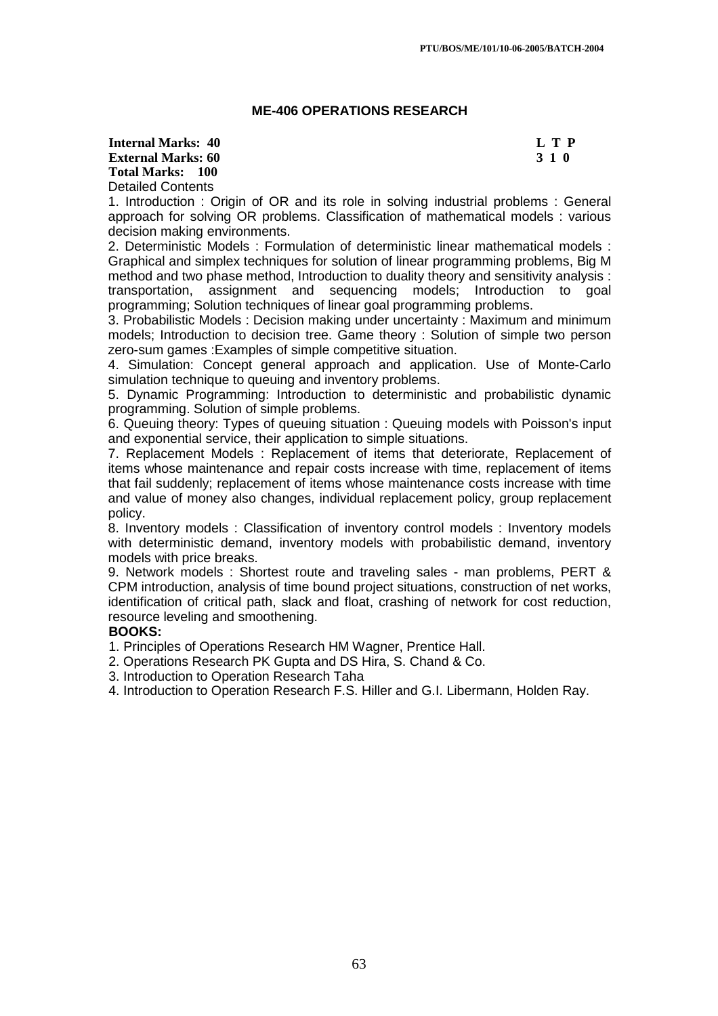# **ME-406 OPERATIONS RESEARCH**

#### **Internal Marks: 40 L T P I** L T P **External Marks: 60 3 1 0 Total Marks: 100** Detailed Contents

1. Introduction : Origin of OR and its role in solving industrial problems : General approach for solving OR problems. Classification of mathematical models : various decision making environments.

2. Deterministic Models : Formulation of deterministic linear mathematical models : Graphical and simplex techniques for solution of linear programming problems, Big M method and two phase method, Introduction to duality theory and sensitivity analysis : transportation, assignment and sequencing models; Introduction to goal programming; Solution techniques of linear goal programming problems.

3. Probabilistic Models : Decision making under uncertainty : Maximum and minimum models; Introduction to decision tree. Game theory : Solution of simple two person zero-sum games :Examples of simple competitive situation.

4. Simulation: Concept general approach and application. Use of Monte-Carlo simulation technique to queuing and inventory problems.

5. Dynamic Programming: Introduction to deterministic and probabilistic dynamic programming. Solution of simple problems.

6. Queuing theory: Types of queuing situation : Queuing models with Poisson's input and exponential service, their application to simple situations.

7. Replacement Models : Replacement of items that deteriorate, Replacement of items whose maintenance and repair costs increase with time, replacement of items that fail suddenly; replacement of items whose maintenance costs increase with time and value of money also changes, individual replacement policy, group replacement policy.

8. Inventory models : Classification of inventory control models : Inventory models with deterministic demand, inventory models with probabilistic demand, inventory models with price breaks.

9. Network models : Shortest route and traveling sales - man problems, PERT & CPM introduction, analysis of time bound project situations, construction of net works, identification of critical path, slack and float, crashing of network for cost reduction, resource leveling and smoothening.

### **BOOKS:**

1. Principles of Operations Research HM Wagner, Prentice Hall.

- 2. Operations Research PK Gupta and DS Hira, S. Chand & Co.
- 3. Introduction to Operation Research Taha
- 4. Introduction to Operation Research F.S. Hiller and G.I. Libermann, Holden Ray.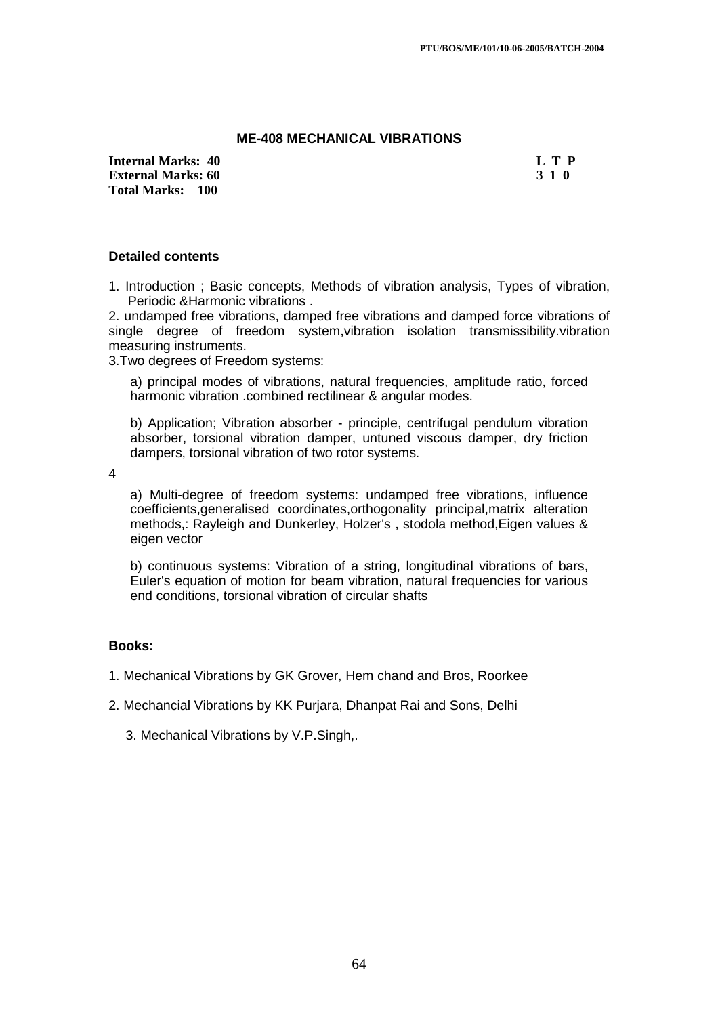#### **ME-408 MECHANICAL VIBRATIONS**

**Internal Marks: 40 L T P External Marks: 60 Total Marks: 100**

#### **Detailed contents**

1. Introduction ; Basic concepts, Methods of vibration analysis, Types of vibration, Periodic &Harmonic vibrations .

2. undamped free vibrations, damped free vibrations and damped force vibrations of single degree of freedom system,vibration isolation transmissibility.vibration measuring instruments.

3.Two degrees of Freedom systems:

a) principal modes of vibrations, natural frequencies, amplitude ratio, forced harmonic vibration .combined rectilinear & angular modes.

b) Application; Vibration absorber - principle, centrifugal pendulum vibration absorber, torsional vibration damper, untuned viscous damper, dry friction dampers, torsional vibration of two rotor systems.

4

a) Multi-degree of freedom systems: undamped free vibrations, influence coefficients,generalised coordinates,orthogonality principal,matrix alteration methods,: Rayleigh and Dunkerley, Holzer's , stodola method,Eigen values & eigen vector

b) continuous systems: Vibration of a string, longitudinal vibrations of bars, Euler's equation of motion for beam vibration, natural frequencies for various end conditions, torsional vibration of circular shafts

## **Books:**

- 1. Mechanical Vibrations by GK Grover, Hem chand and Bros, Roorkee
- 2. Mechancial Vibrations by KK Purjara, Dhanpat Rai and Sons, Delhi
	- 3. Mechanical Vibrations by V.P.Singh,.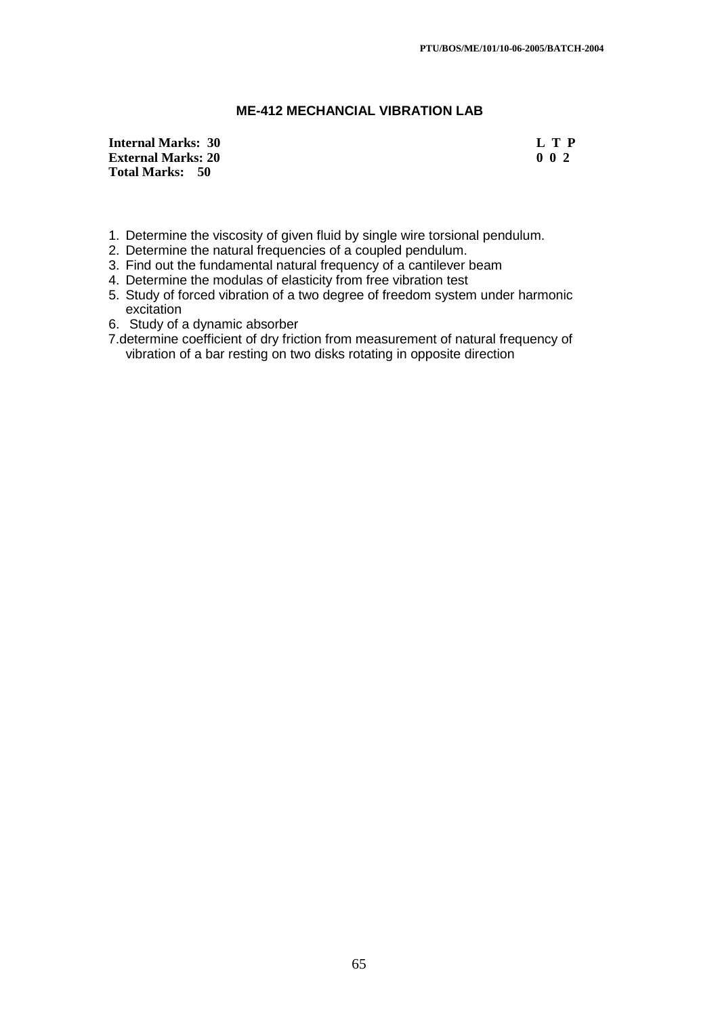# **ME-412 MECHANCIAL VIBRATION LAB**

**Internal Marks: 30 L T P External Marks: 20 Total Marks: 50**

- 1. Determine the viscosity of given fluid by single wire torsional pendulum.
- 2. Determine the natural frequencies of a coupled pendulum.
- 3. Find out the fundamental natural frequency of a cantilever beam
- 4. Determine the modulas of elasticity from free vibration test
- 5. Study of forced vibration of a two degree of freedom system under harmonic excitation
- 6. Study of a dynamic absorber
- 7.determine coefficient of dry friction from measurement of natural frequency of vibration of a bar resting on two disks rotating in opposite direction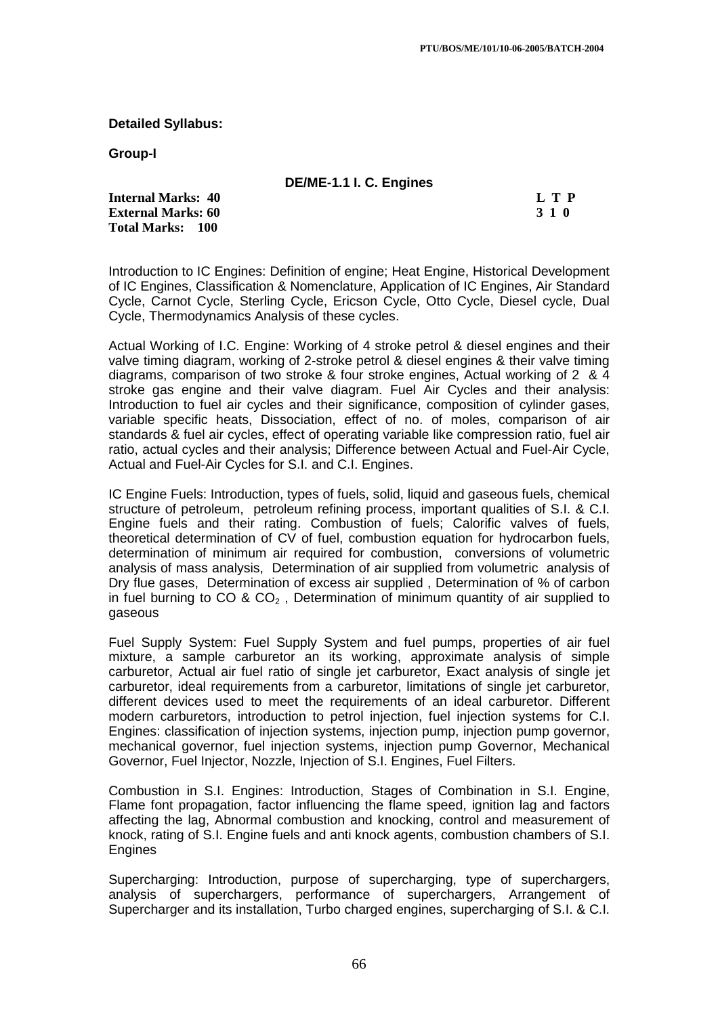**Detailed Syllabus:** 

**Group-I** 

#### **DE/ME-1.1 I. C. Engines**

**Internal Marks: 40 L T P L T P External Marks: 60 3 1 0 Total Marks: 100**

Introduction to IC Engines: Definition of engine; Heat Engine, Historical Development of IC Engines, Classification & Nomenclature, Application of IC Engines, Air Standard Cycle, Carnot Cycle, Sterling Cycle, Ericson Cycle, Otto Cycle, Diesel cycle, Dual Cycle, Thermodynamics Analysis of these cycles.

Actual Working of I.C. Engine: Working of 4 stroke petrol & diesel engines and their valve timing diagram, working of 2-stroke petrol & diesel engines & their valve timing diagrams, comparison of two stroke & four stroke engines, Actual working of 2 & 4 stroke gas engine and their valve diagram. Fuel Air Cycles and their analysis: Introduction to fuel air cycles and their significance, composition of cylinder gases, variable specific heats, Dissociation, effect of no. of moles, comparison of air standards & fuel air cycles, effect of operating variable like compression ratio, fuel air ratio, actual cycles and their analysis; Difference between Actual and Fuel-Air Cycle, Actual and Fuel-Air Cycles for S.I. and C.I. Engines.

IC Engine Fuels: Introduction, types of fuels, solid, liquid and gaseous fuels, chemical structure of petroleum, petroleum refining process, important qualities of S.I. & C.I. Engine fuels and their rating. Combustion of fuels; Calorific valves of fuels, theoretical determination of CV of fuel, combustion equation for hydrocarbon fuels, determination of minimum air required for combustion, conversions of volumetric analysis of mass analysis, Determination of air supplied from volumetric analysis of Dry flue gases, Determination of excess air supplied , Determination of % of carbon in fuel burning to  $CO & CO<sub>2</sub>$ . Determination of minimum quantity of air supplied to gaseous

Fuel Supply System: Fuel Supply System and fuel pumps, properties of air fuel mixture, a sample carburetor an its working, approximate analysis of simple carburetor, Actual air fuel ratio of single jet carburetor, Exact analysis of single jet carburetor, ideal requirements from a carburetor, limitations of single jet carburetor, different devices used to meet the requirements of an ideal carburetor. Different modern carburetors, introduction to petrol injection, fuel injection systems for C.I. Engines: classification of injection systems, injection pump, injection pump governor, mechanical governor, fuel injection systems, injection pump Governor, Mechanical Governor, Fuel Injector, Nozzle, Injection of S.I. Engines, Fuel Filters.

Combustion in S.I. Engines: Introduction, Stages of Combination in S.I. Engine, Flame font propagation, factor influencing the flame speed, ignition lag and factors affecting the lag, Abnormal combustion and knocking, control and measurement of knock, rating of S.I. Engine fuels and anti knock agents, combustion chambers of S.I. **Engines** 

Supercharging: Introduction, purpose of supercharging, type of superchargers, analysis of superchargers, performance of superchargers, Arrangement of Supercharger and its installation, Turbo charged engines, supercharging of S.I. & C.I.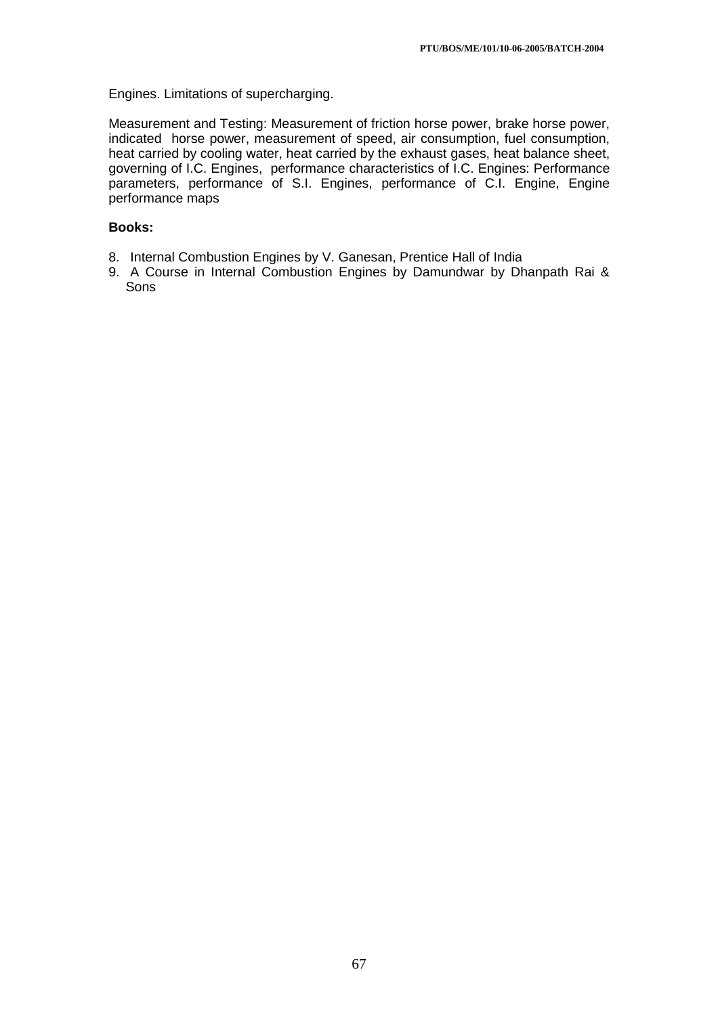Engines. Limitations of supercharging.

Measurement and Testing: Measurement of friction horse power, brake horse power, indicated horse power, measurement of speed, air consumption, fuel consumption, heat carried by cooling water, heat carried by the exhaust gases, heat balance sheet, governing of I.C. Engines, performance characteristics of I.C. Engines: Performance parameters, performance of S.I. Engines, performance of C.I. Engine, Engine performance maps

#### **Books:**

- 8. Internal Combustion Engines by V. Ganesan, Prentice Hall of India
- 9. A Course in Internal Combustion Engines by Damundwar by Dhanpath Rai & Sons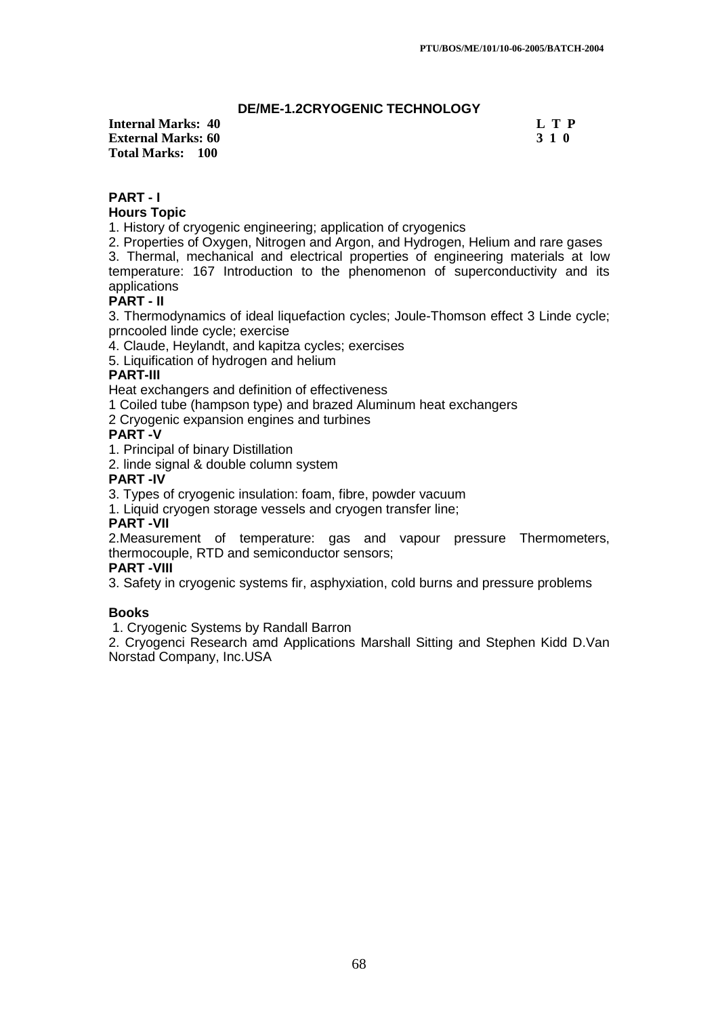# **DE/ME-1.2CRYOGENIC TECHNOLOGY**

**Internal Marks: 40 L T P External Marks: 60 Total Marks: 100**

# **PART - I**

# **Hours Topic**

1. History of cryogenic engineering; application of cryogenics

2. Properties of Oxygen, Nitrogen and Argon, and Hydrogen, Helium and rare gases

3. Thermal, mechanical and electrical properties of engineering materials at low temperature: 167 Introduction to the phenomenon of superconductivity and its applications

# **PART - II**

3. Thermodynamics of ideal liquefaction cycles; Joule-Thomson effect 3 Linde cycle; prncooled linde cycle; exercise

4. Claude, Heylandt, and kapitza cycles; exercises

5. Liquification of hydrogen and helium

# **PART-III**

Heat exchangers and definition of effectiveness

1 Coiled tube (hampson type) and brazed Aluminum heat exchangers

2 Cryogenic expansion engines and turbines

# **PART -V**

1. Principal of binary Distillation

2. linde signal & double column system

# **PART -IV**

3. Types of cryogenic insulation: foam, fibre, powder vacuum

1. Liquid cryogen storage vessels and cryogen transfer line;

# **PART -VII**

2.Measurement of temperature: gas and vapour pressure Thermometers, thermocouple, RTD and semiconductor sensors;

### **PART -VIII**

3. Safety in cryogenic systems fir, asphyxiation, cold burns and pressure problems

# **Books**

1. Cryogenic Systems by Randall Barron

2. Cryogenci Research amd Applications Marshall Sitting and Stephen Kidd D.Van Norstad Company, Inc.USA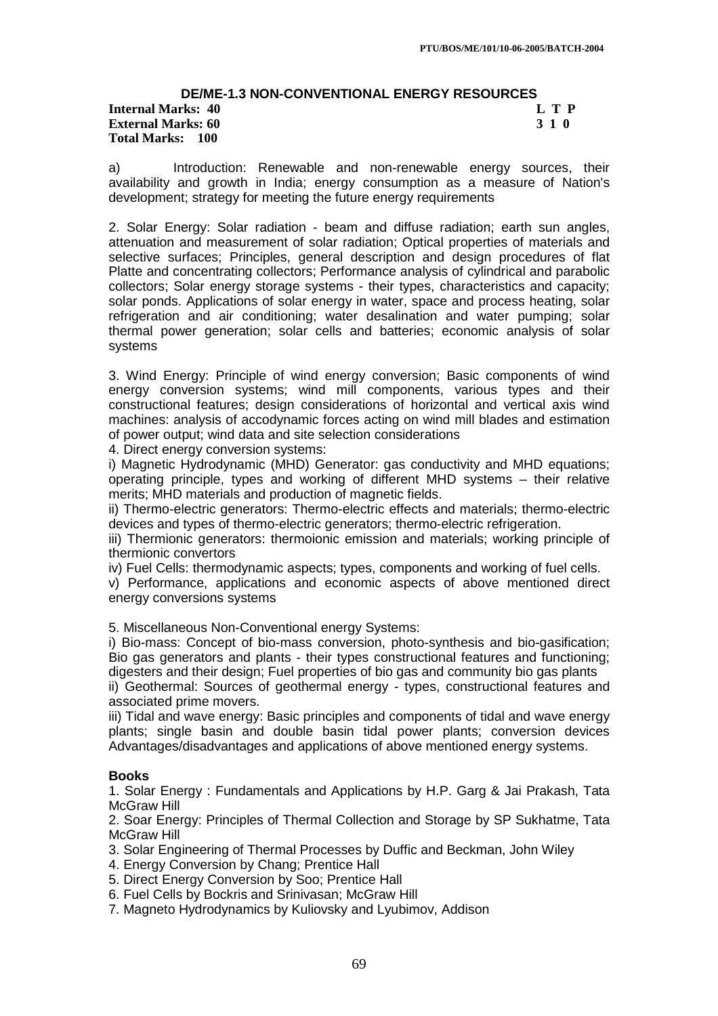# **DE/ME-1.3 NON-CONVENTIONAL ENERGY RESOURCES Internal Marks: 40 External Marks: 60 3 1 0 3 2 3 4 6 7 7 7 8 7 7 8 7 7 8 7 7 8 7 7 8 7 7 8 7 7 8 7 8 7 7 8 7 8 7 7 8 7 7 8 7 7 8 7 8 7 7 8 7 7 8 7 7 8 7 8 7 7 8 7 7 8 7 7 8 7 7 8 7 7 8 7 7 8 7 7 8 7 7 8 7 7 8 7 7 8 7 7 8 7 7 8 7 7 8 7 7 8 Total Marks: 100**

a) Introduction: Renewable and non-renewable energy sources, their availability and growth in India; energy consumption as a measure of Nation's development; strategy for meeting the future energy requirements

2. Solar Energy: Solar radiation - beam and diffuse radiation; earth sun angles, attenuation and measurement of solar radiation; Optical properties of materials and selective surfaces; Principles, general description and design procedures of flat Platte and concentrating collectors; Performance analysis of cylindrical and parabolic collectors; Solar energy storage systems - their types, characteristics and capacity; solar ponds. Applications of solar energy in water, space and process heating, solar refrigeration and air conditioning; water desalination and water pumping; solar thermal power generation; solar cells and batteries; economic analysis of solar systems

3. Wind Energy: Principle of wind energy conversion; Basic components of wind energy conversion systems; wind mill components, various types and their constructional features; design considerations of horizontal and vertical axis wind machines: analysis of accodynamic forces acting on wind mill blades and estimation of power output; wind data and site selection considerations

4. Direct energy conversion systems:

i) Magnetic Hydrodynamic (MHD) Generator: gas conductivity and MHD equations; operating principle, types and working of different MHD systems – their relative merits; MHD materials and production of magnetic fields.

ii) Thermo-electric generators: Thermo-electric effects and materials; thermo-electric devices and types of thermo-electric generators; thermo-electric refrigeration.

iii) Thermionic generators: thermoionic emission and materials; working principle of thermionic convertors

iv) Fuel Cells: thermodynamic aspects; types, components and working of fuel cells.

v) Performance, applications and economic aspects of above mentioned direct energy conversions systems

5. Miscellaneous Non-Conventional energy Systems:

i) Bio-mass: Concept of bio-mass conversion, photo-synthesis and bio-gasification; Bio gas generators and plants - their types constructional features and functioning; digesters and their design; Fuel properties of bio gas and community bio gas plants ii) Geothermal: Sources of geothermal energy - types, constructional features and associated prime movers.

iii) Tidal and wave energy: Basic principles and components of tidal and wave energy plants; single basin and double basin tidal power plants; conversion devices Advantages/disadvantages and applications of above mentioned energy systems.

### **Books**

1. Solar Energy : Fundamentals and Applications by H.P. Garg & Jai Prakash, Tata McGraw Hill

2. Soar Energy: Principles of Thermal Collection and Storage by SP Sukhatme, Tata McGraw Hill

3. Solar Engineering of Thermal Processes by Duffic and Beckman, John Wiley

- 4. Energy Conversion by Chang; Prentice Hall
- 5. Direct Energy Conversion by Soo; Prentice Hall
- 6. Fuel Cells by Bockris and Srinivasan; McGraw Hill
- 7. Magneto Hydrodynamics by Kuliovsky and Lyubimov, Addison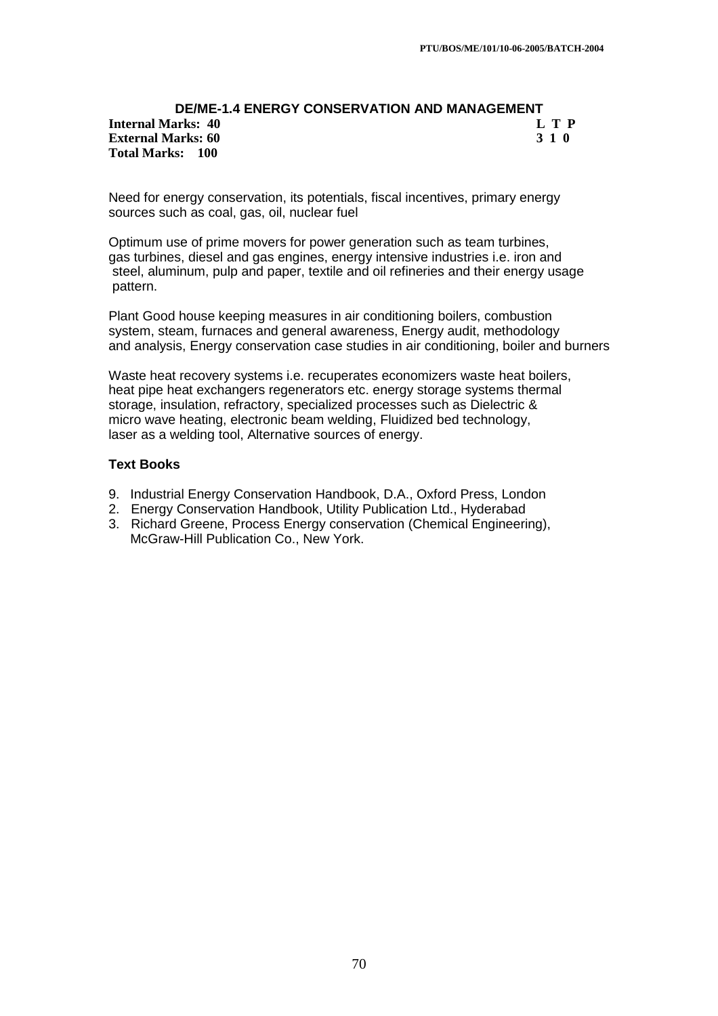#### **DE/ME-1.4 ENERGY CONSERVATION AND MANAGEMENT Internal Marks: 40 L T P External Marks: 60 Total Marks: 100**

Need for energy conservation, its potentials, fiscal incentives, primary energy sources such as coal, gas, oil, nuclear fuel

Optimum use of prime movers for power generation such as team turbines, gas turbines, diesel and gas engines, energy intensive industries i.e. iron and steel, aluminum, pulp and paper, textile and oil refineries and their energy usage pattern.

Plant Good house keeping measures in air conditioning boilers, combustion system, steam, furnaces and general awareness, Energy audit, methodology and analysis, Energy conservation case studies in air conditioning, boiler and burners

Waste heat recovery systems i.e. recuperates economizers waste heat boilers, heat pipe heat exchangers regenerators etc. energy storage systems thermal storage, insulation, refractory, specialized processes such as Dielectric & micro wave heating, electronic beam welding, Fluidized bed technology, laser as a welding tool, Alternative sources of energy.

#### **Text Books**

- 9. Industrial Energy Conservation Handbook, D.A., Oxford Press, London
- 2. Energy Conservation Handbook, Utility Publication Ltd., Hyderabad
- 3. Richard Greene, Process Energy conservation (Chemical Engineering), McGraw-Hill Publication Co., New York.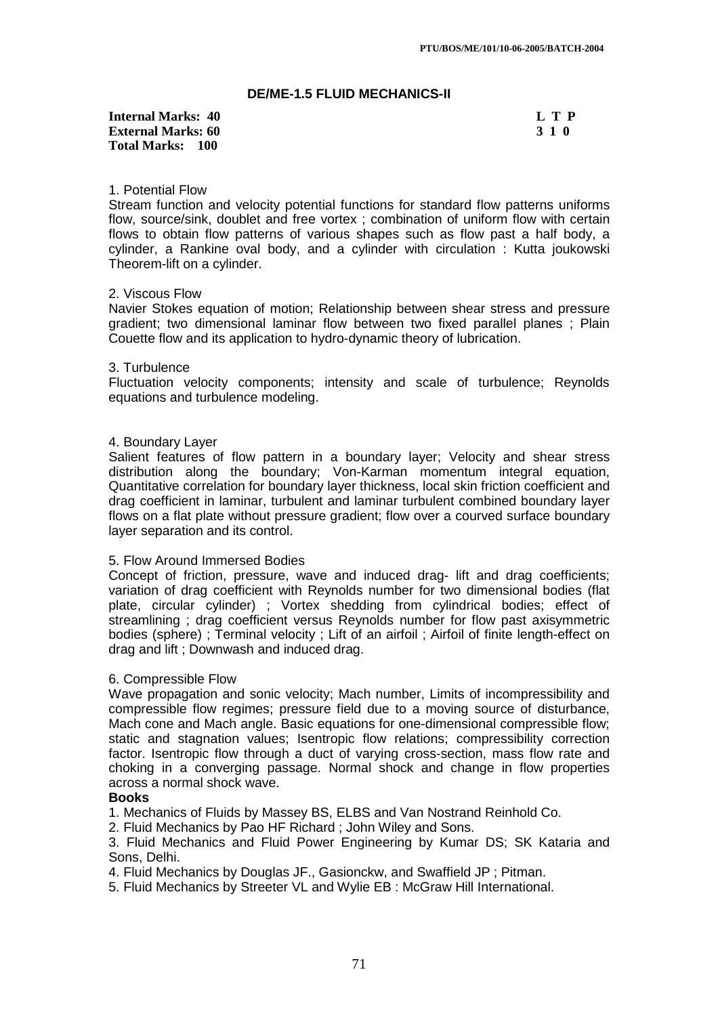# **DE/ME-1.5 FLUID MECHANICS-II**

#### **Internal Marks: 40 L T P L T P External Marks: 60 3 1 0 Total Marks: 100**

# 1. Potential Flow

Stream function and velocity potential functions for standard flow patterns uniforms flow, source/sink, doublet and free vortex ; combination of uniform flow with certain flows to obtain flow patterns of various shapes such as flow past a half body, a cylinder, a Rankine oval body, and a cylinder with circulation : Kutta joukowski Theorem-lift on a cylinder.

#### 2. Viscous Flow

Navier Stokes equation of motion; Relationship between shear stress and pressure gradient; two dimensional laminar flow between two fixed parallel planes ; Plain Couette flow and its application to hydro-dynamic theory of lubrication.

#### 3. Turbulence

Fluctuation velocity components; intensity and scale of turbulence; Reynolds equations and turbulence modeling.

#### 4. Boundary Layer

Salient features of flow pattern in a boundary layer; Velocity and shear stress distribution along the boundary; Von-Karman momentum integral equation, Quantitative correlation for boundary layer thickness, local skin friction coefficient and drag coefficient in laminar, turbulent and laminar turbulent combined boundary layer flows on a flat plate without pressure gradient; flow over a courved surface boundary layer separation and its control.

#### 5. Flow Around Immersed Bodies

Concept of friction, pressure, wave and induced drag- lift and drag coefficients; variation of drag coefficient with Reynolds number for two dimensional bodies (flat plate, circular cylinder) ; Vortex shedding from cylindrical bodies; effect of streamlining ; drag coefficient versus Reynolds number for flow past axisymmetric bodies (sphere) ; Terminal velocity ; Lift of an airfoil ; Airfoil of finite length-effect on drag and lift ; Downwash and induced drag.

### 6. Compressible Flow

Wave propagation and sonic velocity; Mach number, Limits of incompressibility and compressible flow regimes; pressure field due to a moving source of disturbance, Mach cone and Mach angle. Basic equations for one-dimensional compressible flow; static and stagnation values; Isentropic flow relations; compressibility correction factor. Isentropic flow through a duct of varying cross-section, mass flow rate and choking in a converging passage. Normal shock and change in flow properties across a normal shock wave.

### **Books**

1. Mechanics of Fluids by Massey BS, ELBS and Van Nostrand Reinhold Co.

2. Fluid Mechanics by Pao HF Richard ; John Wiley and Sons.

3. Fluid Mechanics and Fluid Power Engineering by Kumar DS; SK Kataria and Sons, Delhi.

4. Fluid Mechanics by Douglas JF., Gasionckw, and Swaffield JP ; Pitman.

5. Fluid Mechanics by Streeter VL and Wylie EB : McGraw Hill International.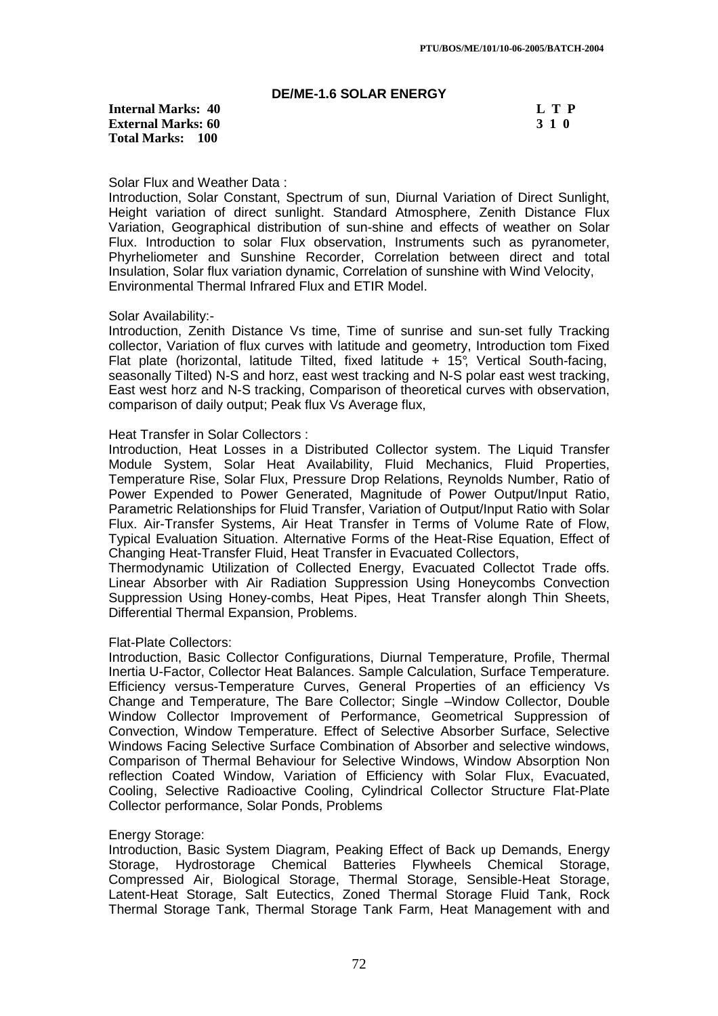## **DE/ME-1.6 SOLAR ENERGY**

**Internal Marks: 40 L T P External Marks: 60 3 1 0 3 2 3 4 6 7 7 7 8 7 7 8 7 7 8 7 7 8 7 7 8 7 7 8 7 7 8 7 8 7 7 8 7 8 7 7 8 7 7 8 7 7 8 7 8 7 7 8 7 7 8 7 7 8 7 8 7 7 8 7 7 8 7 7 8 7 7 8 7 7 8 7 7 8 7 7 8 7 7 8 7 7 8 7 7 8 7 7 8 7 7 8 7 7 8 7 7 8 Total Marks: 100**

### Solar Flux and Weather Data :

Introduction, Solar Constant, Spectrum of sun, Diurnal Variation of Direct Sunlight, Height variation of direct sunlight. Standard Atmosphere, Zenith Distance Flux Variation, Geographical distribution of sun-shine and effects of weather on Solar Flux. Introduction to solar Flux observation, Instruments such as pyranometer, Phyrheliometer and Sunshine Recorder, Correlation between direct and total Insulation, Solar flux variation dynamic, Correlation of sunshine with Wind Velocity, Environmental Thermal Infrared Flux and ETIR Model.

#### Solar Availability:-

Introduction, Zenith Distance Vs time, Time of sunrise and sun-set fully Tracking collector, Variation of flux curves with latitude and geometry, Introduction tom Fixed Flat plate (horizontal, latitude Tilted, fixed latitude + 15°, Vertical South-facing, seasonally Tilted) N-S and horz, east west tracking and N-S polar east west tracking, East west horz and N-S tracking, Comparison of theoretical curves with observation, comparison of daily output; Peak flux Vs Average flux,

#### Heat Transfer in Solar Collectors :

Introduction, Heat Losses in a Distributed Collector system. The Liquid Transfer Module System, Solar Heat Availability, Fluid Mechanics, Fluid Properties, Temperature Rise, Solar Flux, Pressure Drop Relations, Reynolds Number, Ratio of Power Expended to Power Generated, Magnitude of Power Output/Input Ratio, Parametric Relationships for Fluid Transfer, Variation of Output/Input Ratio with Solar Flux. Air-Transfer Systems, Air Heat Transfer in Terms of Volume Rate of Flow, Typical Evaluation Situation. Alternative Forms of the Heat-Rise Equation, Effect of Changing Heat-Transfer Fluid, Heat Transfer in Evacuated Collectors,

Thermodynamic Utilization of Collected Energy, Evacuated Collectot Trade offs. Linear Absorber with Air Radiation Suppression Using Honeycombs Convection Suppression Using Honey-combs, Heat Pipes, Heat Transfer alongh Thin Sheets, Differential Thermal Expansion, Problems.

### Flat-Plate Collectors:

Introduction, Basic Collector Configurations, Diurnal Temperature, Profile, Thermal Inertia U-Factor, Collector Heat Balances. Sample Calculation, Surface Temperature. Efficiency versus-Temperature Curves, General Properties of an efficiency Vs Change and Temperature, The Bare Collector; Single –Window Collector, Double Window Collector Improvement of Performance, Geometrical Suppression of Convection, Window Temperature. Effect of Selective Absorber Surface, Selective Windows Facing Selective Surface Combination of Absorber and selective windows, Comparison of Thermal Behaviour for Selective Windows, Window Absorption Non reflection Coated Window, Variation of Efficiency with Solar Flux, Evacuated, Cooling, Selective Radioactive Cooling, Cylindrical Collector Structure Flat-Plate Collector performance, Solar Ponds, Problems

### Energy Storage:

Introduction, Basic System Diagram, Peaking Effect of Back up Demands, Energy Storage, Hydrostorage Chemical Batteries Flywheels Chemical Storage, Compressed Air, Biological Storage, Thermal Storage, Sensible-Heat Storage, Latent-Heat Storage, Salt Eutectics, Zoned Thermal Storage Fluid Tank, Rock Thermal Storage Tank, Thermal Storage Tank Farm, Heat Management with and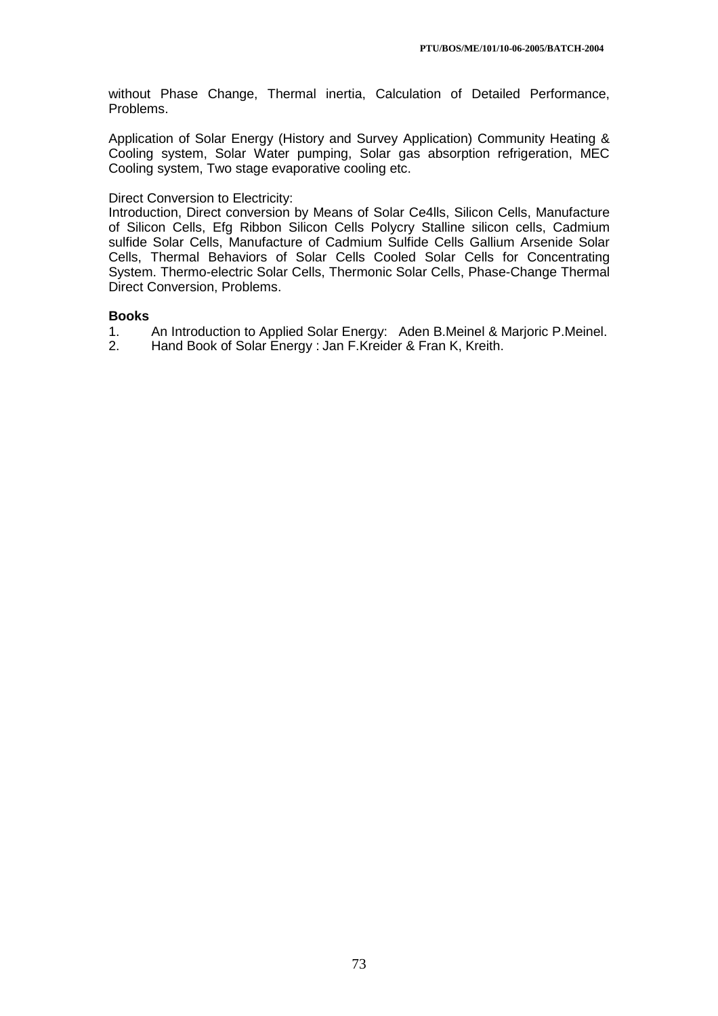without Phase Change, Thermal inertia, Calculation of Detailed Performance, Problems.

Application of Solar Energy (History and Survey Application) Community Heating & Cooling system, Solar Water pumping, Solar gas absorption refrigeration, MEC Cooling system. Two stage evaporative cooling etc.

## Direct Conversion to Electricity:

Introduction, Direct conversion by Means of Solar Ce4lls, Silicon Cells, Manufacture of Silicon Cells, Efg Ribbon Silicon Cells Polycry Stalline silicon cells, Cadmium sulfide Solar Cells, Manufacture of Cadmium Sulfide Cells Gallium Arsenide Solar Cells, Thermal Behaviors of Solar Cells Cooled Solar Cells for Concentrating System. Thermo-electric Solar Cells, Thermonic Solar Cells, Phase-Change Thermal Direct Conversion, Problems.

# **Books**

- 1. An Introduction to Applied Solar Energy: Aden B.Meinel & Marjoric P.Meinel.
- 2. Hand Book of Solar Energy : Jan F.Kreider & Fran K, Kreith.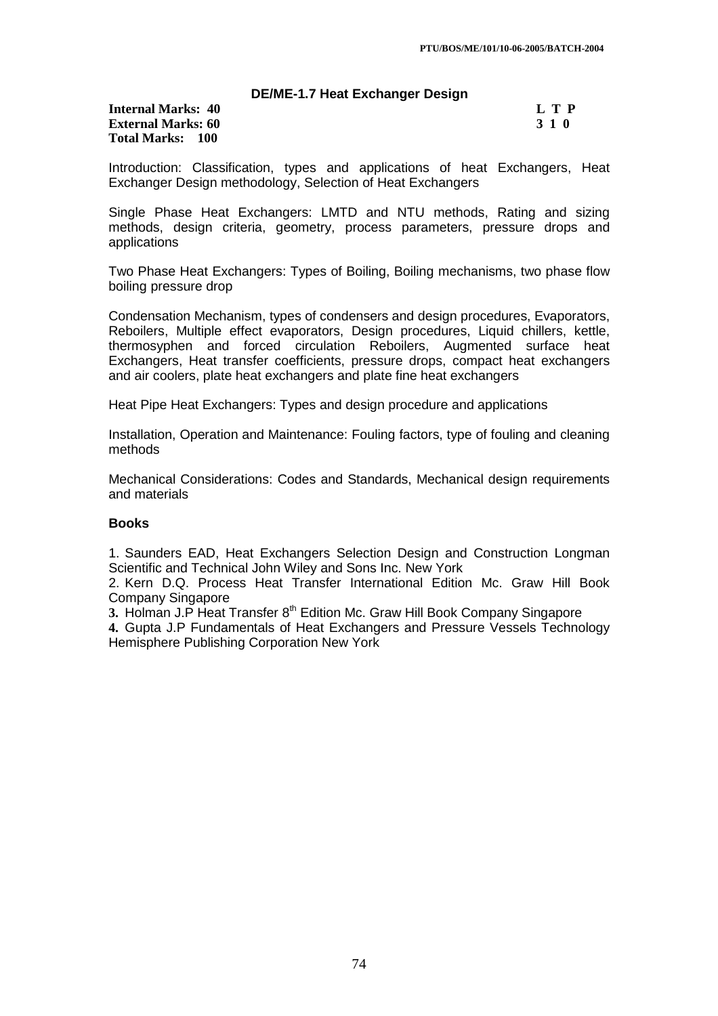## **DE/ME-1.7 Heat Exchanger Design**

**Internal Marks: 40 L T P L T P L L T P External Marks: 60 3 1 0 Total Marks: 100**

Introduction: Classification, types and applications of heat Exchangers, Heat Exchanger Design methodology, Selection of Heat Exchangers

Single Phase Heat Exchangers: LMTD and NTU methods, Rating and sizing methods, design criteria, geometry, process parameters, pressure drops and applications

Two Phase Heat Exchangers: Types of Boiling, Boiling mechanisms, two phase flow boiling pressure drop

Condensation Mechanism, types of condensers and design procedures, Evaporators, Reboilers, Multiple effect evaporators, Design procedures, Liquid chillers, kettle, thermosyphen and forced circulation Reboilers, Augmented surface heat Exchangers, Heat transfer coefficients, pressure drops, compact heat exchangers and air coolers, plate heat exchangers and plate fine heat exchangers

Heat Pipe Heat Exchangers: Types and design procedure and applications

Installation, Operation and Maintenance: Fouling factors, type of fouling and cleaning methods

Mechanical Considerations: Codes and Standards, Mechanical design requirements and materials

## **Books**

1. Saunders EAD, Heat Exchangers Selection Design and Construction Longman Scientific and Technical John Wiley and Sons Inc. New York

2. Kern D.Q. Process Heat Transfer International Edition Mc. Graw Hill Book Company Singapore

**3.** Holman J.P Heat Transfer 8th Edition Mc. Graw Hill Book Company Singapore

**4.** Gupta J.P Fundamentals of Heat Exchangers and Pressure Vessels Technology Hemisphere Publishing Corporation New York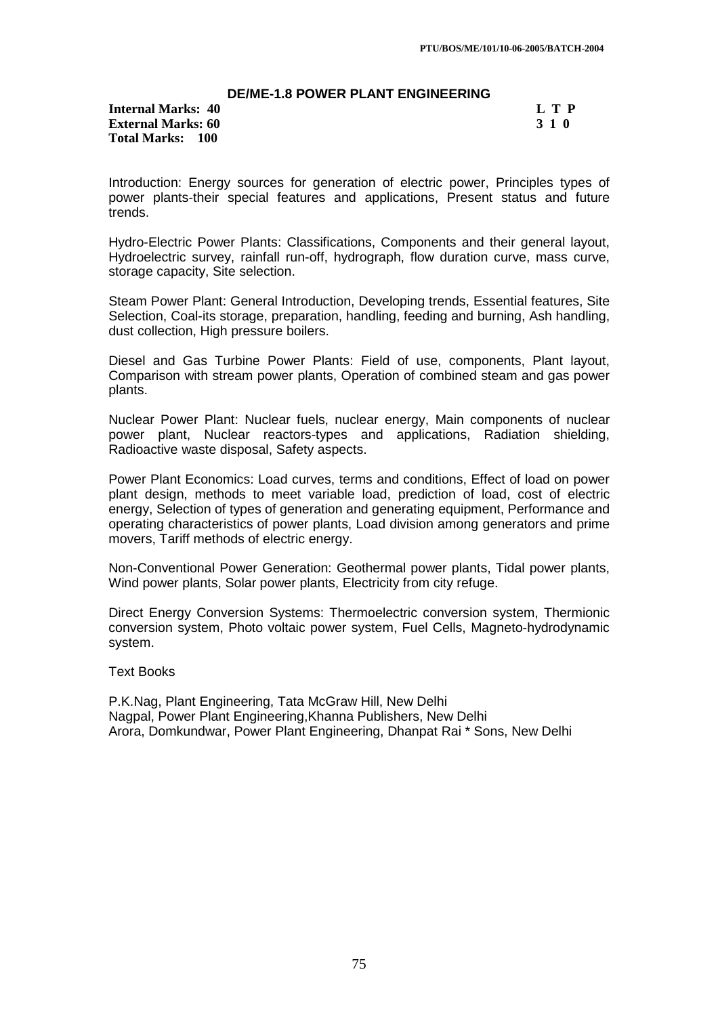## **DE/ME-1.8 POWER PLANT ENGINEERING**

**Internal Marks: 40 L T P L T P L L T P External Marks: 60 3 1 0 Total Marks: 100**

Introduction: Energy sources for generation of electric power, Principles types of power plants-their special features and applications, Present status and future trends.

Hydro-Electric Power Plants: Classifications, Components and their general layout, Hydroelectric survey, rainfall run-off, hydrograph, flow duration curve, mass curve, storage capacity, Site selection.

Steam Power Plant: General Introduction, Developing trends, Essential features, Site Selection, Coal-its storage, preparation, handling, feeding and burning, Ash handling, dust collection, High pressure boilers.

Diesel and Gas Turbine Power Plants: Field of use, components, Plant layout, Comparison with stream power plants, Operation of combined steam and gas power plants.

Nuclear Power Plant: Nuclear fuels, nuclear energy, Main components of nuclear power plant, Nuclear reactors-types and applications, Radiation shielding, Radioactive waste disposal, Safety aspects.

Power Plant Economics: Load curves, terms and conditions, Effect of load on power plant design, methods to meet variable load, prediction of load, cost of electric energy, Selection of types of generation and generating equipment, Performance and operating characteristics of power plants, Load division among generators and prime movers, Tariff methods of electric energy.

Non-Conventional Power Generation: Geothermal power plants, Tidal power plants, Wind power plants, Solar power plants, Electricity from city refuge.

Direct Energy Conversion Systems: Thermoelectric conversion system, Thermionic conversion system, Photo voltaic power system, Fuel Cells, Magneto-hydrodynamic system.

Text Books

P.K.Nag, Plant Engineering, Tata McGraw Hill, New Delhi Nagpal, Power Plant Engineering,Khanna Publishers, New Delhi Arora, Domkundwar, Power Plant Engineering, Dhanpat Rai \* Sons, New Delhi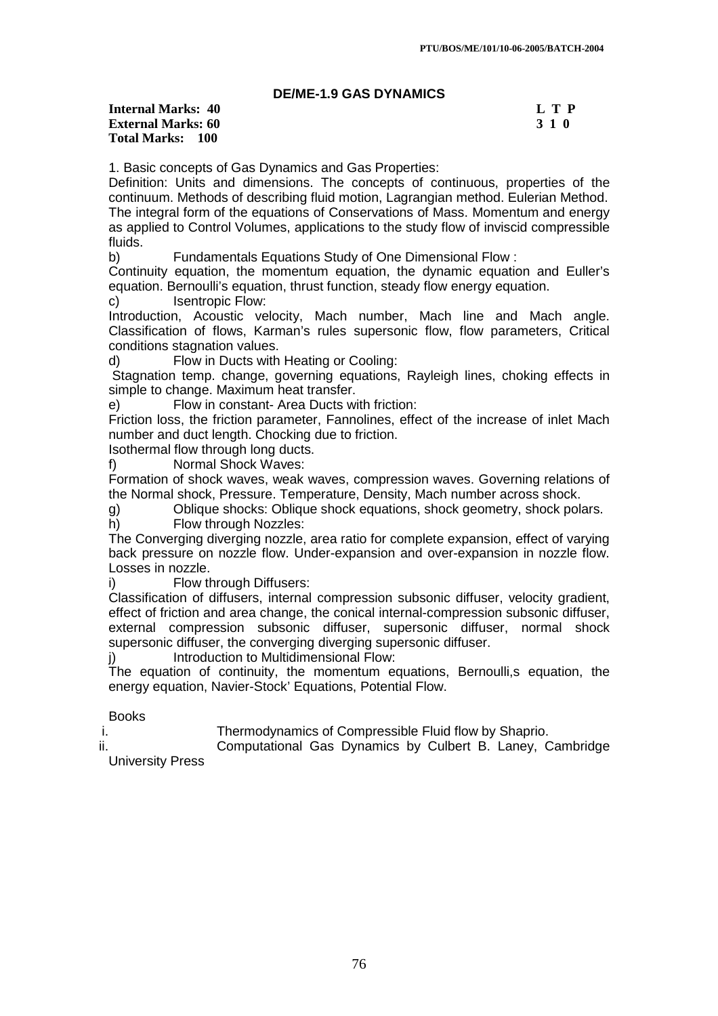# **DE/ME-1.9 GAS DYNAMICS**

**Internal Marks: 40 L T P External Marks: 60 3 1 0 Total Marks: 100**

1. Basic concepts of Gas Dynamics and Gas Properties:

Definition: Units and dimensions. The concepts of continuous, properties of the continuum. Methods of describing fluid motion, Lagrangian method. Eulerian Method. The integral form of the equations of Conservations of Mass. Momentum and energy as applied to Control Volumes, applications to the study flow of inviscid compressible fluids.

b) Fundamentals Equations Study of One Dimensional Flow :

Continuity equation, the momentum equation, the dynamic equation and Euller's equation. Bernoulli's equation, thrust function, steady flow energy equation.

c) Isentropic Flow:

Introduction, Acoustic velocity, Mach number, Mach line and Mach angle. Classification of flows, Karman's rules supersonic flow, flow parameters, Critical conditions stagnation values.

d) Flow in Ducts with Heating or Cooling:

 Stagnation temp. change, governing equations, Rayleigh lines, choking effects in simple to change. Maximum heat transfer.

e) Flow in constant- Area Ducts with friction:

Friction loss, the friction parameter, Fannolines, effect of the increase of inlet Mach number and duct length. Chocking due to friction.

Isothermal flow through long ducts.

f) Normal Shock Waves:

Formation of shock waves, weak waves, compression waves. Governing relations of the Normal shock, Pressure. Temperature, Density, Mach number across shock.

g) Oblique shocks: Oblique shock equations, shock geometry, shock polars. h) Flow through Nozzles:

The Converging diverging nozzle, area ratio for complete expansion, effect of varying

back pressure on nozzle flow. Under-expansion and over-expansion in nozzle flow. Losses in nozzle.

i) Flow through Diffusers:

Classification of diffusers, internal compression subsonic diffuser, velocity gradient, effect of friction and area change, the conical internal-compression subsonic diffuser, external compression subsonic diffuser, supersonic diffuser, normal shock supersonic diffuser, the converging diverging supersonic diffuser.

j) Introduction to Multidimensional Flow:

The equation of continuity, the momentum equations, Bernoulli,s equation, the energy equation, Navier-Stock' Equations, Potential Flow.

Books

i. Thermodynamics of Compressible Fluid flow by Shaprio.

ii. Computational Gas Dynamics by Culbert B. Laney, Cambridge University Press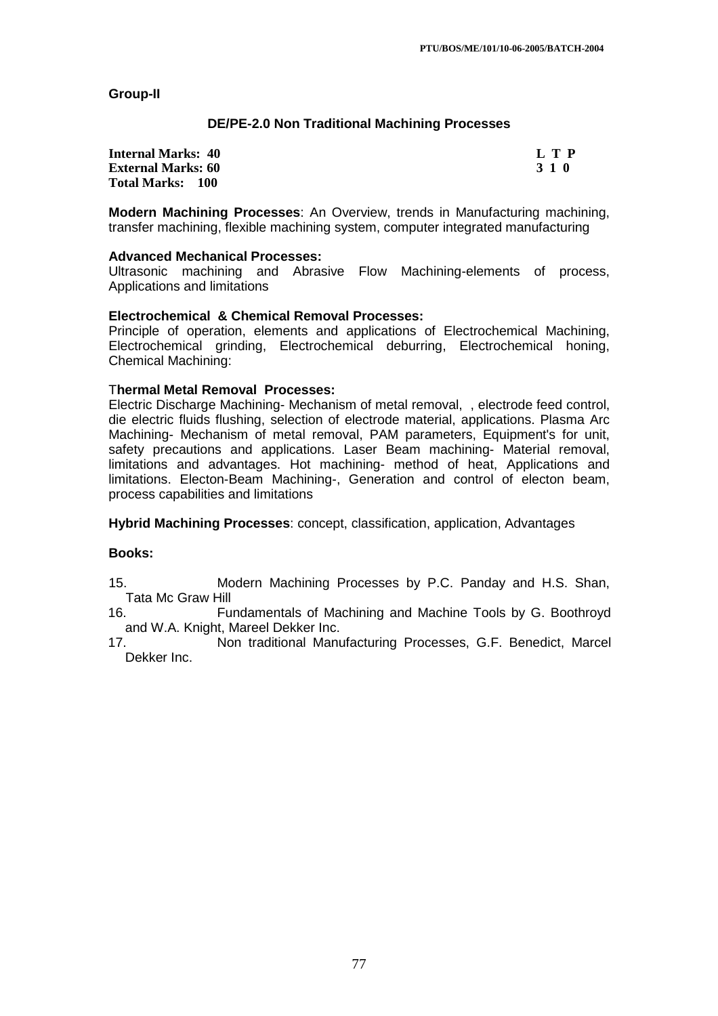**Group-II** 

# **DE/PE-2.0 Non Traditional Machining Processes**

| Internal Marks: 40        | L T P |
|---------------------------|-------|
| <b>External Marks: 60</b> | 3 1 0 |
| <b>Total Marks: 100</b>   |       |

**Modern Machining Processes**: An Overview, trends in Manufacturing machining, transfer machining, flexible machining system, computer integrated manufacturing

## **Advanced Mechanical Processes:**

Ultrasonic machining and Abrasive Flow Machining-elements of process, Applications and limitations

## **Electrochemical & Chemical Removal Processes:**

Principle of operation, elements and applications of Electrochemical Machining, Electrochemical grinding, Electrochemical deburring, Electrochemical honing, Chemical Machining:

## T**hermal Metal Removal Processes:**

Electric Discharge Machining- Mechanism of metal removal, , electrode feed control, die electric fluids flushing, selection of electrode material, applications. Plasma Arc Machining- Mechanism of metal removal, PAM parameters, Equipment's for unit, safety precautions and applications. Laser Beam machining- Material removal, limitations and advantages. Hot machining- method of heat, Applications and limitations. Electon-Beam Machining-, Generation and control of electon beam, process capabilities and limitations

**Hybrid Machining Processes**: concept, classification, application, Advantages

## **Books:**

15. Modern Machining Processes by P.C. Panday and H.S. Shan, Tata Mc Graw Hill

16. Fundamentals of Machining and Machine Tools by G. Boothroyd and W.A. Knight, Mareel Dekker Inc.<br>Ann traditional Manu Non

17. Non traditional Manufacturing Processes, G.F. Benedict, Marcel Dekker Inc.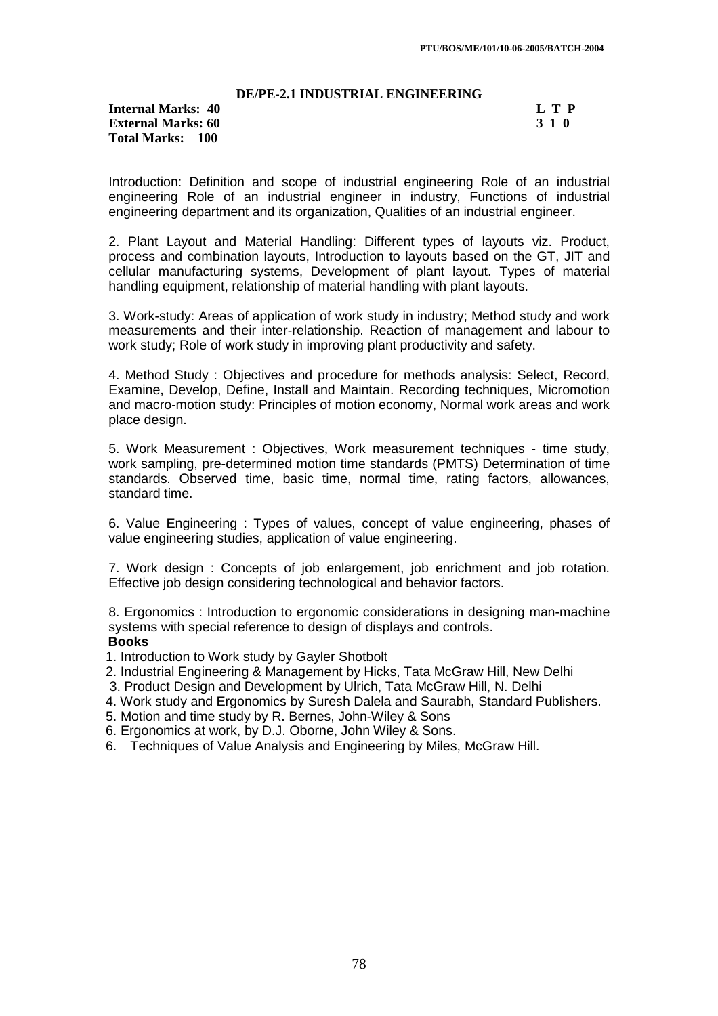### **DE/PE-2.1 INDUSTRIAL ENGINEERING**

## **Internal Marks: 40 L T P External Marks: 60 Total Marks: 100**

Introduction: Definition and scope of industrial engineering Role of an industrial engineering Role of an industrial engineer in industry, Functions of industrial engineering department and its organization, Qualities of an industrial engineer.

2. Plant Layout and Material Handling: Different types of layouts viz. Product, process and combination layouts, Introduction to layouts based on the GT, JIT and cellular manufacturing systems, Development of plant layout. Types of material handling equipment, relationship of material handling with plant layouts.

3. Work-study: Areas of application of work study in industry; Method study and work measurements and their inter-relationship. Reaction of management and labour to work study; Role of work study in improving plant productivity and safety.

4. Method Study : Objectives and procedure for methods analysis: Select, Record, Examine, Develop, Define, Install and Maintain. Recording techniques, Micromotion and macro-motion study: Principles of motion economy, Normal work areas and work place design.

5. Work Measurement : Objectives, Work measurement techniques - time study, work sampling, pre-determined motion time standards (PMTS) Determination of time standards. Observed time, basic time, normal time, rating factors, allowances, standard time.

6. Value Engineering : Types of values, concept of value engineering, phases of value engineering studies, application of value engineering.

7. Work design : Concepts of job enlargement, job enrichment and job rotation. Effective job design considering technological and behavior factors.

8. Ergonomics : Introduction to ergonomic considerations in designing man-machine systems with special reference to design of displays and controls.

## **Books**

1. Introduction to Work study by Gayler Shotbolt

- 2. Industrial Engineering & Management by Hicks, Tata McGraw Hill, New Delhi
- 3. Product Design and Development by Ulrich, Tata McGraw Hill, N. Delhi
- 4. Work study and Ergonomics by Suresh Dalela and Saurabh, Standard Publishers.
- 5. Motion and time study by R. Bernes, John-Wiley & Sons
- 6. Ergonomics at work, by D.J. Oborne, John Wiley & Sons.
- 6. Techniques of Value Analysis and Engineering by Miles, McGraw Hill.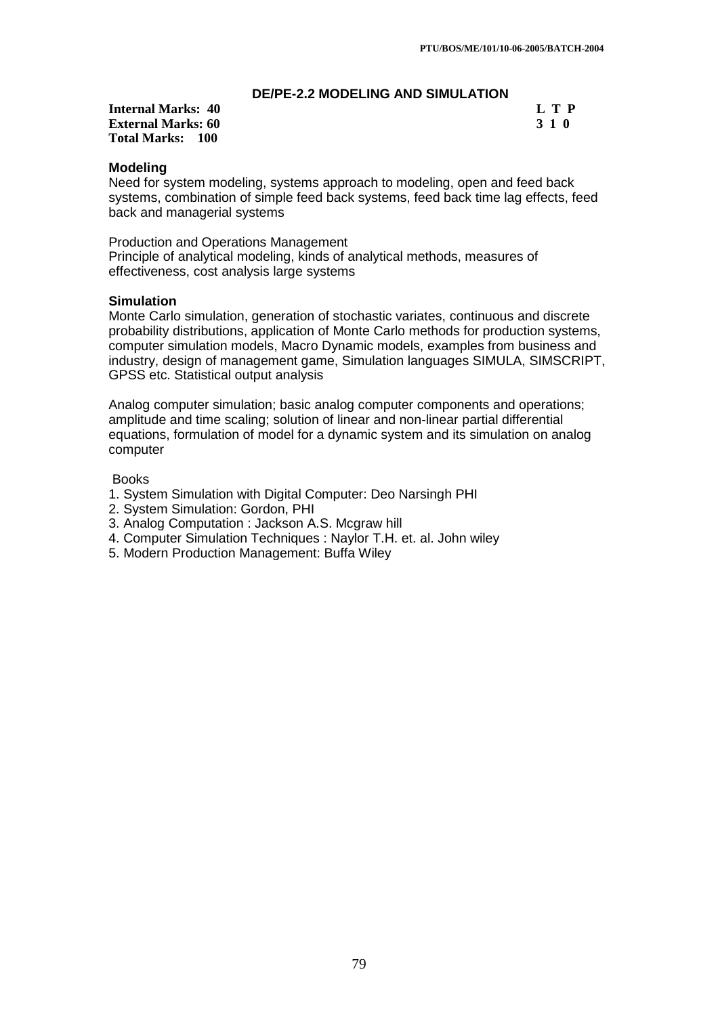## **DE/PE-2.2 MODELING AND SIMULATION**

**Internal Marks: 40 L T P L T P L L T P External Marks: 60 3 1 0 Total Marks: 100**

### **Modeling**

Need for system modeling, systems approach to modeling, open and feed back systems, combination of simple feed back systems, feed back time lag effects, feed back and managerial systems

Production and Operations Management Principle of analytical modeling, kinds of analytical methods, measures of effectiveness, cost analysis large systems

#### **Simulation**

Monte Carlo simulation, generation of stochastic variates, continuous and discrete probability distributions, application of Monte Carlo methods for production systems, computer simulation models, Macro Dynamic models, examples from business and industry, design of management game, Simulation languages SIMULA, SIMSCRIPT, GPSS etc. Statistical output analysis

Analog computer simulation; basic analog computer components and operations; amplitude and time scaling; solution of linear and non-linear partial differential equations, formulation of model for a dynamic system and its simulation on analog computer

#### Books

- 1. System Simulation with Digital Computer: Deo Narsingh PHI
- 2. System Simulation: Gordon, PHI
- 3. Analog Computation : Jackson A.S. Mcgraw hill
- 4. Computer Simulation Techniques : Naylor T.H. et. al. John wiley
- 5. Modern Production Management: Buffa Wiley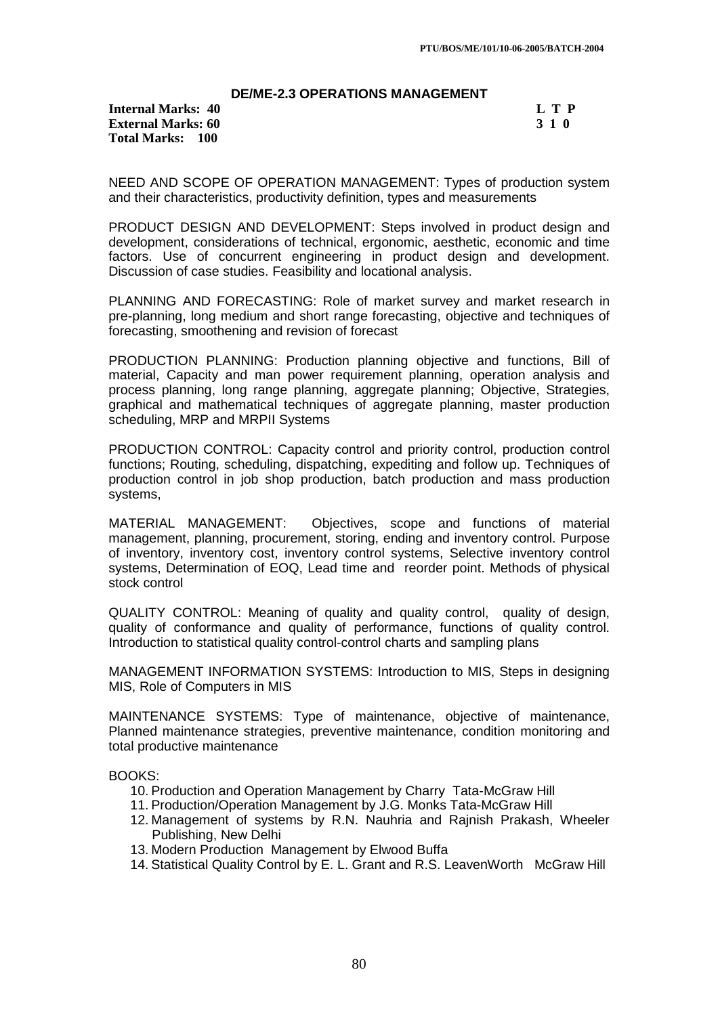## **DE/ME-2.3 OPERATIONS MANAGEMENT**

**Internal Marks: 40 L T P L T P L L T P External Marks: 60 3 1 0 Total Marks: 100**

NEED AND SCOPE OF OPERATION MANAGEMENT: Types of production system and their characteristics, productivity definition, types and measurements

PRODUCT DESIGN AND DEVELOPMENT: Steps involved in product design and development, considerations of technical, ergonomic, aesthetic, economic and time factors. Use of concurrent engineering in product design and development. Discussion of case studies. Feasibility and locational analysis.

PLANNING AND FORECASTING: Role of market survey and market research in pre-planning, long medium and short range forecasting, objective and techniques of forecasting, smoothening and revision of forecast

PRODUCTION PLANNING: Production planning objective and functions, Bill of material, Capacity and man power requirement planning, operation analysis and process planning, long range planning, aggregate planning; Objective, Strategies, graphical and mathematical techniques of aggregate planning, master production scheduling, MRP and MRPII Systems

PRODUCTION CONTROL: Capacity control and priority control, production control functions; Routing, scheduling, dispatching, expediting and follow up. Techniques of production control in job shop production, batch production and mass production systems,

MATERIAL MANAGEMENT: Objectives, scope and functions of material management, planning, procurement, storing, ending and inventory control. Purpose of inventory, inventory cost, inventory control systems, Selective inventory control systems, Determination of EOQ, Lead time and reorder point. Methods of physical stock control

QUALITY CONTROL: Meaning of quality and quality control, quality of design, quality of conformance and quality of performance, functions of quality control. Introduction to statistical quality control-control charts and sampling plans

MANAGEMENT INFORMATION SYSTEMS: Introduction to MIS, Steps in designing MIS, Role of Computers in MIS

MAINTENANCE SYSTEMS: Type of maintenance, objective of maintenance, Planned maintenance strategies, preventive maintenance, condition monitoring and total productive maintenance

BOOKS:

- 10. Production and Operation Management by Charry Tata-McGraw Hill
- 11. Production/Operation Management by J.G. Monks Tata-McGraw Hill
- 12. Management of systems by R.N. Nauhria and Rajnish Prakash, Wheeler Publishing, New Delhi
- 13. Modern Production Management by Elwood Buffa
- 14. Statistical Quality Control by E. L. Grant and R.S. LeavenWorth McGraw Hill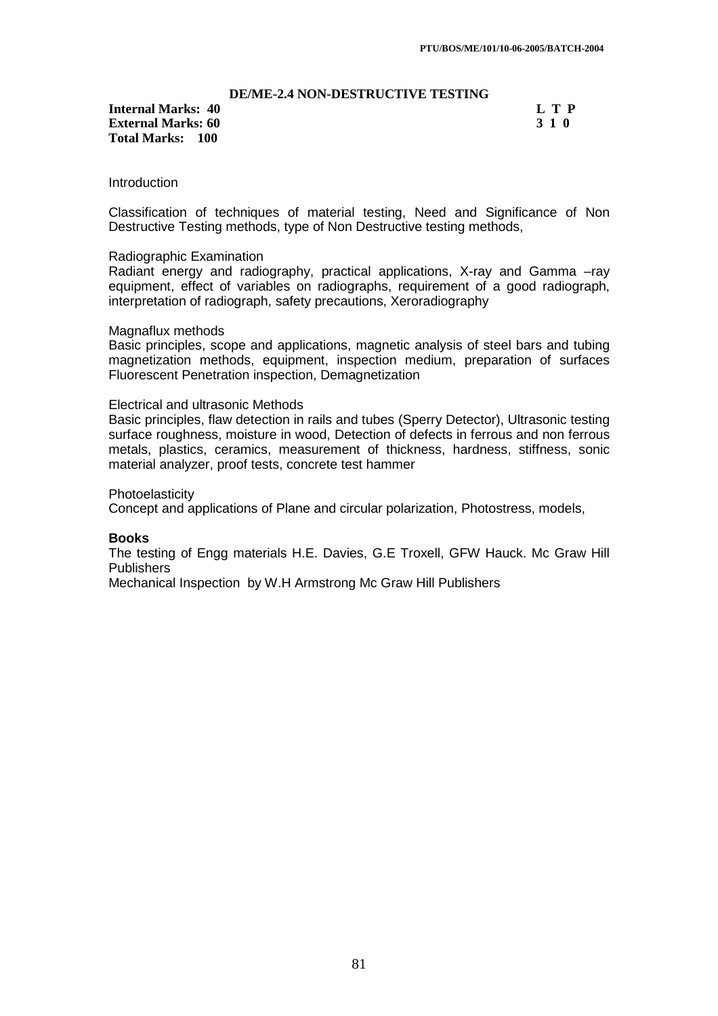### **DE/ME-2.4 NON-DESTRUCTIVE TESTING**

**Internal Marks: 40 L T P External Marks: 60 Total Marks: 100**

## Introduction

Classification of techniques of material testing, Need and Significance of Non Destructive Testing methods, type of Non Destructive testing methods,

### Radiographic Examination

Radiant energy and radiography, practical applications, X-ray and Gamma –ray equipment, effect of variables on radiographs, requirement of a good radiograph, interpretation of radiograph, safety precautions, Xeroradiography

#### Magnaflux methods

Basic principles, scope and applications, magnetic analysis of steel bars and tubing magnetization methods, equipment, inspection medium, preparation of surfaces Fluorescent Penetration inspection, Demagnetization

### Electrical and ultrasonic Methods

Basic principles, flaw detection in rails and tubes (Sperry Detector), Ultrasonic testing surface roughness, moisture in wood, Detection of defects in ferrous and non ferrous metals, plastics, ceramics, measurement of thickness, hardness, stiffness, sonic material analyzer, proof tests, concrete test hammer

#### Photoelasticity

Concept and applications of Plane and circular polarization, Photostress, models,

#### **Books**

The testing of Engg materials H.E. Davies, G.E Troxell, GFW Hauck. Mc Graw Hill **Publishers** 

Mechanical Inspection by W.H Armstrong Mc Graw Hill Publishers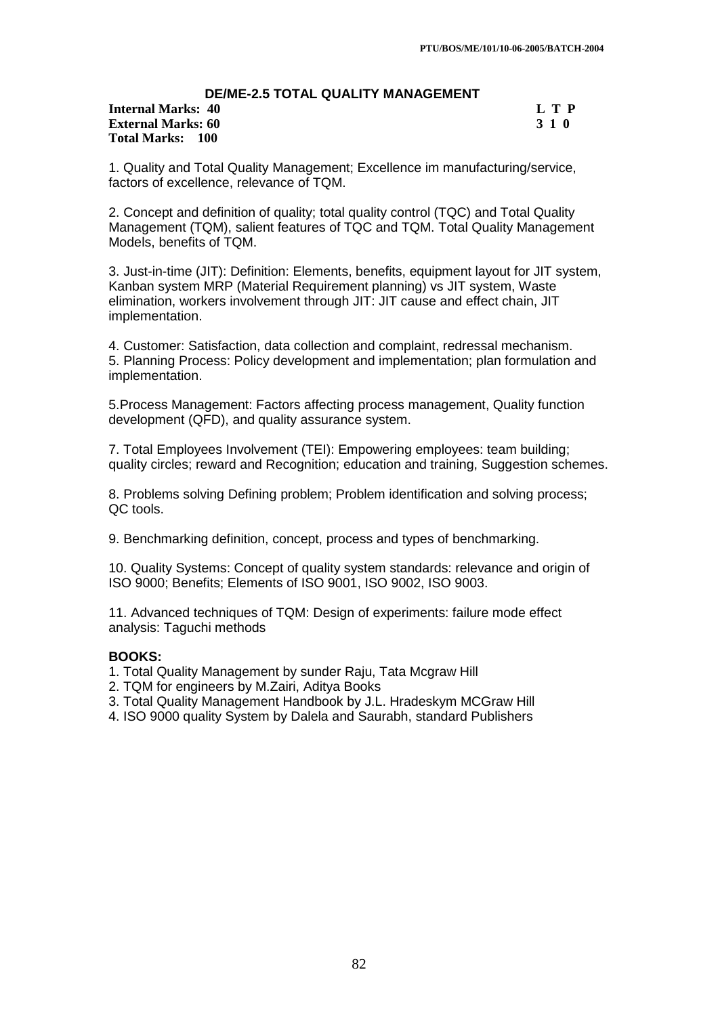# **DE/ME-2.5 TOTAL QUALITY MANAGEMENT**

**Internal Marks: 40 L T P L T P L L T P External Marks: 60 3 1 0 Total Marks: 100**

1. Quality and Total Quality Management; Excellence im manufacturing/service, factors of excellence, relevance of TQM.

2. Concept and definition of quality; total quality control (TQC) and Total Quality Management (TQM), salient features of TQC and TQM. Total Quality Management Models, benefits of TQM.

3. Just-in-time (JIT): Definition: Elements, benefits, equipment layout for JIT system, Kanban system MRP (Material Requirement planning) vs JIT system, Waste elimination, workers involvement through JIT: JIT cause and effect chain, JIT implementation.

4. Customer: Satisfaction, data collection and complaint, redressal mechanism. 5. Planning Process: Policy development and implementation; plan formulation and implementation.

5.Process Management: Factors affecting process management, Quality function development (QFD), and quality assurance system.

7. Total Employees Involvement (TEI): Empowering employees: team building; quality circles; reward and Recognition; education and training, Suggestion schemes.

8. Problems solving Defining problem; Problem identification and solving process; QC tools.

9. Benchmarking definition, concept, process and types of benchmarking.

10. Quality Systems: Concept of quality system standards: relevance and origin of ISO 9000; Benefits; Elements of ISO 9001, ISO 9002, ISO 9003.

11. Advanced techniques of TQM: Design of experiments: failure mode effect analysis: Taguchi methods

## **BOOKS:**

- 1. Total Quality Management by sunder Raju, Tata Mcgraw Hill
- 2. TQM for engineers by M.Zairi, Aditya Books
- 3. Total Quality Management Handbook by J.L. Hradeskym MCGraw Hill
- 4. ISO 9000 quality System by Dalela and Saurabh, standard Publishers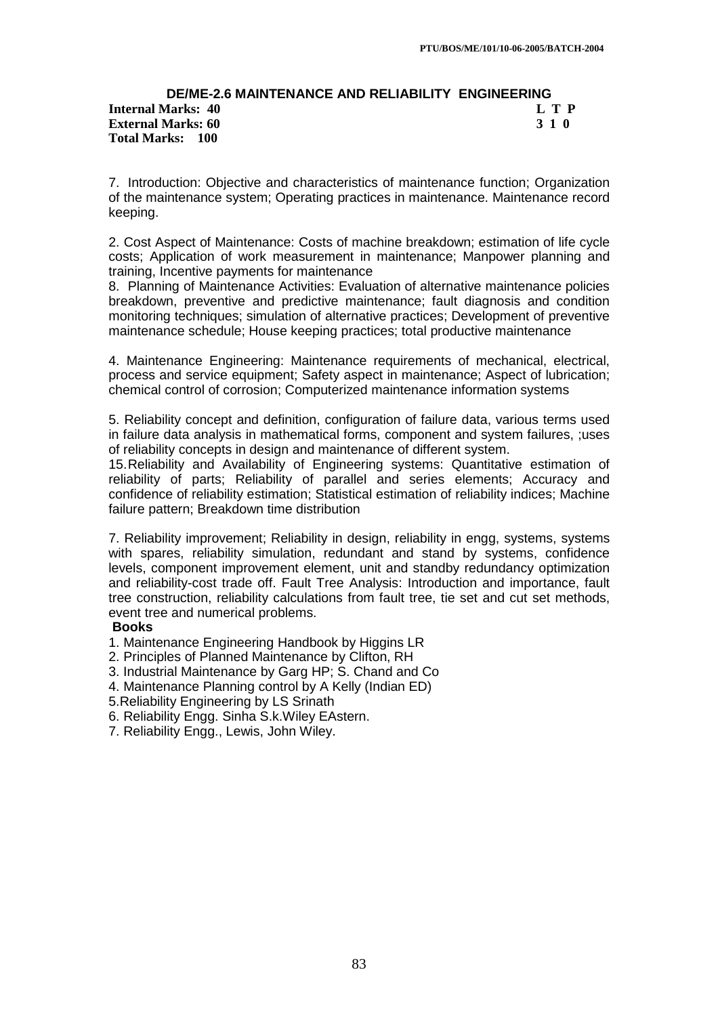## **DE/ME-2.6 MAINTENANCE AND RELIABILITY ENGINEERING Internal Marks: 40 L T P I** L T P **External Marks: 60 3 1 0 3 2 3 4 6 7 7 7 7 8 7 7 8 7 7 8 7 7 8 7 7 8 7 7 8 7 7 8 7 8 7 7 8 7 8 7 7 8 7 8 7 7 8 7 8 7 8 7 8 7 8 7 8 7 8 7 8 7 8 7 8 7 8 7 8 7 8 7 8 7 8 7 8 7 8 7 8 7 8 7 8 7 8 7 8 7 8 7 8 7 8 7 8 7 8 7 8 7 Total Marks: 100**

7. Introduction: Objective and characteristics of maintenance function; Organization of the maintenance system; Operating practices in maintenance. Maintenance record keeping.

2. Cost Aspect of Maintenance: Costs of machine breakdown; estimation of life cycle costs; Application of work measurement in maintenance; Manpower planning and training, Incentive payments for maintenance

8. Planning of Maintenance Activities: Evaluation of alternative maintenance policies breakdown, preventive and predictive maintenance; fault diagnosis and condition monitoring techniques; simulation of alternative practices; Development of preventive maintenance schedule; House keeping practices; total productive maintenance

4. Maintenance Engineering: Maintenance requirements of mechanical, electrical, process and service equipment; Safety aspect in maintenance; Aspect of lubrication; chemical control of corrosion; Computerized maintenance information systems

5. Reliability concept and definition, configuration of failure data, various terms used in failure data analysis in mathematical forms, component and system failures, ;uses of reliability concepts in design and maintenance of different system.

15. Reliability and Availability of Engineering systems: Quantitative estimation of reliability of parts; Reliability of parallel and series elements; Accuracy and confidence of reliability estimation; Statistical estimation of reliability indices; Machine failure pattern; Breakdown time distribution

7. Reliability improvement; Reliability in design, reliability in engg, systems, systems with spares, reliability simulation, redundant and stand by systems, confidence levels, component improvement element, unit and standby redundancy optimization and reliability-cost trade off. Fault Tree Analysis: Introduction and importance, fault tree construction, reliability calculations from fault tree, tie set and cut set methods, event tree and numerical problems.

## **Books**

- 1. Maintenance Engineering Handbook by Higgins LR
- 2. Principles of Planned Maintenance by Clifton, RH
- 3. Industrial Maintenance by Garg HP; S. Chand and Co
- 4. Maintenance Planning control by A Kelly (Indian ED)
- 5.Reliability Engineering by LS Srinath
- 6. Reliability Engg. Sinha S.k.Wiley EAstern.
- 7. Reliability Engg., Lewis, John Wiley.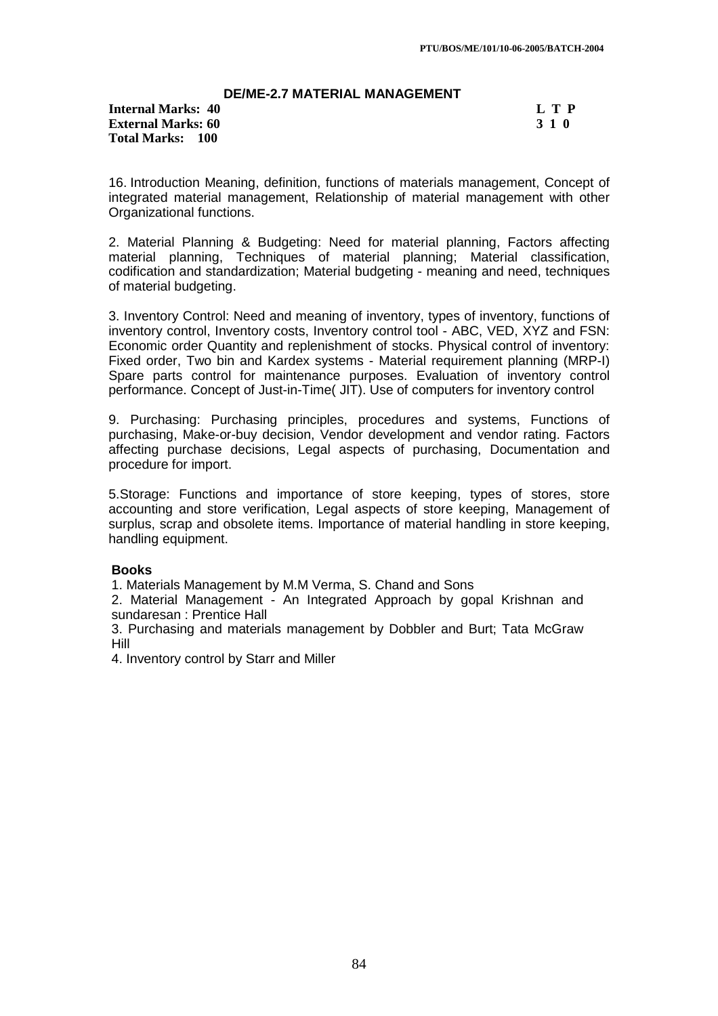## **DE/ME-2.7 MATERIAL MANAGEMENT**

**Internal Marks: 40 L T P L T P L L T P External Marks: 60 3 1 0 Total Marks: 100**

16. Introduction Meaning, definition, functions of materials management, Concept of integrated material management, Relationship of material management with other Organizational functions.

2. Material Planning & Budgeting: Need for material planning, Factors affecting material planning, Techniques of material planning; Material classification, codification and standardization; Material budgeting - meaning and need, techniques of material budgeting.

3. Inventory Control: Need and meaning of inventory, types of inventory, functions of inventory control, Inventory costs, Inventory control tool - ABC, VED, XYZ and FSN: Economic order Quantity and replenishment of stocks. Physical control of inventory: Fixed order, Two bin and Kardex systems - Material requirement planning (MRP-I) Spare parts control for maintenance purposes. Evaluation of inventory control performance. Concept of Just-in-Time( JIT). Use of computers for inventory control

9. Purchasing: Purchasing principles, procedures and systems, Functions of purchasing, Make-or-buy decision, Vendor development and vendor rating. Factors affecting purchase decisions, Legal aspects of purchasing, Documentation and procedure for import.

5.Storage: Functions and importance of store keeping, types of stores, store accounting and store verification, Legal aspects of store keeping, Management of surplus, scrap and obsolete items. Importance of material handling in store keeping, handling equipment.

## **Books**

1. Materials Management by M.M Verma, S. Chand and Sons

2. Material Management - An Integrated Approach by gopal Krishnan and sundaresan : Prentice Hall

3. Purchasing and materials management by Dobbler and Burt; Tata McGraw Hill

4. Inventory control by Starr and Miller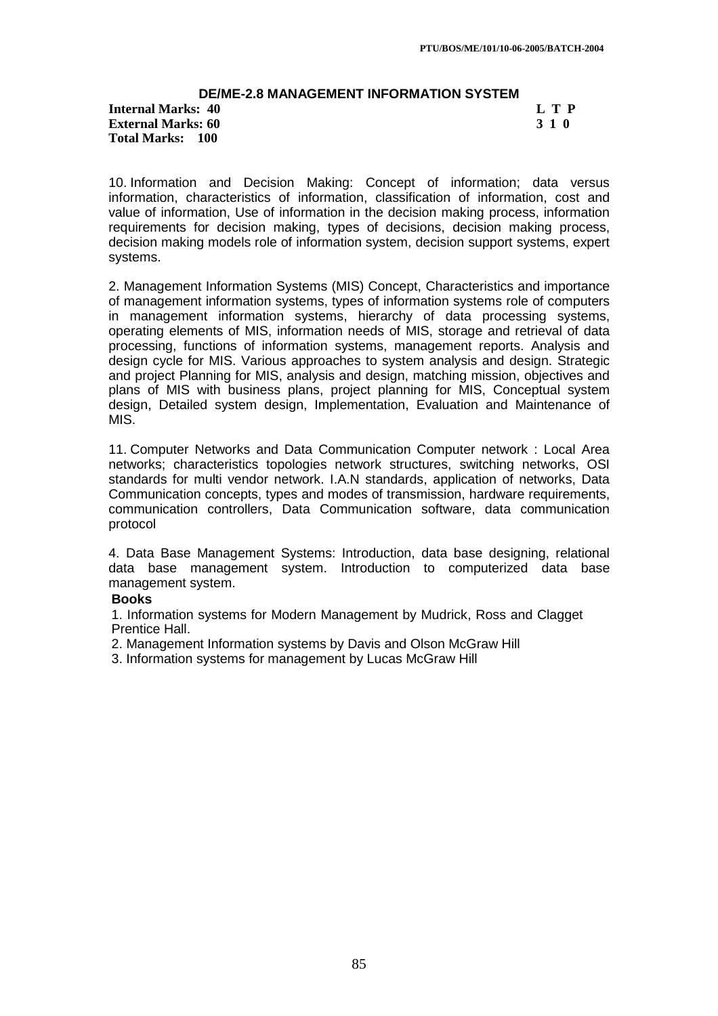#### **DE/ME-2.8 MANAGEMENT INFORMATION SYSTEM Internal Marks: 40 L T P L T P External Marks: 60 3 1 0**

**Total Marks: 100**

10. Information and Decision Making: Concept of information; data versus information, characteristics of information, classification of information, cost and value of information, Use of information in the decision making process, information requirements for decision making, types of decisions, decision making process, decision making models role of information system, decision support systems, expert systems.

2. Management Information Systems (MIS) Concept, Characteristics and importance of management information systems, types of information systems role of computers in management information systems, hierarchy of data processing systems, operating elements of MIS, information needs of MIS, storage and retrieval of data processing, functions of information systems, management reports. Analysis and design cycle for MIS. Various approaches to system analysis and design. Strategic and project Planning for MIS, analysis and design, matching mission, objectives and plans of MIS with business plans, project planning for MIS, Conceptual system design, Detailed system design, Implementation, Evaluation and Maintenance of MIS.

11. Computer Networks and Data Communication Computer network : Local Area networks; characteristics topologies network structures, switching networks, OSI standards for multi vendor network. I.A.N standards, application of networks, Data Communication concepts, types and modes of transmission, hardware requirements, communication controllers, Data Communication software, data communication protocol

4. Data Base Management Systems: Introduction, data base designing, relational data base management system. Introduction to computerized data base management system.

## **Books**

1. Information systems for Modern Management by Mudrick, Ross and Clagget Prentice Hall.

2. Management Information systems by Davis and Olson McGraw Hill

3. Information systems for management by Lucas McGraw Hill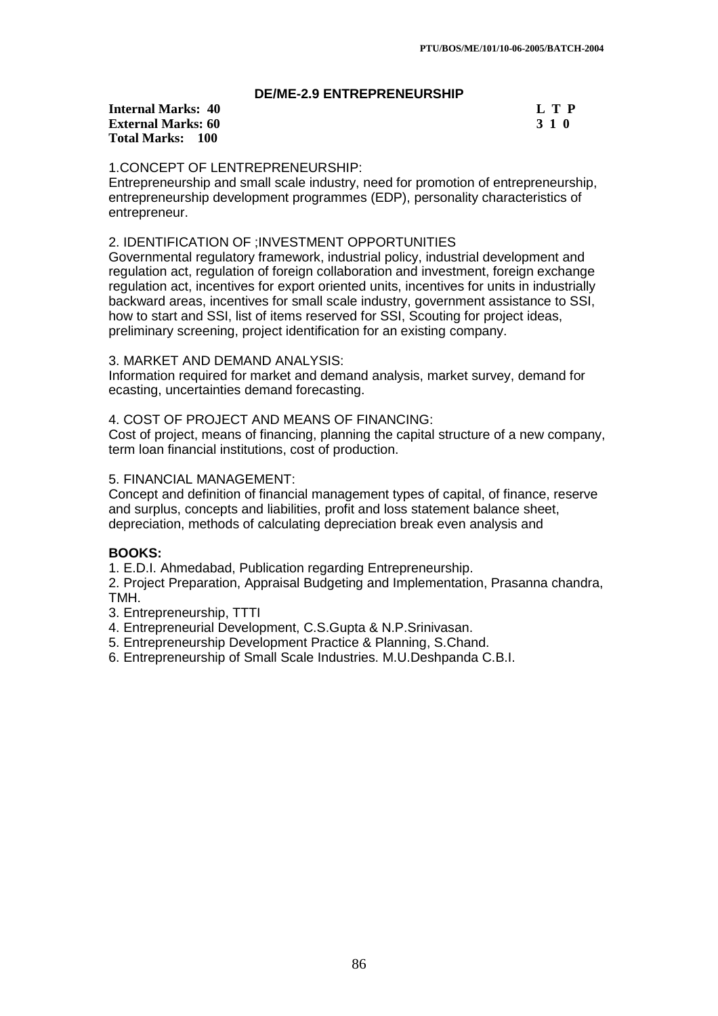## **DE/ME-2.9 ENTREPRENEURSHIP**

**Internal Marks: 40 L T P L T P External Marks: 60 3 1 0 Total Marks: 100**

## 1.CONCEPT OF LENTREPRENEURSHIP:

Entrepreneurship and small scale industry, need for promotion of entrepreneurship, entrepreneurship development programmes (EDP), personality characteristics of entrepreneur.

### 2. IDENTIFICATION OF ;INVESTMENT OPPORTUNITIES

Governmental regulatory framework, industrial policy, industrial development and regulation act, regulation of foreign collaboration and investment, foreign exchange regulation act, incentives for export oriented units, incentives for units in industrially backward areas, incentives for small scale industry, government assistance to SSI, how to start and SSI, list of items reserved for SSI, Scouting for project ideas, preliminary screening, project identification for an existing company.

### 3. MARKET AND DEMAND ANALYSIS:

Information required for market and demand analysis, market survey, demand for ecasting, uncertainties demand forecasting.

### 4. COST OF PROJECT AND MEANS OF FINANCING:

Cost of project, means of financing, planning the capital structure of a new company, term loan financial institutions, cost of production.

### 5. FINANCIAL MANAGEMENT:

Concept and definition of financial management types of capital, of finance, reserve and surplus, concepts and liabilities, profit and loss statement balance sheet, depreciation, methods of calculating depreciation break even analysis and

## **BOOKS:**

1. E.D.I. Ahmedabad, Publication regarding Entrepreneurship.

2. Project Preparation, Appraisal Budgeting and Implementation, Prasanna chandra, TMH.

- 3. Entrepreneurship, TTTI
- 4. Entrepreneurial Development, C.S.Gupta & N.P.Srinivasan.
- 5. Entrepreneurship Development Practice & Planning, S.Chand.
- 6. Entrepreneurship of Small Scale Industries. M.U.Deshpanda C.B.I.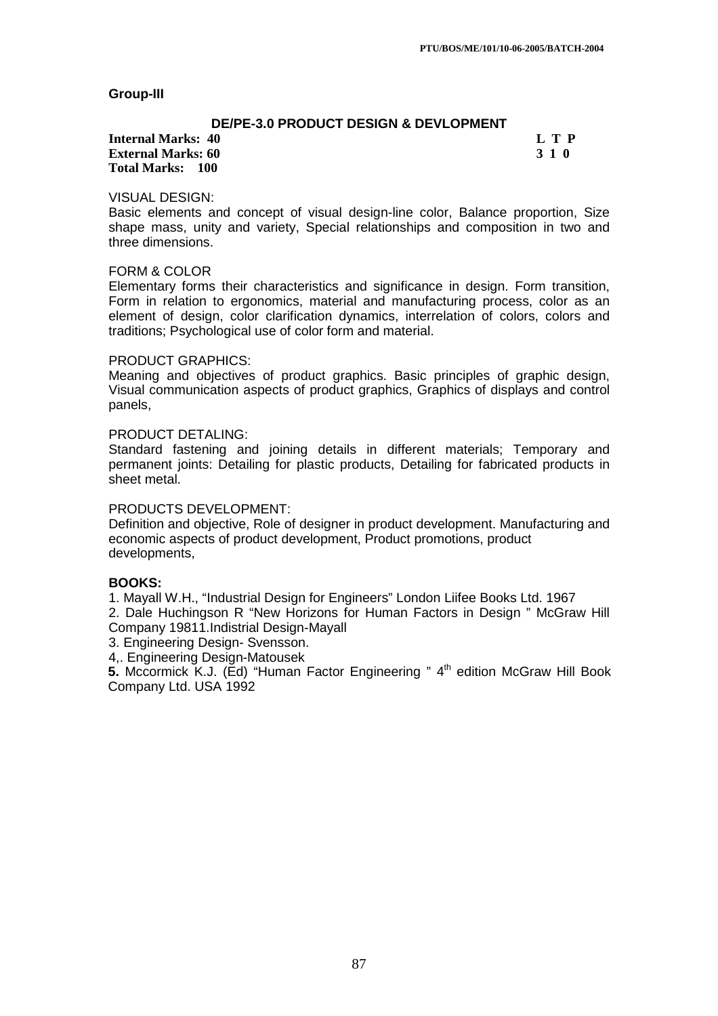## **Group-III**

# **DE/PE-3.0 PRODUCT DESIGN & DEVLOPMENT**

**Internal Marks: 40 L T P <br>
External Marks: 60 3 1 0 External Marks: 60 Total Marks: 100**

### VISUAL DESIGN:

Basic elements and concept of visual design-line color, Balance proportion, Size shape mass, unity and variety, Special relationships and composition in two and three dimensions.

## FORM & COLOR

Elementary forms their characteristics and significance in design. Form transition, Form in relation to ergonomics, material and manufacturing process, color as an element of design, color clarification dynamics, interrelation of colors, colors and traditions; Psychological use of color form and material.

### PRODUCT GRAPHICS:

Meaning and objectives of product graphics. Basic principles of graphic design, Visual communication aspects of product graphics, Graphics of displays and control panels,

### PRODUCT DETALING:

Standard fastening and joining details in different materials; Temporary and permanent joints: Detailing for plastic products, Detailing for fabricated products in sheet metal.

### PRODUCTS DEVELOPMENT:

Definition and objective, Role of designer in product development. Manufacturing and economic aspects of product development, Product promotions, product developments,

## **BOOKS:**

1. Mayall W.H., "Industrial Design for Engineers" London Liifee Books Ltd. 1967

2. Dale Huchingson R "New Horizons for Human Factors in Design " McGraw Hill Company 19811.Indistrial Design-Mayall

3. Engineering Design- Svensson.

4,. Engineering Design-Matousek

**5.** Mccormick K.J. (Ed) "Human Factor Engineering " 4<sup>th</sup> edition McGraw Hill Book Company Ltd. USA 1992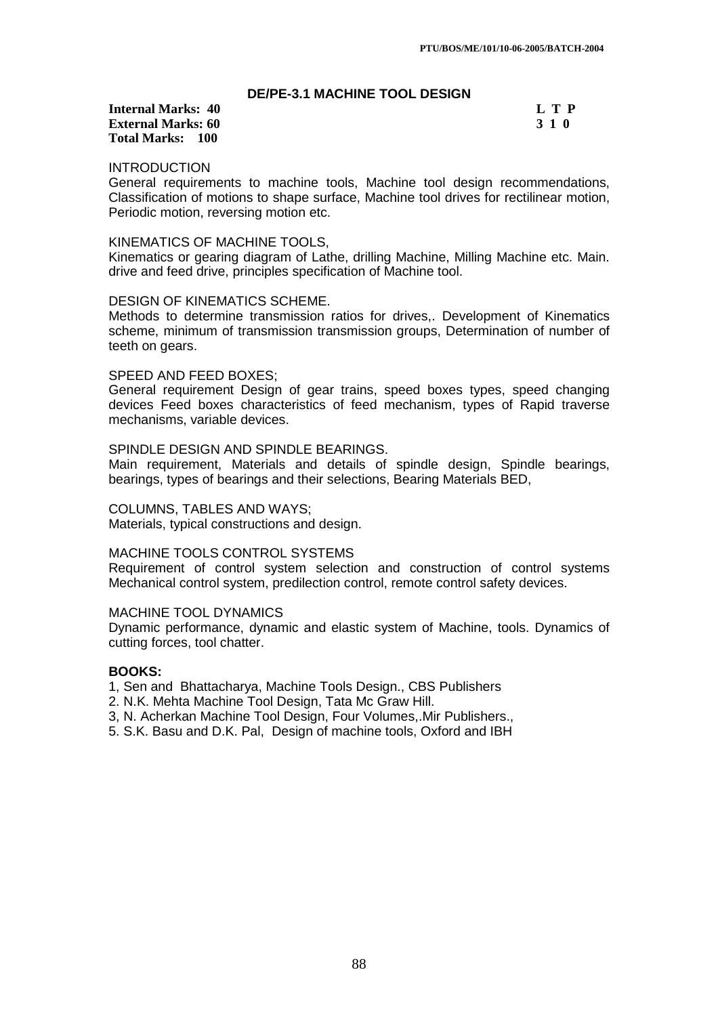## **DE/PE-3.1 MACHINE TOOL DESIGN**

### **Internal Marks: 40 L T P L T P L L T P External Marks: 60 3 1 0 Total Marks: 100**

## INTRODUCTION

General requirements to machine tools, Machine tool design recommendations, Classification of motions to shape surface, Machine tool drives for rectilinear motion, Periodic motion, reversing motion etc.

# KINEMATICS OF MACHINE TOOLS,

Kinematics or gearing diagram of Lathe, drilling Machine, Milling Machine etc. Main. drive and feed drive, principles specification of Machine tool.

# DESIGN OF KINEMATICS SCHEME.

Methods to determine transmission ratios for drives,. Development of Kinematics scheme, minimum of transmission transmission groups, Determination of number of teeth on gears.

# SPEED AND FEED BOXES;

General requirement Design of gear trains, speed boxes types, speed changing devices Feed boxes characteristics of feed mechanism, types of Rapid traverse mechanisms, variable devices.

# SPINDLE DESIGN AND SPINDLE BEARINGS.

Main requirement, Materials and details of spindle design, Spindle bearings, bearings, types of bearings and their selections, Bearing Materials BED,

# COLUMNS, TABLES AND WAYS;

Materials, typical constructions and design.

# MACHINE TOOLS CONTROL SYSTEMS

Requirement of control system selection and construction of control systems Mechanical control system, predilection control, remote control safety devices.

# MACHINE TOOL DYNAMICS

Dynamic performance, dynamic and elastic system of Machine, tools. Dynamics of cutting forces, tool chatter.

## **BOOKS:**

- 1, Sen and Bhattacharya, Machine Tools Design., CBS Publishers
- 2. N.K. Mehta Machine Tool Design, Tata Mc Graw Hill.
- 3, N. Acherkan Machine Tool Design, Four Volumes,.Mir Publishers.,
- 5. S.K. Basu and D.K. Pal, Design of machine tools, Oxford and IBH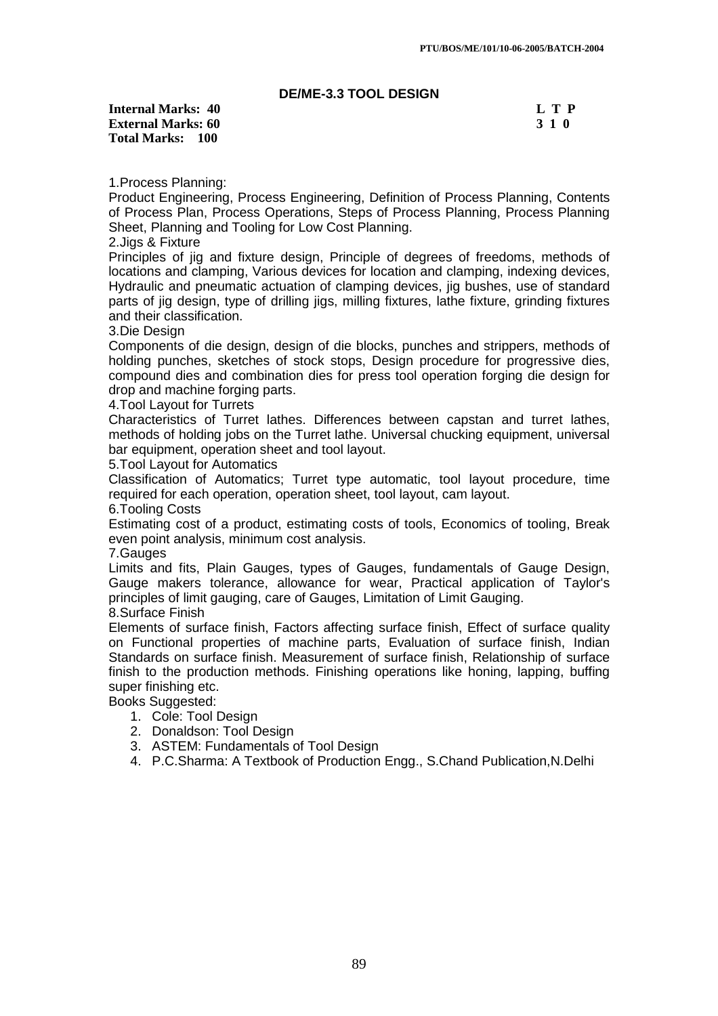## **DE/ME-3.3 TOOL DESIGN**

**Internal Marks: 40 L T P External Marks: 60 3 1 0 Total Marks: 100**

1.Process Planning:

Product Engineering, Process Engineering, Definition of Process Planning, Contents of Process Plan, Process Operations, Steps of Process Planning, Process Planning Sheet, Planning and Tooling for Low Cost Planning.

2.Jigs & Fixture

Principles of jig and fixture design, Principle of degrees of freedoms, methods of locations and clamping, Various devices for location and clamping, indexing devices, Hydraulic and pneumatic actuation of clamping devices, jig bushes, use of standard parts of jig design, type of drilling jigs, milling fixtures, lathe fixture, grinding fixtures and their classification.

3.Die Design

Components of die design, design of die blocks, punches and strippers, methods of holding punches, sketches of stock stops, Design procedure for progressive dies, compound dies and combination dies for press tool operation forging die design for drop and machine forging parts.

4.Tool Layout for Turrets

Characteristics of Turret lathes. Differences between capstan and turret lathes, methods of holding jobs on the Turret lathe. Universal chucking equipment, universal bar equipment, operation sheet and tool layout.

5.Tool Layout for Automatics

Classification of Automatics; Turret type automatic, tool layout procedure, time required for each operation, operation sheet, tool layout, cam layout.

6.Tooling Costs

Estimating cost of a product, estimating costs of tools, Economics of tooling, Break even point analysis, minimum cost analysis.

7.Gauges

Limits and fits, Plain Gauges, types of Gauges, fundamentals of Gauge Design, Gauge makers tolerance, allowance for wear, Practical application of Taylor's principles of limit gauging, care of Gauges, Limitation of Limit Gauging. 8.Surface Finish

Elements of surface finish, Factors affecting surface finish, Effect of surface quality on Functional properties of machine parts, Evaluation of surface finish, Indian Standards on surface finish. Measurement of surface finish, Relationship of surface finish to the production methods. Finishing operations like honing, lapping, buffing super finishing etc.

Books Suggested:

- 1. Cole: Tool Design
- 2. Donaldson: Tool Design
- 3. ASTEM: Fundamentals of Tool Design
- 4. P.C.Sharma: A Textbook of Production Engg., S.Chand Publication,N.Delhi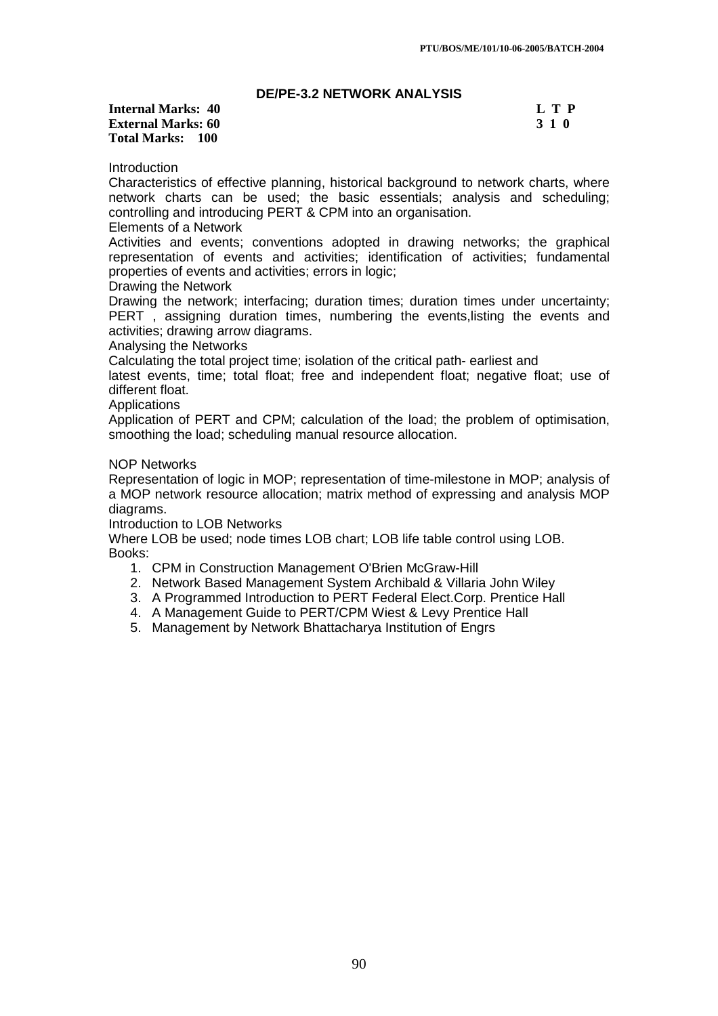## **DE/PE-3.2 NETWORK ANALYSIS**

### **Internal Marks: 40 L T P L T P L L T P External Marks: 60 3 1 0 Total Marks: 100**

**Introduction** 

Characteristics of effective planning, historical background to network charts, where network charts can be used; the basic essentials; analysis and scheduling; controlling and introducing PERT & CPM into an organisation.

### Elements of a Network

Activities and events; conventions adopted in drawing networks; the graphical representation of events and activities; identification of activities; fundamental properties of events and activities; errors in logic;

### Drawing the Network

Drawing the network; interfacing; duration times; duration times under uncertainty; PERT , assigning duration times, numbering the events,listing the events and activities; drawing arrow diagrams.

### Analysing the Networks

Calculating the total project time; isolation of the critical path- earliest and

latest events, time; total float; free and independent float; negative float; use of different float.

### **Applications**

Application of PERT and CPM; calculation of the load; the problem of optimisation, smoothing the load; scheduling manual resource allocation.

### NOP Networks

Representation of logic in MOP; representation of time-milestone in MOP; analysis of a MOP network resource allocation; matrix method of expressing and analysis MOP diagrams.

Introduction to LOB Networks

Where LOB be used; node times LOB chart; LOB life table control using LOB. Books:

- 1. CPM in Construction Management O'Brien McGraw-Hill
- 2. Network Based Management System Archibald & Villaria John Wiley
- 3. A Programmed Introduction to PERT Federal Elect.Corp. Prentice Hall
- 4. A Management Guide to PERT/CPM Wiest & Levy Prentice Hall
- 5. Management by Network Bhattacharya Institution of Engrs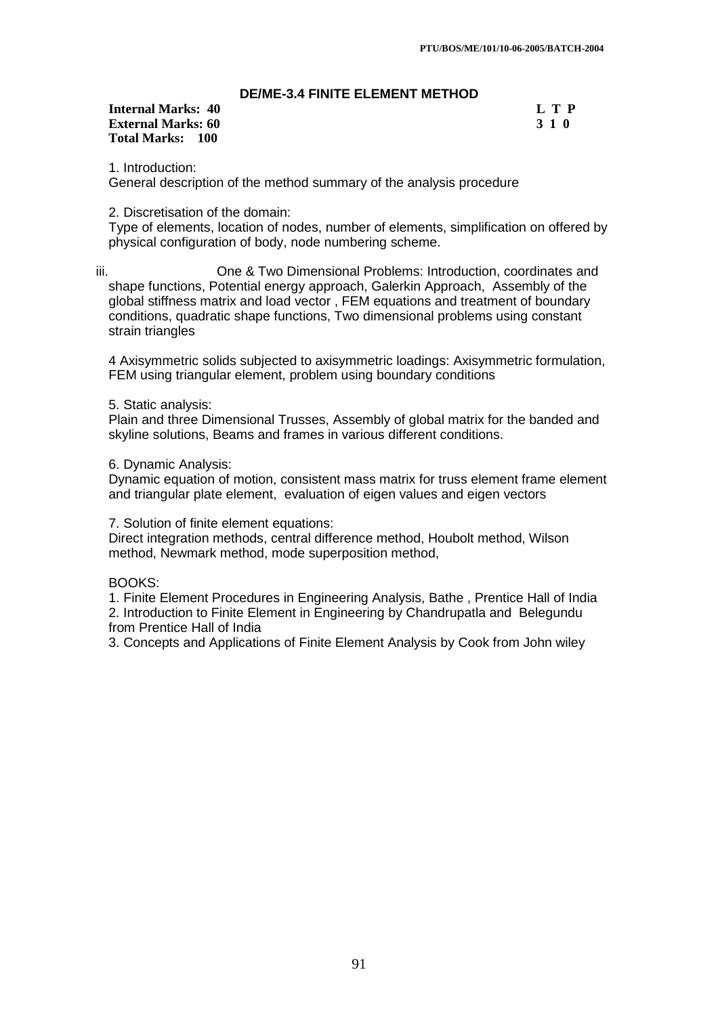## **DE/ME-3.4 FINITE ELEMENT METHOD**

## **Internal Marks: 40 L T P L T P L L T P External Marks: 60 3 1 0 Total Marks: 100**

1. Introduction: General description of the method summary of the analysis procedure

## 2. Discretisation of the domain:

Type of elements, location of nodes, number of elements, simplification on offered by physical configuration of body, node numbering scheme.

iii. One & Two Dimensional Problems: Introduction, coordinates and shape functions, Potential energy approach, Galerkin Approach, Assembly of the global stiffness matrix and load vector , FEM equations and treatment of boundary conditions, quadratic shape functions, Two dimensional problems using constant strain triangles

4 Axisymmetric solids subjected to axisymmetric loadings: Axisymmetric formulation, FEM using triangular element, problem using boundary conditions

5. Static analysis:

Plain and three Dimensional Trusses, Assembly of global matrix for the banded and skyline solutions, Beams and frames in various different conditions.

### 6. Dynamic Analysis:

Dynamic equation of motion, consistent mass matrix for truss element frame element and triangular plate element, evaluation of eigen values and eigen vectors

7. Solution of finite element equations:

Direct integration methods, central difference method, Houbolt method, Wilson method, Newmark method, mode superposition method,

## BOOKS:

1. Finite Element Procedures in Engineering Analysis, Bathe , Prentice Hall of India 2. Introduction to Finite Element in Engineering by Chandrupatla and Belegundu from Prentice Hall of India

3. Concepts and Applications of Finite Element Analysis by Cook from John wiley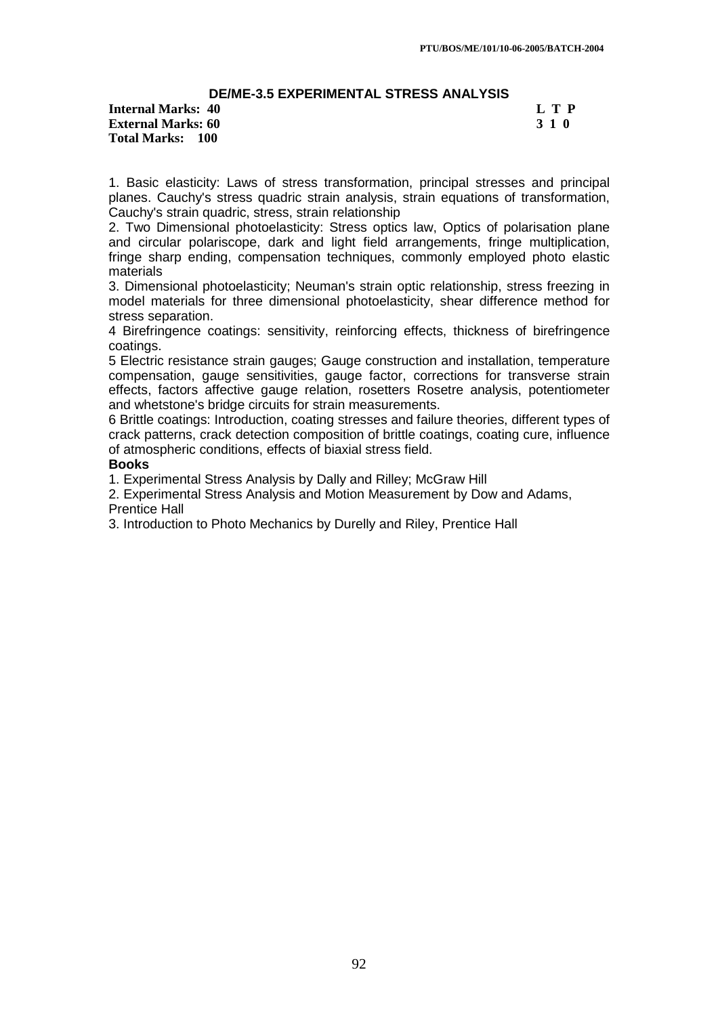# **DE/ME-3.5 EXPERIMENTAL STRESS ANALYSIS**

**Internal Marks: 40 L T P L T P L L T P External Marks: 60 3 1 0 Total Marks: 100**

1. Basic elasticity: Laws of stress transformation, principal stresses and principal planes. Cauchy's stress quadric strain analysis, strain equations of transformation, Cauchy's strain quadric, stress, strain relationship

2. Two Dimensional photoelasticity: Stress optics law, Optics of polarisation plane and circular polariscope, dark and light field arrangements, fringe multiplication, fringe sharp ending, compensation techniques, commonly employed photo elastic materials

3. Dimensional photoelasticity; Neuman's strain optic relationship, stress freezing in model materials for three dimensional photoelasticity, shear difference method for stress separation.

4 Birefringence coatings: sensitivity, reinforcing effects, thickness of birefringence coatings.

5 Electric resistance strain gauges; Gauge construction and installation, temperature compensation, gauge sensitivities, gauge factor, corrections for transverse strain effects, factors affective gauge relation, rosetters Rosetre analysis, potentiometer and whetstone's bridge circuits for strain measurements.

6 Brittle coatings: Introduction, coating stresses and failure theories, different types of crack patterns, crack detection composition of brittle coatings, coating cure, influence of atmospheric conditions, effects of biaxial stress field.

### **Books**

1. Experimental Stress Analysis by Dally and Rilley; McGraw Hill

2. Experimental Stress Analysis and Motion Measurement by Dow and Adams,

Prentice Hall

3. Introduction to Photo Mechanics by Durelly and Riley, Prentice Hall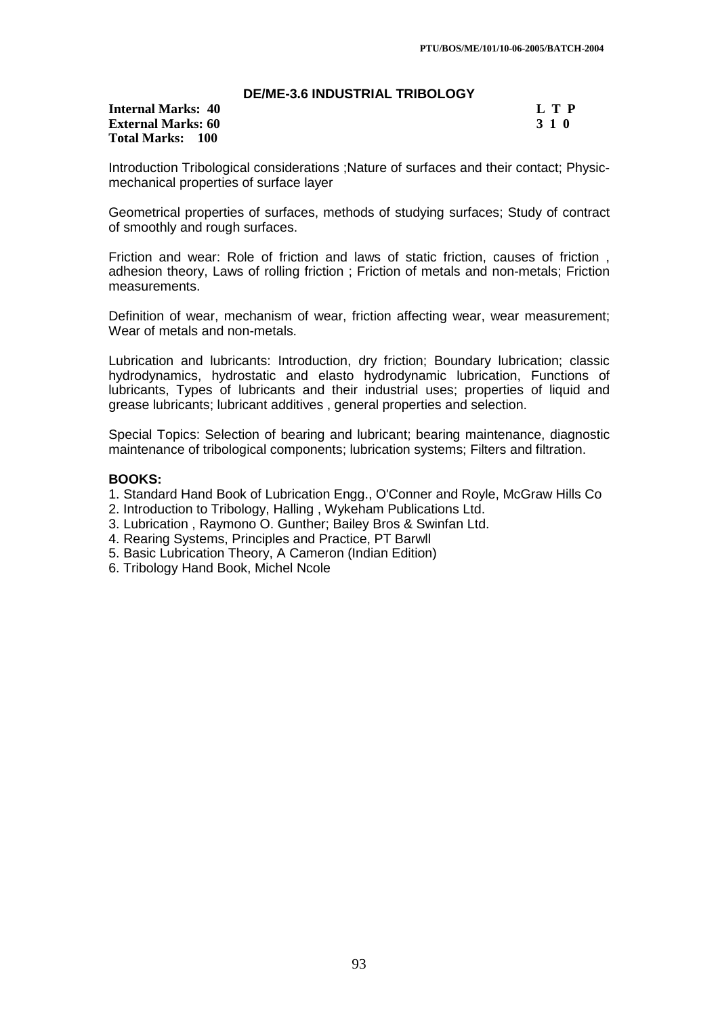## **DE/ME-3.6 INDUSTRIAL TRIBOLOGY**

**Internal Marks: 40 L T P L T P L L T P External Marks: 60 3 1 0 Total Marks: 100**

Introduction Tribological considerations ;Nature of surfaces and their contact; Physicmechanical properties of surface layer

Geometrical properties of surfaces, methods of studying surfaces; Study of contract of smoothly and rough surfaces.

Friction and wear: Role of friction and laws of static friction, causes of friction , adhesion theory, Laws of rolling friction ; Friction of metals and non-metals; Friction measurements.

Definition of wear, mechanism of wear, friction affecting wear, wear measurement; Wear of metals and non-metals.

Lubrication and lubricants: Introduction, dry friction; Boundary lubrication; classic hydrodynamics, hydrostatic and elasto hydrodynamic lubrication, Functions of lubricants, Types of lubricants and their industrial uses; properties of liquid and grease lubricants; lubricant additives , general properties and selection.

Special Topics: Selection of bearing and lubricant; bearing maintenance, diagnostic maintenance of tribological components; lubrication systems; Filters and filtration.

## **BOOKS:**

1. Standard Hand Book of Lubrication Engg., O'Conner and Royle, McGraw Hills Co

- 2. Introduction to Tribology, Halling , Wykeham Publications Ltd.
- 3. Lubrication , Raymono O. Gunther; Bailey Bros & Swinfan Ltd.
- 4. Rearing Systems, Principles and Practice, PT Barwll
- 5. Basic Lubrication Theory, A Cameron (Indian Edition)
- 6. Tribology Hand Book, Michel Ncole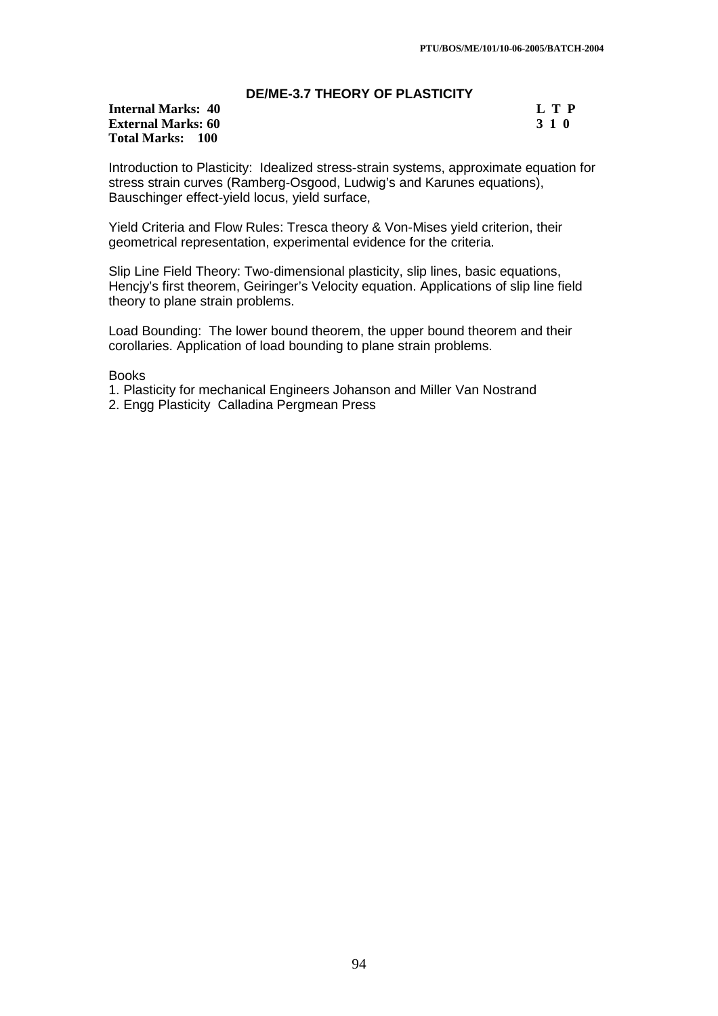## **DE/ME-3.7 THEORY OF PLASTICITY**

## **Internal Marks: 40 L T P <br>
External Marks: 60 3 1 0 External Marks: 60 Total Marks: 100**

Introduction to Plasticity: Idealized stress-strain systems, approximate equation for stress strain curves (Ramberg-Osgood, Ludwig's and Karunes equations), Bauschinger effect-yield locus, yield surface,

Yield Criteria and Flow Rules: Tresca theory & Von-Mises yield criterion, their geometrical representation, experimental evidence for the criteria.

Slip Line Field Theory: Two-dimensional plasticity, slip lines, basic equations, Hencjy's first theorem, Geiringer's Velocity equation. Applications of slip line field theory to plane strain problems.

Load Bounding: The lower bound theorem, the upper bound theorem and their corollaries. Application of load bounding to plane strain problems.

Books

1. Plasticity for mechanical Engineers Johanson and Miller Van Nostrand

2. Engg Plasticity Calladina Pergmean Press